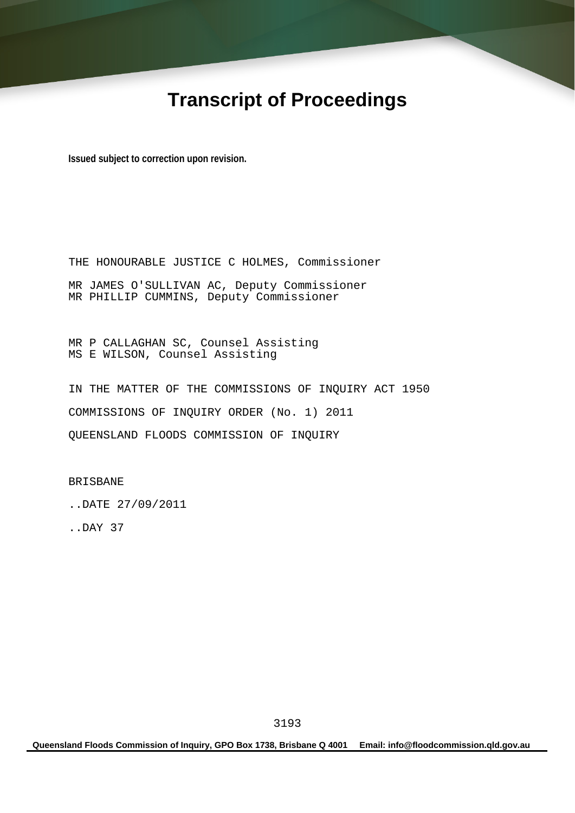# **Transcript of Proceedings**

**Issued subject to correction upon revision.** 

THE HONOURABLE JUSTICE C HOLMES, Commissioner MR JAMES O'SULLIVAN AC, Deputy Commissioner MR PHILLIP CUMMINS, Deputy Commissioner

MR P CALLAGHAN SC, Counsel Assisting MS E WILSON, Counsel Assisting

IN THE MATTER OF THE COMMISSIONS OF INQUIRY ACT 1950 COMMISSIONS OF INQUIRY ORDER (No. 1) 2011 QUEENSLAND FLOODS COMMISSION OF INQUIRY

BRISBANE

..DATE 27/09/2011

..DAY 37

**Queensland Floods Commission of Inquiry, GPO Box 1738, Brisbane Q 4001 Email: info@floodcommission.qld.gov.au**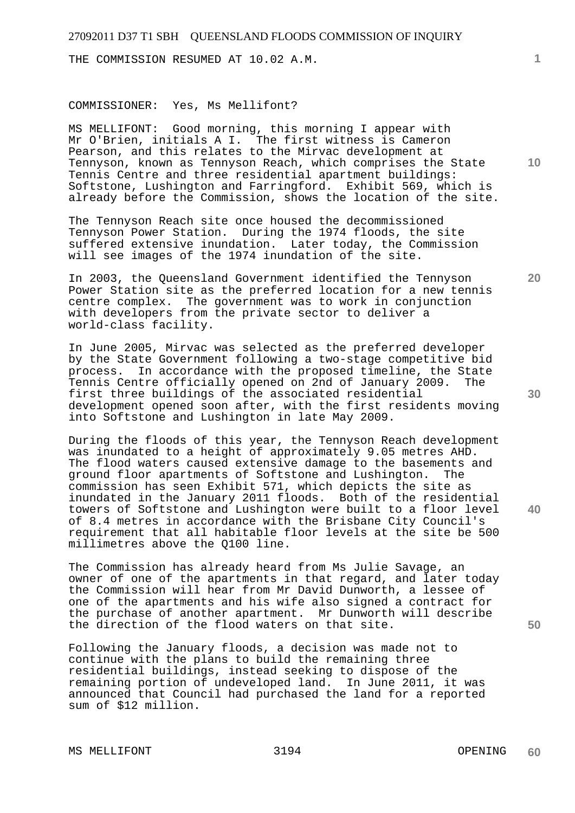THE COMMISSION RESUMED AT 10.02 A.M.

#### COMMISSIONER: Yes, Ms Mellifont?

MS MELLIFONT: Good morning, this morning I appear with Mr O'Brien, initials A I. The first witness is Cameron Pearson, and this relates to the Mirvac development at Tennyson, known as Tennyson Reach, which comprises the State Tennis Centre and three residential apartment buildings: Softstone, Lushington and Farringford. Exhibit 569, which is already before the Commission, shows the location of the site.

The Tennyson Reach site once housed the decommissioned Tennyson Power Station. During the 1974 floods, the site suffered extensive inundation. Later today, the Commission will see images of the 1974 inundation of the site.

In 2003, the Queensland Government identified the Tennyson Power Station site as the preferred location for a new tennis centre complex. The government was to work in conjunction with developers from the private sector to deliver a world-class facility.

In June 2005, Mirvac was selected as the preferred developer by the State Government following a two-stage competitive bid process. In accordance with the proposed timeline, the State Tennis Centre officially opened on 2nd of January 2009. The first three buildings of the associated residential development opened soon after, with the first residents moving into Softstone and Lushington in late May 2009.

During the floods of this year, the Tennyson Reach development was inundated to a height of approximately 9.05 metres AHD. The flood waters caused extensive damage to the basements and ground floor apartments of Softstone and Lushington. The commission has seen Exhibit 571, which depicts the site as inundated in the January 2011 floods. Both of the residential towers of Softstone and Lushington were built to a floor level of 8.4 metres in accordance with the Brisbane City Council's requirement that all habitable floor levels at the site be 500 millimetres above the Q100 line.

The Commission has already heard from Ms Julie Savage, an owner of one of the apartments in that regard, and later today the Commission will hear from Mr David Dunworth, a lessee of one of the apartments and his wife also signed a contract for the purchase of another apartment. Mr Dunworth will describe the direction of the flood waters on that site.

Following the January floods, a decision was made not to continue with the plans to build the remaining three residential buildings, instead seeking to dispose of the remaining portion of undeveloped land. In June 2011, it was announced that Council had purchased the land for a reported sum of \$12 million.

MS MELLIFONT 3194 OPENING

**40** 

**50** 

**10** 

**20**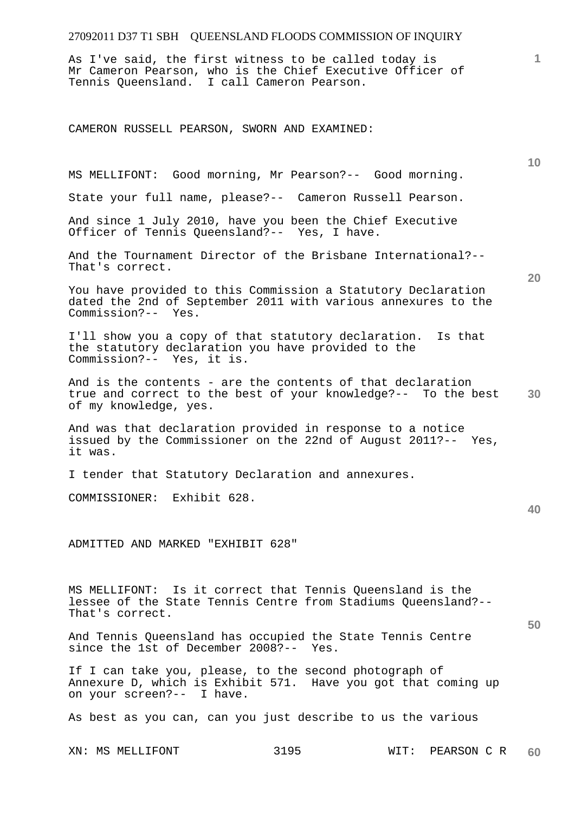As I've said, the first witness to be called today is Mr Cameron Pearson, who is the Chief Executive Officer of Tennis Queensland. I call Cameron Pearson.

MS MELLIFONT: Good morning, Mr Pearson?-- Good morning.

State your full name, please?-- Cameron Russell Pearson.

CAMERON RUSSELL PEARSON, SWORN AND EXAMINED:

And since 1 July 2010, have you been the Chief Executive Officer of Tennis Queensland?-- Yes, I have. And the Tournament Director of the Brisbane International?-- That's correct. You have provided to this Commission a Statutory Declaration dated the 2nd of September 2011 with various annexures to the Commission?-- Yes. I'll show you a copy of that statutory declaration. Is that the statutory declaration you have provided to the Commission?-- Yes, it is. And is the contents - are the contents of that declaration true and correct to the best of your knowledge?-- To the best of my knowledge, yes. And was that declaration provided in response to a notice issued by the Commissioner on the 22nd of August 2011?-- Yes, it was. I tender that Statutory Declaration and annexures. COMMISSIONER: Exhibit 628. ADMITTED AND MARKED "EXHIBIT 628" MS MELLIFONT: Is it correct that Tennis Queensland is the lessee of the State Tennis Centre from Stadiums Queensland?-- That's correct. And Tennis Queensland has occupied the State Tennis Centre since the 1st of December 2008?-- Yes. If I can take you, please, to the second photograph of Annexure D, which is Exhibit 571. Have you got that coming up on your screen?-- I have.

As best as you can, can you just describe to us the various

XN: MS MELLIFONT 3195 WIT: PEARSON C R **60** 

**30** 

**40** 

**50** 

**10**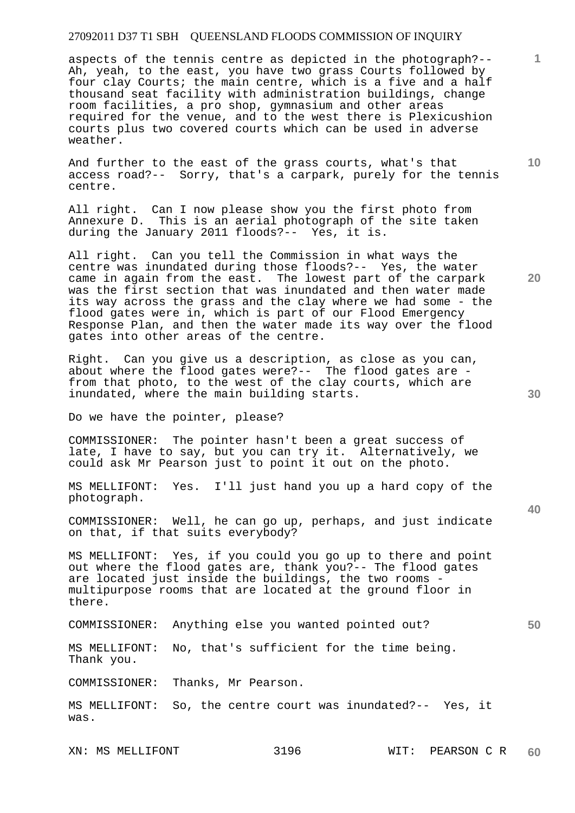aspects of the tennis centre as depicted in the photograph?-- Ah, yeah, to the east, you have two grass Courts followed by four clay Courts; the main centre, which is a five and a half thousand seat facility with administration buildings, change room facilities, a pro shop, gymnasium and other areas required for the venue, and to the west there is Plexicushion courts plus two covered courts which can be used in adverse weather.

And further to the east of the grass courts, what's that access road?-- Sorry, that's a carpark, purely for the tennis centre.

All right. Can I now please show you the first photo from Annexure D. This is an aerial photograph of the site taken during the January 2011 floods?-- Yes, it is.

All right. Can you tell the Commission in what ways the centre was inundated during those floods?-- Yes, the water came in again from the east. The lowest part of the carpark was the first section that was inundated and then water made its way across the grass and the clay where we had some - the flood gates were in, which is part of our Flood Emergency Response Plan, and then the water made its way over the flood gates into other areas of the centre.

Right. Can you give us a description, as close as you can, about where the flood gates were?-- The flood gates are from that photo, to the west of the clay courts, which are inundated, where the main building starts.

Do we have the pointer, please?

COMMISSIONER: The pointer hasn't been a great success of late, I have to say, but you can try it. Alternatively, we could ask Mr Pearson just to point it out on the photo.

MS MELLIFONT: Yes. I'll just hand you up a hard copy of the photograph.

COMMISSIONER: Well, he can go up, perhaps, and just indicate on that, if that suits everybody?

MS MELLIFONT: Yes, if you could you go up to there and point out where the flood gates are, thank you?-- The flood gates are located just inside the buildings, the two rooms multipurpose rooms that are located at the ground floor in there.

COMMISSIONER: Anything else you wanted pointed out?

MS MELLIFONT: No, that's sufficient for the time being. Thank you.

COMMISSIONER: Thanks, Mr Pearson.

MS MELLIFONT: So, the centre court was inundated?-- Yes, it was.

**40** 

**50** 

**20** 

**10**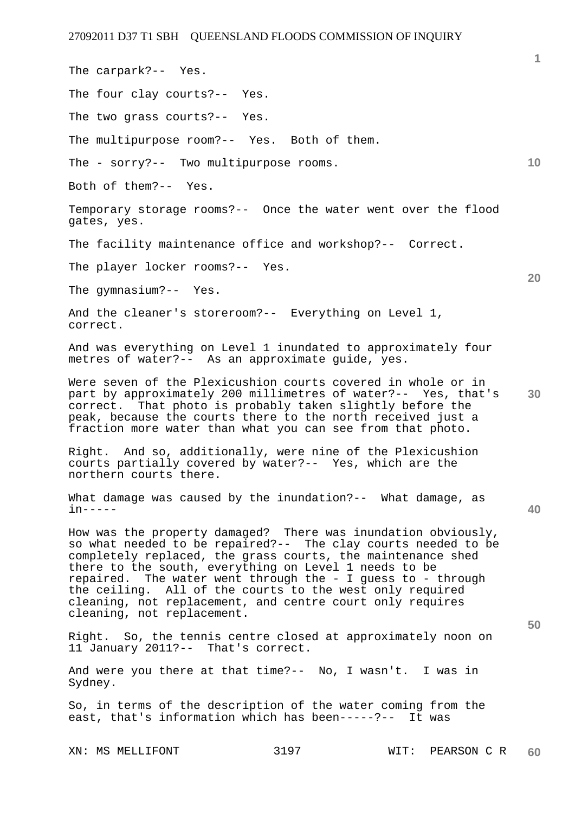The carpark?-- Yes.

Both of them?-- Yes.

gates, yes.

correct.

in-----

Sydney.

**10 20 30 40 50**  The four clay courts?-- Yes. The two grass courts?-- Yes. The multipurpose room?-- Yes. Both of them. The - sorry?-- Two multipurpose rooms. Temporary storage rooms?-- Once the water went over the flood The facility maintenance office and workshop?-- Correct. The player locker rooms?-- Yes. The gymnasium?-- Yes. And the cleaner's storeroom?-- Everything on Level 1, And was everything on Level 1 inundated to approximately four metres of water?-- As an approximate guide, yes. Were seven of the Plexicushion courts covered in whole or in part by approximately 200 millimetres of water?-- Yes, that's correct. That photo is probably taken slightly before the peak, because the courts there to the north received just a fraction more water than what you can see from that photo. Right. And so, additionally, were nine of the Plexicushion courts partially covered by water?-- Yes, which are the northern courts there. What damage was caused by the inundation?-- What damage, as How was the property damaged? There was inundation obviously, so what needed to be repaired?-- The clay courts needed to be completely replaced, the grass courts, the maintenance shed there to the south, everything on Level 1 needs to be repaired. The water went through the - I guess to - through the ceiling. All of the courts to the west only required cleaning, not replacement, and centre court only requires cleaning, not replacement. Right. So, the tennis centre closed at approximately noon on 11 January 2011?-- That's correct. And were you there at that time?-- No, I wasn't. I was in

So, in terms of the description of the water coming from the east, that's information which has been-----?-- It was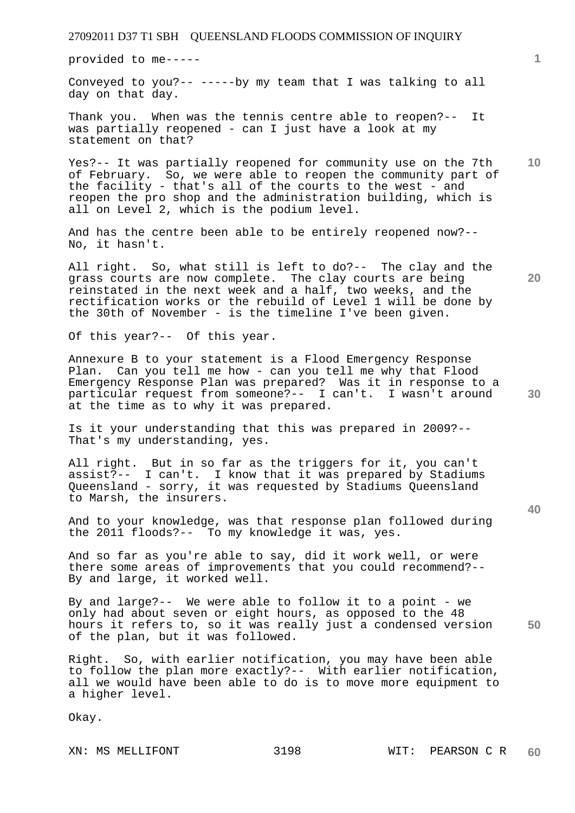provided to me-----

Conveyed to you?-- -----by my team that I was talking to all day on that day.

Thank you. When was the tennis centre able to reopen?-- It was partially reopened - can I just have a look at my statement on that?

**10**  Yes?-- It was partially reopened for community use on the 7th of February. So, we were able to reopen the community part of the facility - that's all of the courts to the west - and reopen the pro shop and the administration building, which is all on Level 2, which is the podium level.

And has the centre been able to be entirely reopened now?-- No, it hasn't.

All right. So, what still is left to do?-- The clay and the grass courts are now complete. The clay courts are being reinstated in the next week and a half, two weeks, and the rectification works or the rebuild of Level 1 will be done by the 30th of November - is the timeline I've been given.

Of this year?-- Of this year.

Annexure B to your statement is a Flood Emergency Response Plan. Can you tell me how - can you tell me why that Flood Emergency Response Plan was prepared? Was it in response to a particular request from someone?-- I can't. I wasn't around at the time as to why it was prepared.

Is it your understanding that this was prepared in 2009?-- That's my understanding, yes.

All right. But in so far as the triggers for it, you can't assist?-- I can't. I know that it was prepared by Stadiums Queensland - sorry, it was requested by Stadiums Queensland to Marsh, the insurers.

And to your knowledge, was that response plan followed during the 2011 floods?-- To my knowledge it was, yes.

And so far as you're able to say, did it work well, or were there some areas of improvements that you could recommend?-- By and large, it worked well.

**50**  By and large?-- We were able to follow it to a point - we only had about seven or eight hours, as opposed to the 48 hours it refers to, so it was really just a condensed version of the plan, but it was followed.

Right. So, with earlier notification, you may have been able to follow the plan more exactly?-- With earlier notification, all we would have been able to do is to move more equipment to a higher level.

Okay.

**1**

**20**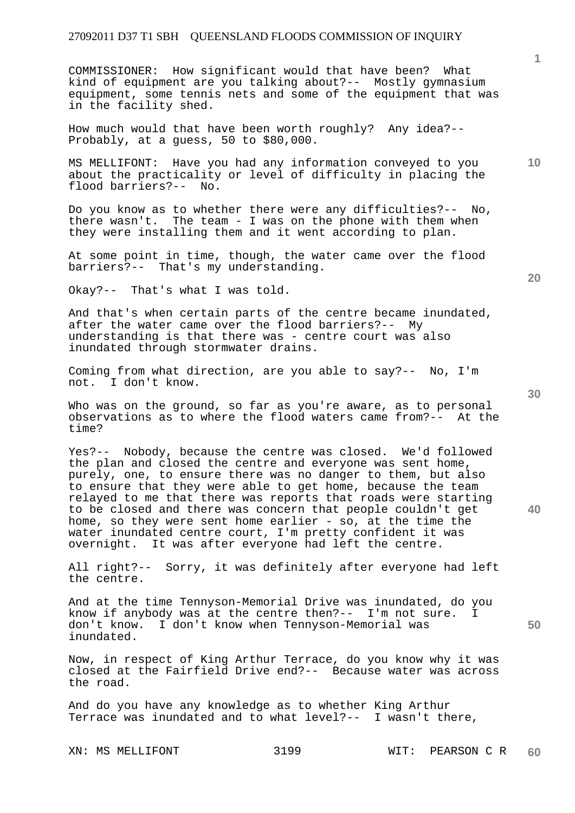COMMISSIONER: How significant would that have been? What kind of equipment are you talking about?-- Mostly gymnasium equipment, some tennis nets and some of the equipment that was in the facility shed.

How much would that have been worth roughly? Any idea?-- Probably, at a guess, 50 to \$80,000.

MS MELLIFONT: Have you had any information conveyed to you about the practicality or level of difficulty in placing the flood barriers?-- No.

Do you know as to whether there were any difficulties?-- No, there wasn't. The team - I was on the phone with them when they were installing them and it went according to plan.

At some point in time, though, the water came over the flood barriers?-- That's my understanding.

Okay?-- That's what I was told.

And that's when certain parts of the centre became inundated, after the water came over the flood barriers?-- My understanding is that there was - centre court was also inundated through stormwater drains.

Coming from what direction, are you able to say?-- No, I'm not. I don't know.

Who was on the ground, so far as you're aware, as to personal observations as to where the flood waters came from?-- At the time?

Yes?-- Nobody, because the centre was closed. We'd followed the plan and closed the centre and everyone was sent home, purely, one, to ensure there was no danger to them, but also to ensure that they were able to get home, because the team relayed to me that there was reports that roads were starting to be closed and there was concern that people couldn't get home, so they were sent home earlier - so, at the time the water inundated centre court, I'm pretty confident it was overnight. It was after everyone had left the centre.

All right?-- Sorry, it was definitely after everyone had left the centre.

And at the time Tennyson-Memorial Drive was inundated, do you know if anybody was at the centre then?-- I'm not sure. I don't know. I don't know when Tennyson-Memorial was inundated.

Now, in respect of King Arthur Terrace, do you know why it was closed at the Fairfield Drive end?-- Because water was across the road.

And do you have any knowledge as to whether King Arthur Terrace was inundated and to what level?-- I wasn't there,

**30** 

**40** 

**50** 

**20** 

**10**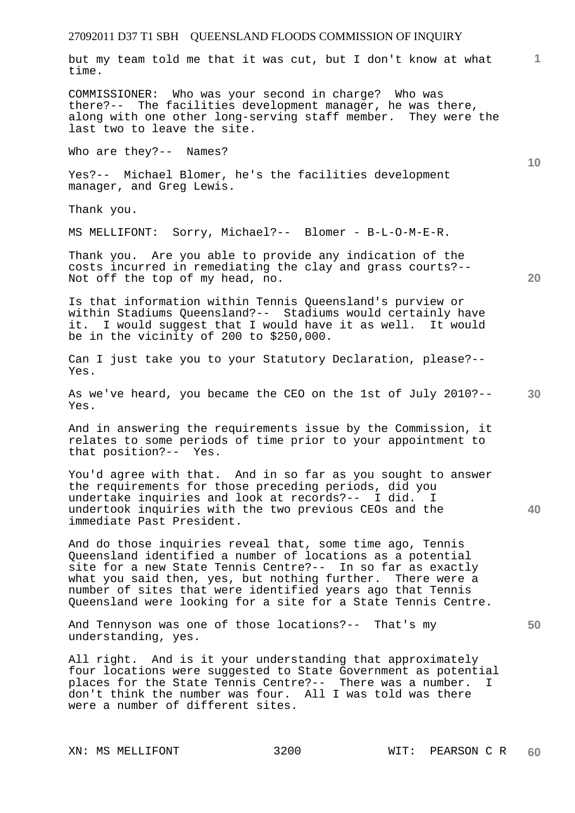but my team told me that it was cut, but I don't know at what time.

COMMISSIONER: Who was your second in charge? Who was there?-- The facilities development manager, he was there, along with one other long-serving staff member. They were the last two to leave the site.

Who are they?-- Names?

Yes?-- Michael Blomer, he's the facilities development manager, and Greg Lewis.

Thank you.

MS MELLIFONT: Sorry, Michael?-- Blomer - B-L-O-M-E-R.

Thank you. Are you able to provide any indication of the costs incurred in remediating the clay and grass courts?-- Not off the top of my head, no.

Is that information within Tennis Queensland's purview or within Stadiums Queensland?-- Stadiums would certainly have it. I would suggest that I would have it as well. It would be in the vicinity of 200 to \$250,000.

Can I just take you to your Statutory Declaration, please?-- Yes.

**30**  As we've heard, you became the CEO on the 1st of July 2010?-- Yes.

And in answering the requirements issue by the Commission, it relates to some periods of time prior to your appointment to that position?-- Yes.

**40**  You'd agree with that. And in so far as you sought to answer the requirements for those preceding periods, did you undertake inquiries and look at records?-- I did. I undertook inquiries with the two previous CEOs and the immediate Past President.

And do those inquiries reveal that, some time ago, Tennis Queensland identified a number of locations as a potential site for a new State Tennis Centre?-- In so far as exactly what you said then, yes, but nothing further. There were a number of sites that were identified years ago that Tennis Queensland were looking for a site for a State Tennis Centre.

And Tennyson was one of those locations?-- That's my understanding, yes.

All right. And is it your understanding that approximately four locations were suggested to State Government as potential places for the State Tennis Centre?-- There was a number. I don't think the number was four. All I was told was there were a number of different sites.

**20** 

**1**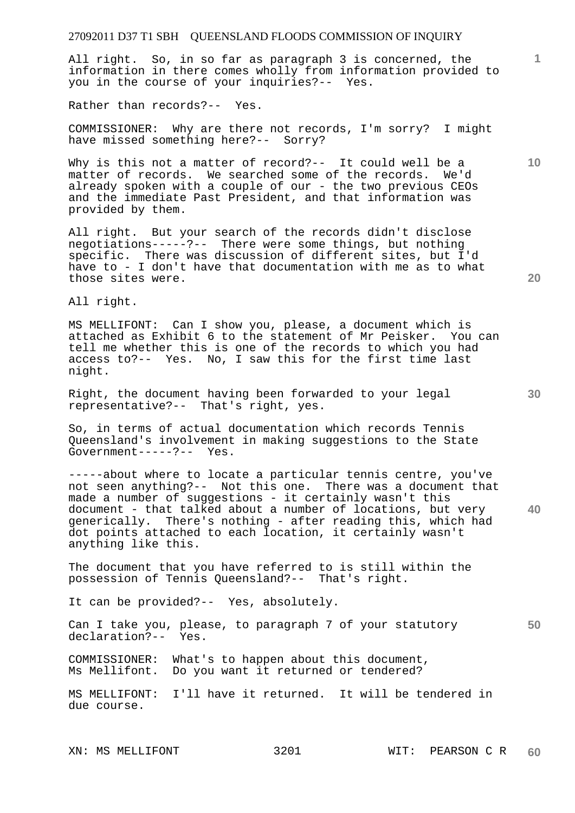All right. So, in so far as paragraph 3 is concerned, the information in there comes wholly from information provided to you in the course of your inquiries?-- Yes.

Rather than records?-- Yes.

COMMISSIONER: Why are there not records, I'm sorry? I might have missed something here?-- Sorry?

Why is this not a matter of record?-- It could well be a matter of records. We searched some of the records. We'd already spoken with a couple of our - the two previous CEOs and the immediate Past President, and that information was provided by them.

All right. But your search of the records didn't disclose negotiations-----?-- There were some things, but nothing specific. There was discussion of different sites, but I'd have to - I don't have that documentation with me as to what those sites were.

All right.

MS MELLIFONT: Can I show you, please, a document which is attached as Exhibit 6 to the statement of Mr Peisker. You can tell me whether this is one of the records to which you had access to?-- Yes. No, I saw this for the first time last night.

Right, the document having been forwarded to your legal representative?-- That's right, yes.

So, in terms of actual documentation which records Tennis Queensland's involvement in making suggestions to the State Government-----?-- Yes.

**40**  -----about where to locate a particular tennis centre, you've not seen anything?-- Not this one. There was a document that made a number of suggestions - it certainly wasn't this document - that talked about a number of locations, but very generically. There's nothing - after reading this, which had dot points attached to each location, it certainly wasn't anything like this.

The document that you have referred to is still within the possession of Tennis Queensland?-- That's right.

It can be provided?-- Yes, absolutely.

**50**  Can I take you, please, to paragraph 7 of your statutory declaration?-- Yes.

COMMISSIONER: What's to happen about this document, Ms Mellifont. Do you want it returned or tendered?

MS MELLIFONT: I'll have it returned. It will be tendered in due course.

**1**

**20** 

**10**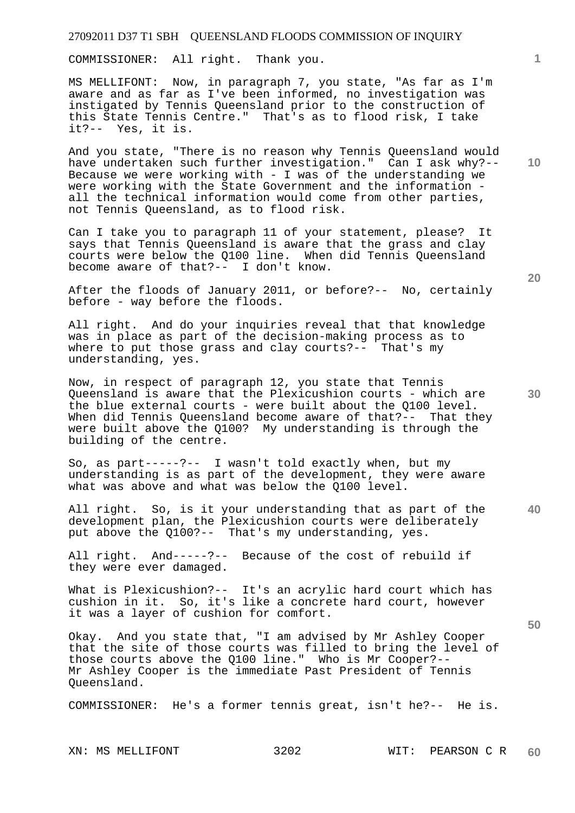COMMISSIONER: All right. Thank you.

MS MELLIFONT: Now, in paragraph 7, you state, "As far as I'm aware and as far as I've been informed, no investigation was instigated by Tennis Queensland prior to the construction of this State Tennis Centre." That's as to flood risk, I take it?-- Yes, it is.

And you state, "There is no reason why Tennis Queensland would have undertaken such further investigation." Can I ask why?-- Because we were working with - I was of the understanding we were working with the State Government and the information all the technical information would come from other parties, not Tennis Queensland, as to flood risk.

Can I take you to paragraph 11 of your statement, please? It says that Tennis Queensland is aware that the grass and clay courts were below the Q100 line. When did Tennis Queensland become aware of that?-- I don't know.

After the floods of January 2011, or before?-- No, certainly before - way before the floods.

All right. And do your inquiries reveal that that knowledge was in place as part of the decision-making process as to where to put those grass and clay courts?-- That's my understanding, yes.

Now, in respect of paragraph 12, you state that Tennis Queensland is aware that the Plexicushion courts - which are the blue external courts - were built about the Q100 level. When did Tennis Queensland become aware of that?-- That they were built above the Q100? My understanding is through the building of the centre.

So, as part-----?-- I wasn't told exactly when, but my understanding is as part of the development, they were aware what was above and what was below the Q100 level.

**40**  All right. So, is it your understanding that as part of the development plan, the Plexicushion courts were deliberately put above the Q100?-- That's my understanding, yes.

All right. And-----?-- Because of the cost of rebuild if they were ever damaged.

What is Plexicushion?-- It's an acrylic hard court which has cushion in it. So, it's like a concrete hard court, however it was a layer of cushion for comfort.

Okay. And you state that, "I am advised by Mr Ashley Cooper that the site of those courts was filled to bring the level of those courts above the Q100 line." Who is Mr Cooper?-- Mr Ashley Cooper is the immediate Past President of Tennis Queensland.

COMMISSIONER: He's a former tennis great, isn't he?-- He is.

**10** 

**1**

**20**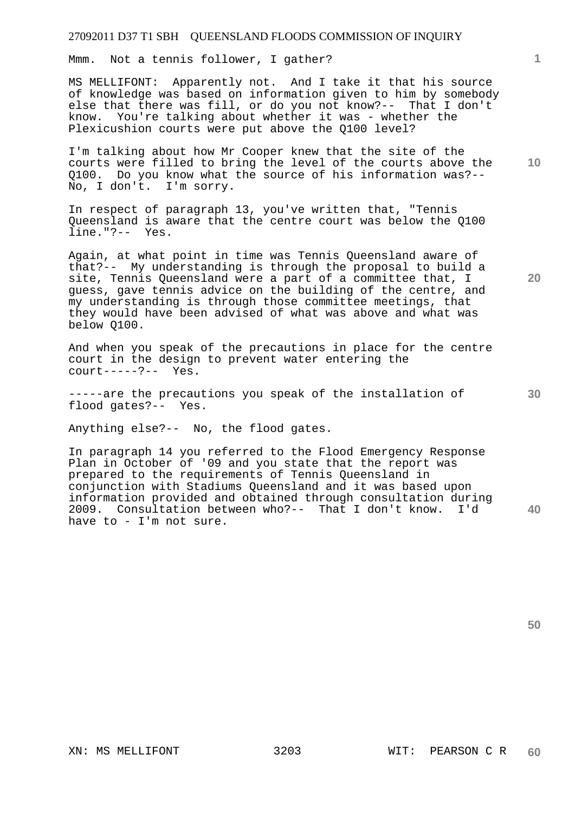Mmm. Not a tennis follower, I gather?

MS MELLIFONT: Apparently not. And I take it that his source of knowledge was based on information given to him by somebody else that there was fill, or do you not know?-- That I don't know. You're talking about whether it was - whether the Plexicushion courts were put above the Q100 level?

I'm talking about how Mr Cooper knew that the site of the courts were filled to bring the level of the courts above the Q100. Do you know what the source of his information was?-- No, I don't. I'm sorry.

In respect of paragraph 13, you've written that, "Tennis Queensland is aware that the centre court was below the Q100 line."?-- Yes.

Again, at what point in time was Tennis Queensland aware of that?-- My understanding is through the proposal to build a site, Tennis Queensland were a part of a committee that, I guess, gave tennis advice on the building of the centre, and my understanding is through those committee meetings, that they would have been advised of what was above and what was below Q100.

And when you speak of the precautions in place for the centre court in the design to prevent water entering the court-----?-- Yes.

-----are the precautions you speak of the installation of flood gates?-- Yes.

Anything else?-- No, the flood gates.

In paragraph 14 you referred to the Flood Emergency Response Plan in October of '09 and you state that the report was prepared to the requirements of Tennis Queensland in conjunction with Stadiums Queensland and it was based upon information provided and obtained through consultation during 2009. Consultation between who?-- That I don't know. I'd have to - I'm not sure.

**40** 

**50** 

**30** 

**1**

**20**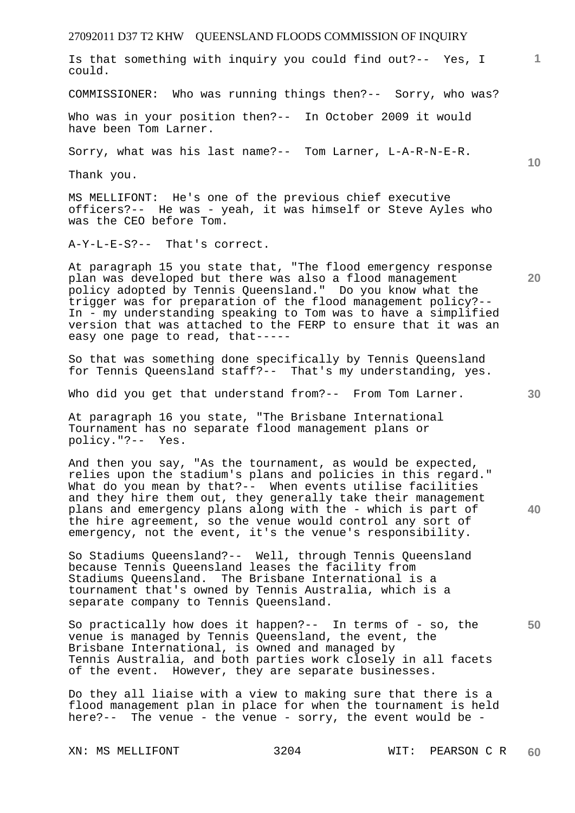27092011 D37 T2 KHW QUEENSLAND FLOODS COMMISSION OF INQUIRY **1 10 20 30 40**  Is that something with inquiry you could find out?-- Yes, I could. COMMISSIONER: Who was running things then?-- Sorry, who was? Who was in your position then?-- In October 2009 it would have been Tom Larner. Sorry, what was his last name?-- Tom Larner, L-A-R-N-E-R. Thank you. MS MELLIFONT: He's one of the previous chief executive officers?-- He was - yeah, it was himself or Steve Ayles who was the CEO before Tom. A-Y-L-E-S?-- That's correct. At paragraph 15 you state that, "The flood emergency response plan was developed but there was also a flood management policy adopted by Tennis Queensland." Do you know what the trigger was for preparation of the flood management policy?-- In - my understanding speaking to Tom was to have a simplified version that was attached to the FERP to ensure that it was an easy one page to read, that----- So that was something done specifically by Tennis Queensland for Tennis Queensland staff?-- That's my understanding, yes. Who did you get that understand from?-- From Tom Larner. At paragraph 16 you state, "The Brisbane International Tournament has no separate flood management plans or policy."?-- Yes. And then you say, "As the tournament, as would be expected, relies upon the stadium's plans and policies in this regard." What do you mean by that?-- When events utilise facilities and they hire them out, they generally take their management plans and emergency plans along with the - which is part of

So Stadiums Queensland?-- Well, through Tennis Queensland because Tennis Queensland leases the facility from Stadiums Queensland. The Brisbane International is a tournament that's owned by Tennis Australia, which is a separate company to Tennis Queensland.

the hire agreement, so the venue would control any sort of emergency, not the event, it's the venue's responsibility.

So practically how does it happen?-- In terms of - so, the venue is managed by Tennis Queensland, the event, the Brisbane International, is owned and managed by Tennis Australia, and both parties work closely in all facets of the event. However, they are separate businesses.

Do they all liaise with a view to making sure that there is a flood management plan in place for when the tournament is held here?-- The venue - the venue - sorry, the event would be -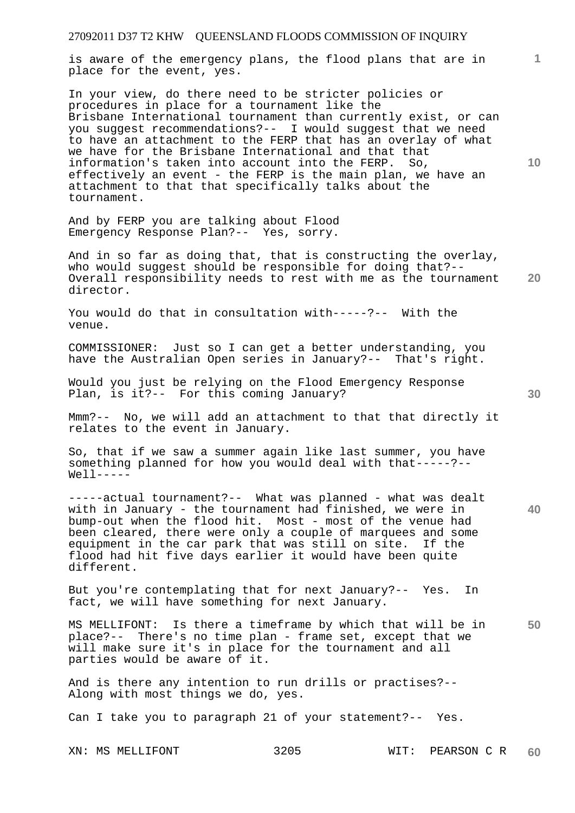27092011 D37 T2 KHW QUEENSLAND FLOODS COMMISSION OF INQUIRY **1 10 20 30 40 50**  is aware of the emergency plans, the flood plans that are in place for the event, yes. In your view, do there need to be stricter policies or procedures in place for a tournament like the Brisbane International tournament than currently exist, or can you suggest recommendations?-- I would suggest that we need to have an attachment to the FERP that has an overlay of what we have for the Brisbane International and that that information's taken into account into the FERP. So, effectively an event - the FERP is the main plan, we have an attachment to that that specifically talks about the tournament. And by FERP you are talking about Flood Emergency Response Plan?-- Yes, sorry. And in so far as doing that, that is constructing the overlay, who would suggest should be responsible for doing that?-- Overall responsibility needs to rest with me as the tournament director. You would do that in consultation with-----?-- With the venue. COMMISSIONER: Just so I can get a better understanding, you have the Australian Open series in January?-- That's right. Would you just be relying on the Flood Emergency Response Plan, is it?-- For this coming January? Mmm?-- No, we will add an attachment to that that directly it relates to the event in January. So, that if we saw a summer again like last summer, you have something planned for how you would deal with that-----?--  $Well1$ ----------actual tournament?-- What was planned - what was dealt with in January - the tournament had finished, we were in bump-out when the flood hit. Most - most of the venue had been cleared, there were only a couple of marquees and some equipment in the car park that was still on site. If the flood had hit five days earlier it would have been quite different. But you're contemplating that for next January?-- Yes. In fact, we will have something for next January. MS MELLIFONT: Is there a timeframe by which that will be in place?-- There's no time plan - frame set, except that we will make sure it's in place for the tournament and all parties would be aware of it. And is there any intention to run drills or practises?-- Along with most things we do, yes. Can I take you to paragraph 21 of your statement?-- Yes.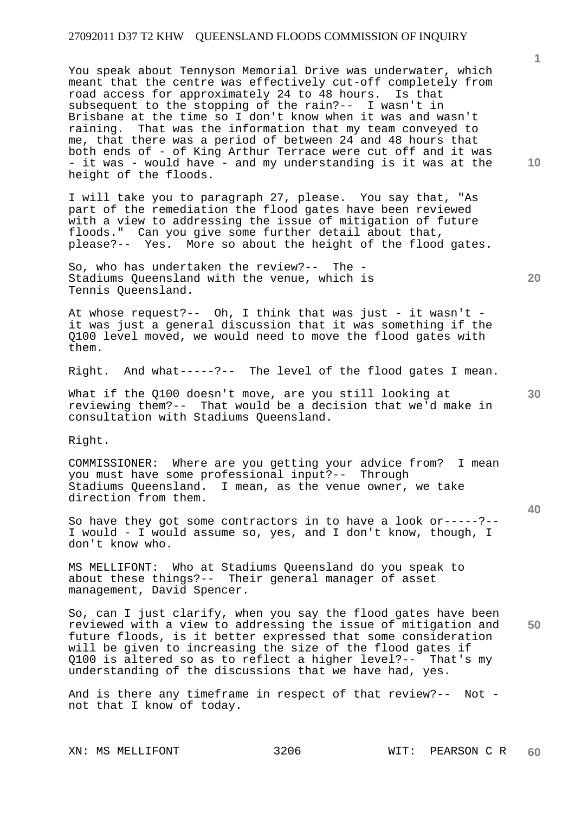You speak about Tennyson Memorial Drive was underwater, which meant that the centre was effectively cut-off completely from road access for approximately 24 to 48 hours. Is that subsequent to the stopping of the rain?-- I wasn't in Brisbane at the time so I don't know when it was and wasn't raining. That was the information that my team conveyed to me, that there was a period of between 24 and 48 hours that both ends of - of King Arthur Terrace were cut off and it was - it was - would have - and my understanding is it was at the height of the floods.

I will take you to paragraph 27, please. You say that, "As part of the remediation the flood gates have been reviewed with a view to addressing the issue of mitigation of future floods." Can you give some further detail about that, please?-- Yes. More so about the height of the flood gates.

So, who has undertaken the review?-- The - Stadiums Queensland with the venue, which is Tennis Queensland.

At whose request?-- Oh, I think that was just - it wasn't it was just a general discussion that it was something if the Q100 level moved, we would need to move the flood gates with them.

Right. And what-----?-- The level of the flood gates I mean.

What if the Q100 doesn't move, are you still looking at reviewing them?-- That would be a decision that we'd make in consultation with Stadiums Queensland.

Right.

COMMISSIONER: Where are you getting your advice from? I mean you must have some professional input?-- Through Stadiums Queensland. I mean, as the venue owner, we take direction from them.

So have they got some contractors in to have a look or-----?-- I would - I would assume so, yes, and I don't know, though, I don't know who.

MS MELLIFONT: Who at Stadiums Queensland do you speak to about these things?-- Their general manager of asset management, David Spencer.

**50**  So, can I just clarify, when you say the flood gates have been reviewed with a view to addressing the issue of mitigation and future floods, is it better expressed that some consideration will be given to increasing the size of the flood gates if Q100 is altered so as to reflect a higher level?-- That's my understanding of the discussions that we have had, yes.

And is there any timeframe in respect of that review?-- Not not that I know of today.

**1**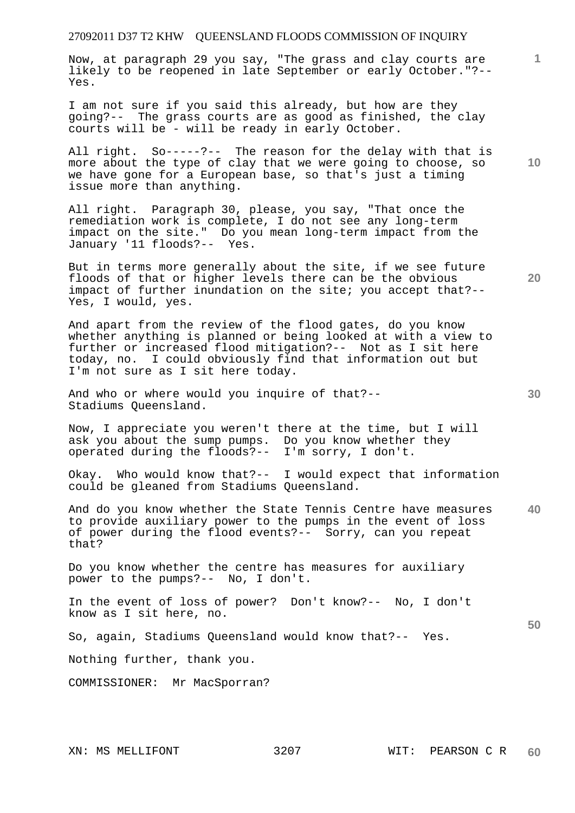Now, at paragraph 29 you say, "The grass and clay courts are likely to be reopened in late September or early October."?-- Yes.

I am not sure if you said this already, but how are they going?-- The grass courts are as good as finished, the clay courts will be - will be ready in early October.

All right. So-----?-- The reason for the delay with that is more about the type of clay that we were going to choose, so we have gone for a European base, so that's just a timing issue more than anything.

All right. Paragraph 30, please, you say, "That once the remediation work is complete, I do not see any long-term impact on the site." Do you mean long-term impact from the January '11 floods?-- Yes.

But in terms more generally about the site, if we see future floods of that or higher levels there can be the obvious impact of further inundation on the site; you accept that?-- Yes, I would, yes.

And apart from the review of the flood gates, do you know whether anything is planned or being looked at with a view to further or increased flood mitigation?-- Not as I sit here today, no. I could obviously find that information out but I'm not sure as I sit here today.

And who or where would you inquire of that?-- Stadiums Queensland.

Now, I appreciate you weren't there at the time, but I will ask you about the sump pumps. Do you know whether they operated during the floods?-- I'm sorry, I don't.

Okay. Who would know that?-- I would expect that information could be gleaned from Stadiums Queensland.

**40**  And do you know whether the State Tennis Centre have measures to provide auxiliary power to the pumps in the event of loss of power during the flood events?-- Sorry, can you repeat that?

Do you know whether the centre has measures for auxiliary power to the pumps?-- No, I don't.

In the event of loss of power? Don't know?-- No, I don't know as I sit here, no.

So, again, Stadiums Queensland would know that?-- Yes.

Nothing further, thank you.

COMMISSIONER: Mr MacSporran?

**10** 

**1**

**20**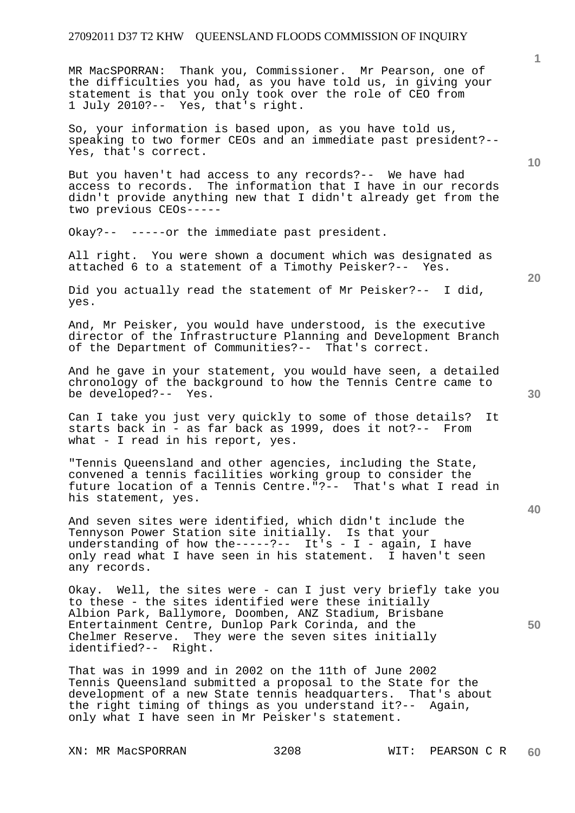MR MacSPORRAN: Thank you, Commissioner. Mr Pearson, one of the difficulties you had, as you have told us, in giving your statement is that you only took over the role of CEO from 1 July 2010?-- Yes, that's right.

So, your information is based upon, as you have told us, speaking to two former CEOs and an immediate past president?-- Yes, that's correct.

But you haven't had access to any records?-- We have had access to records. The information that I have in our records didn't provide anything new that I didn't already get from the two previous CEOs-----

Okay?-- -----or the immediate past president.

All right. You were shown a document which was designated as attached 6 to a statement of a Timothy Peisker?-- Yes.

Did you actually read the statement of Mr Peisker?-- I did, yes.

And, Mr Peisker, you would have understood, is the executive director of the Infrastructure Planning and Development Branch of the Department of Communities?-- That's correct.

And he gave in your statement, you would have seen, a detailed chronology of the background to how the Tennis Centre came to be developed?-- Yes.

Can I take you just very quickly to some of those details? It starts back in - as far back as 1999, does it not?-- From what - I read in his report, yes.

"Tennis Queensland and other agencies, including the State, convened a tennis facilities working group to consider the future location of a Tennis Centre."?-- That's what I read in his statement, yes.

And seven sites were identified, which didn't include the Tennyson Power Station site initially. Is that your understanding of how the-----?-- It's - I - again, I have only read what I have seen in his statement. I haven't seen any records.

Okay. Well, the sites were - can I just very briefly take you to these - the sites identified were these initially Albion Park, Ballymore, Doomben, ANZ Stadium, Brisbane Entertainment Centre, Dunlop Park Corinda, and the Chelmer Reserve. They were the seven sites initially identified?-- Right.

That was in 1999 and in 2002 on the 11th of June 2002 Tennis Queensland submitted a proposal to the State for the development of a new State tennis headquarters. That's about the right timing of things as you understand it?-- Again, only what I have seen in Mr Peisker's statement.

XN: MR MacSPORRAN 3208 WIT: PEARSON C R

**10** 

**1**

**20** 

**40**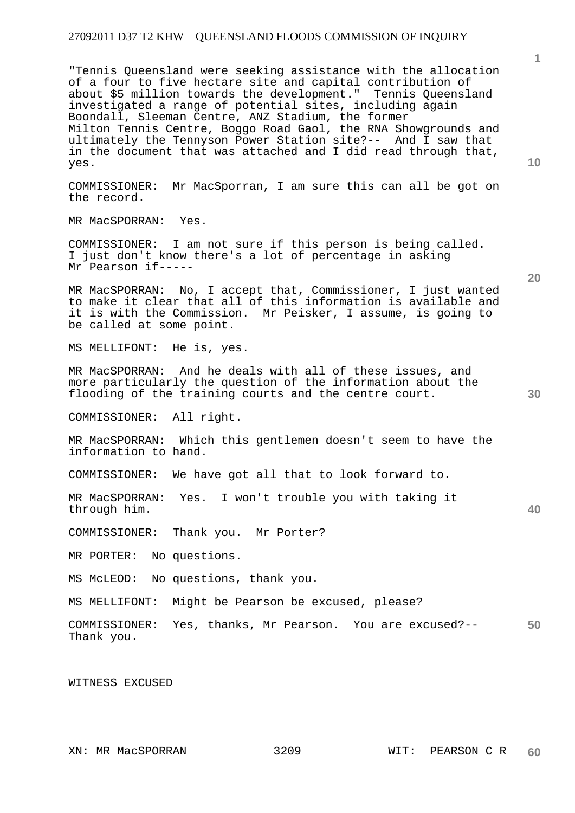"Tennis Queensland were seeking assistance with the allocation of a four to five hectare site and capital contribution of about \$5 million towards the development." Tennis Queensland investigated a range of potential sites, including again Boondall, Sleeman Centre, ANZ Stadium, the former Milton Tennis Centre, Boggo Road Gaol, the RNA Showgrounds and ultimately the Tennyson Power Station site?-- And I saw that in the document that was attached and I did read through that, yes.

COMMISSIONER: Mr MacSporran, I am sure this can all be got on the record.

MR MacSPORRAN: Yes.

COMMISSIONER: I am not sure if this person is being called. I just don't know there's a lot of percentage in asking Mr Pearson if-----

MR MacSPORRAN: No, I accept that, Commissioner, I just wanted to make it clear that all of this information is available and it is with the Commission. Mr Peisker, I assume, is going to be called at some point.

MS MELLIFONT: He is, yes.

MR MacSPORRAN: And he deals with all of these issues, and more particularly the question of the information about the flooding of the training courts and the centre court.

COMMISSIONER: All right.

MR MacSPORRAN: Which this gentlemen doesn't seem to have the information to hand.

COMMISSIONER: We have got all that to look forward to.

MR MacSPORRAN: Yes. I won't trouble you with taking it through him.

COMMISSIONER: Thank you. Mr Porter?

MR PORTER: No questions.

MS McLEOD: No questions, thank you.

MS MELLIFONT: Might be Pearson be excused, please?

**50**  COMMISSIONER: Yes, thanks, Mr Pearson. You are excused?-- Thank you.

WITNESS EXCUSED

**10** 

**20** 

**30**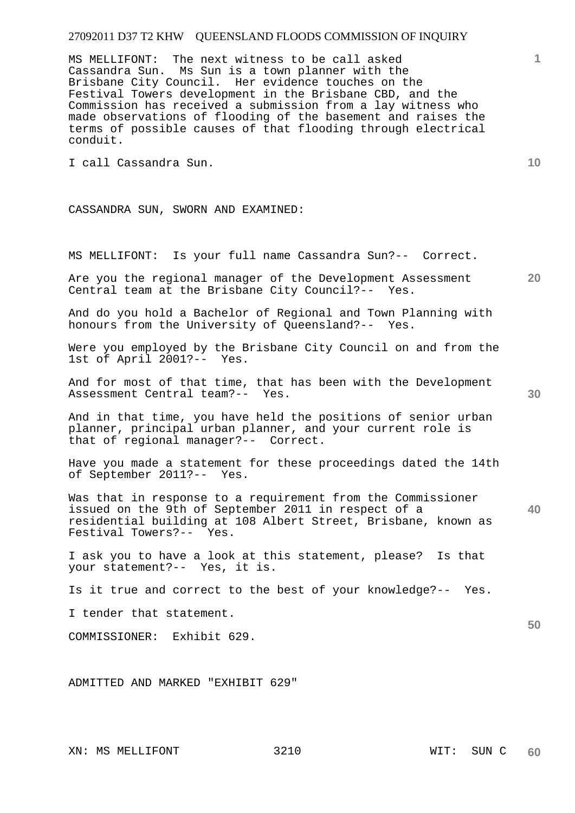MS MELLIFONT: The next witness to be call asked Cassandra Sun. Ms Sun is a town planner with the Brisbane City Council. Her evidence touches on the Festival Towers development in the Brisbane CBD, and the Commission has received a submission from a lay witness who made observations of flooding of the basement and raises the terms of possible causes of that flooding through electrical conduit.

I call Cassandra Sun.

CASSANDRA SUN, SWORN AND EXAMINED:

MS MELLIFONT: Is your full name Cassandra Sun?-- Correct.

Are you the regional manager of the Development Assessment<br>Central team at the Brisbane City Council?-- Yes. Central team at the Brisbane City Council?--

And do you hold a Bachelor of Regional and Town Planning with honours from the University of Queensland?-- Yes.

Were you employed by the Brisbane City Council on and from the 1st of April 2001?-- Yes.

And for most of that time, that has been with the Development Assessment Central team?-- Yes.

And in that time, you have held the positions of senior urban planner, principal urban planner, and your current role is that of regional manager?-- Correct.

Have you made a statement for these proceedings dated the 14th of September 2011?-- Yes.

Was that in response to a requirement from the Commissioner issued on the 9th of September 2011 in respect of a residential building at 108 Albert Street, Brisbane, known as Festival Towers?-- Yes.

I ask you to have a look at this statement, please? Is that your statement?-- Yes, it is.

Is it true and correct to the best of your knowledge?-- Yes.

I tender that statement.

COMMISSIONER: Exhibit 629.

ADMITTED AND MARKED "EXHIBIT 629"

**10** 

**20** 

**40** 

**50**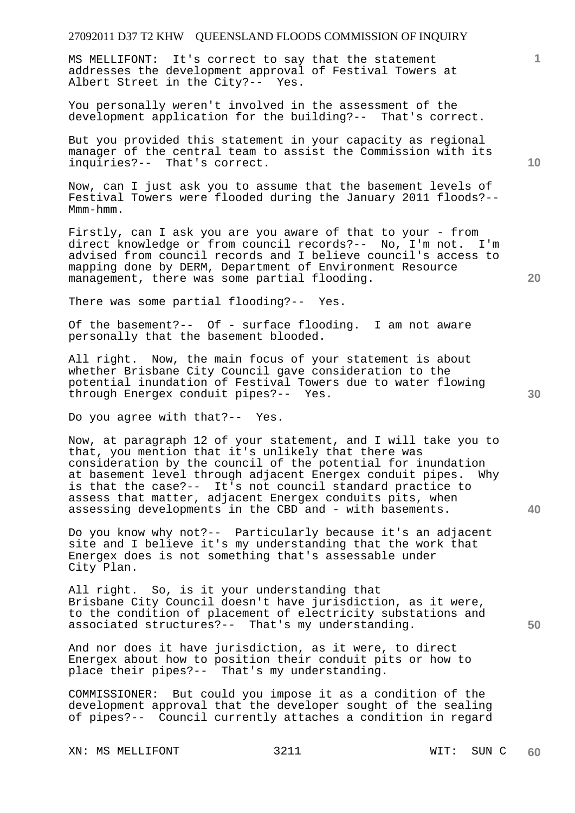MS MELLIFONT: It's correct to say that the statement addresses the development approval of Festival Towers at Albert Street in the City?-- Yes.

You personally weren't involved in the assessment of the development application for the building?-- That's correct.

But you provided this statement in your capacity as regional manager of the central team to assist the Commission with its inquiries?-- That's correct.

Now, can I just ask you to assume that the basement levels of Festival Towers were flooded during the January 2011 floods?-- Mmm-hmm.

Firstly, can I ask you are you aware of that to your - from direct knowledge or from council records?-- No, I'm not. I'm advised from council records and I believe council's access to mapping done by DERM, Department of Environment Resource management, there was some partial flooding.

There was some partial flooding?-- Yes.

Of the basement?-- Of - surface flooding. I am not aware personally that the basement blooded.

All right. Now, the main focus of your statement is about whether Brisbane City Council gave consideration to the potential inundation of Festival Towers due to water flowing through Energex conduit pipes?-- Yes.

Do you agree with that?-- Yes.

Now, at paragraph 12 of your statement, and I will take you to that, you mention that it's unlikely that there was consideration by the council of the potential for inundation<br>at basement level through adjacent Energex conduit pipes. Why at basement level through adjacent Energex conduit pipes. is that the case?-- It's not council standard practice to assess that matter, adjacent Energex conduits pits, when assessing developments in the CBD and - with basements.

Do you know why not?-- Particularly because it's an adjacent site and I believe it's my understanding that the work that Energex does is not something that's assessable under City Plan.

All right. So, is it your understanding that Brisbane City Council doesn't have jurisdiction, as it were, to the condition of placement of electricity substations and associated structures?-- That's my understanding.

And nor does it have jurisdiction, as it were, to direct Energex about how to position their conduit pits or how to place their pipes?-- That's my understanding.

COMMISSIONER: But could you impose it as a condition of the development approval that the developer sought of the sealing of pipes?-- Council currently attaches a condition in regard

XN: MS MELLIFONT 3211 WIT: SUN C

**10** 

**1**

**20** 

**40**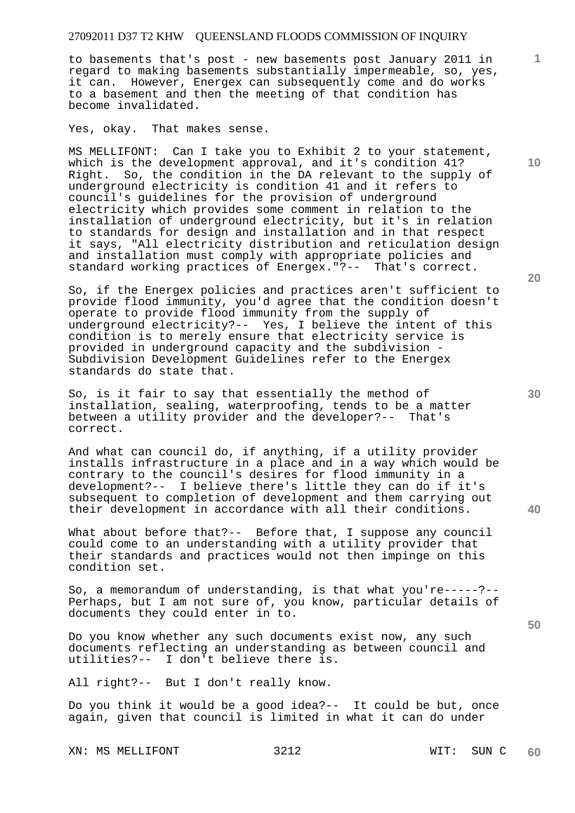to basements that's post - new basements post January 2011 in regard to making basements substantially impermeable, so, yes, it can. However, Energex can subsequently come and do works to a basement and then the meeting of that condition has become invalidated.

Yes, okay. That makes sense.

MS MELLIFONT: Can I take you to Exhibit 2 to your statement, which is the development approval, and it's condition 41? Right. So, the condition in the DA relevant to the supply of underground electricity is condition 41 and it refers to council's guidelines for the provision of underground electricity which provides some comment in relation to the installation of underground electricity, but it's in relation to standards for design and installation and in that respect it says, "All electricity distribution and reticulation design and installation must comply with appropriate policies and standard working practices of Energex."?-- That's correct.

So, if the Energex policies and practices aren't sufficient to provide flood immunity, you'd agree that the condition doesn't operate to provide flood immunity from the supply of underground electricity?-- Yes, I believe the intent of this condition is to merely ensure that electricity service is provided in underground capacity and the subdivision - Subdivision Development Guidelines refer to the Energex standards do state that.

So, is it fair to say that essentially the method of installation, sealing, waterproofing, tends to be a matter between a utility provider and the developer?-- That's correct.

And what can council do, if anything, if a utility provider installs infrastructure in a place and in a way which would be contrary to the council's desires for flood immunity in a development?-- I believe there's little they can do if it's subsequent to completion of development and them carrying out their development in accordance with all their conditions.

What about before that?-- Before that, I suppose any council could come to an understanding with a utility provider that their standards and practices would not then impinge on this condition set.

So, a memorandum of understanding, is that what you're-----?-- Perhaps, but I am not sure of, you know, particular details of documents they could enter in to.

Do you know whether any such documents exist now, any such documents reflecting an understanding as between council and utilities?-- I don't believe there is.

All right?-- But I don't really know.

Do you think it would be a good idea?-- It could be but, once again, given that council is limited in what it can do under

XN: MS MELLIFONT 3212 WIT: SUN C

**20** 

**10** 

**1**

**30** 

**40**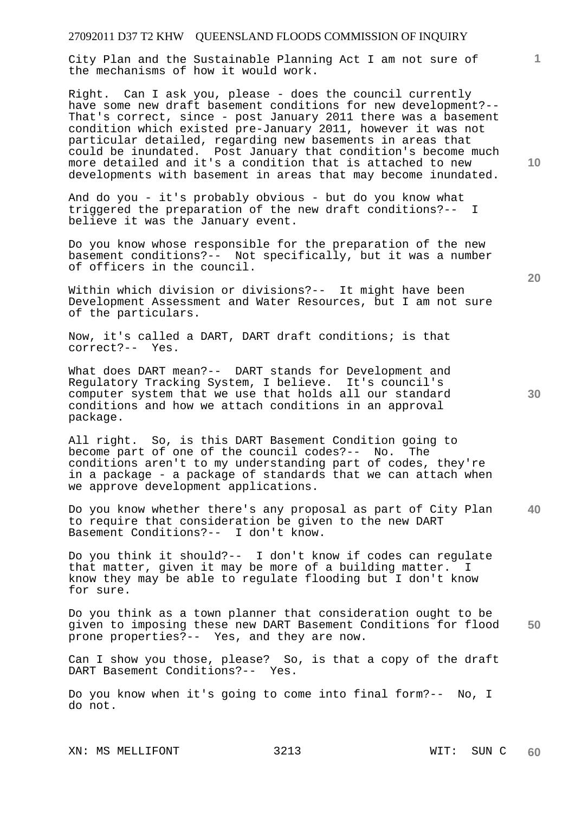City Plan and the Sustainable Planning Act I am not sure of the mechanisms of how it would work.

Right. Can I ask you, please - does the council currently have some new draft basement conditions for new development?-- That's correct, since - post January 2011 there was a basement condition which existed pre-January 2011, however it was not particular detailed, regarding new basements in areas that could be inundated. Post January that condition's become much more detailed and it's a condition that is attached to new developments with basement in areas that may become inundated.

And do you - it's probably obvious - but do you know what triggered the preparation of the new draft conditions?-- I believe it was the January event.

Do you know whose responsible for the preparation of the new basement conditions?-- Not specifically, but it was a number of officers in the council.

Within which division or divisions?-- It might have been Development Assessment and Water Resources, but I am not sure of the particulars.

Now, it's called a DART, DART draft conditions; is that correct?-- Yes.

What does DART mean?-- DART stands for Development and Regulatory Tracking System, I believe. It's council's computer system that we use that holds all our standard conditions and how we attach conditions in an approval package.

All right. So, is this DART Basement Condition going to become part of one of the council codes?-- No. The conditions aren't to my understanding part of codes, they're in a package - a package of standards that we can attach when we approve development applications.

**40**  Do you know whether there's any proposal as part of City Plan to require that consideration be given to the new DART Basement Conditions?-- I don't know.

Do you think it should?-- I don't know if codes can regulate that matter, given it may be more of a building matter. I know they may be able to regulate flooding but I don't know for sure.

**50**  Do you think as a town planner that consideration ought to be given to imposing these new DART Basement Conditions for flood prone properties?-- Yes, and they are now.

Can I show you those, please? So, is that a copy of the draft DART Basement Conditions?-- Yes.

Do you know when it's going to come into final form?-- No, I do not.

XN: MS MELLIFONT 3213 WIT: SUN C

**10** 

**20** 

**1**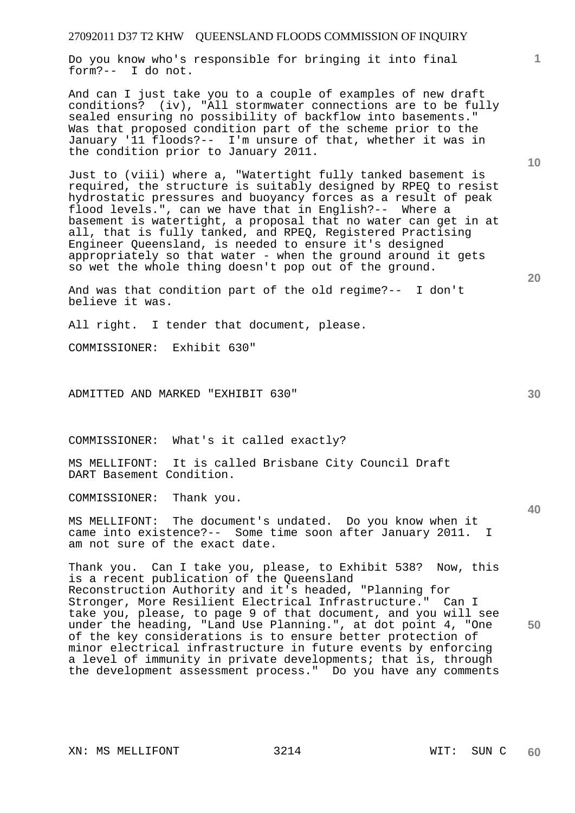Do you know who's responsible for bringing it into final form?-- I do not.

And can I just take you to a couple of examples of new draft conditions? (iv), "All stormwater connections are to be fully sealed ensuring no possibility of backflow into basements." Was that proposed condition part of the scheme prior to the January '11 floods?-- I'm unsure of that, whether it was in the condition prior to January 2011.

Just to (viii) where a, "Watertight fully tanked basement is required, the structure is suitably designed by RPEQ to resist hydrostatic pressures and buoyancy forces as a result of peak flood levels.", can we have that in English?-- Where a basement is watertight, a proposal that no water can get in at all, that is fully tanked, and RPEQ, Registered Practising Engineer Queensland, is needed to ensure it's designed appropriately so that water - when the ground around it gets so wet the whole thing doesn't pop out of the ground.

And was that condition part of the old regime?-- I don't believe it was.

All right. I tender that document, please.

COMMISSIONER: Exhibit 630"

ADMITTED AND MARKED "EXHIBIT 630"

COMMISSIONER: What's it called exactly?

MS MELLIFONT: It is called Brisbane City Council Draft DART Basement Condition.

COMMISSIONER: Thank you.

MS MELLIFONT: The document's undated. Do you know when it came into existence?-- Some time soon after January 2011. I am not sure of the exact date.

Thank you. Can I take you, please, to Exhibit 538? Now, this is a recent publication of the Queensland Reconstruction Authority and it's headed, "Planning for Stronger, More Resilient Electrical Infrastructure." Can I take you, please, to page 9 of that document, and you will see under the heading, "Land Use Planning.", at dot point 4, "One of the key considerations is to ensure better protection of minor electrical infrastructure in future events by enforcing a level of immunity in private developments; that is, through the development assessment process." Do you have any comments

**10** 

**1**

**40** 

**50**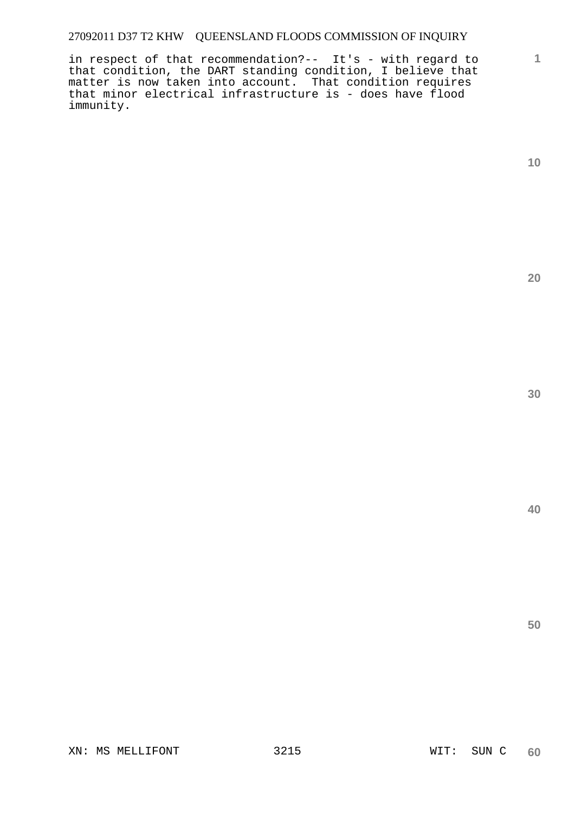in respect of that recommendation?-- It's - with regard to that condition, the DART standing condition, I believe that matter is now taken into account. That condition requires that minor electrical infrastructure is - does have flood immunity.

**1**

**20** 

**40**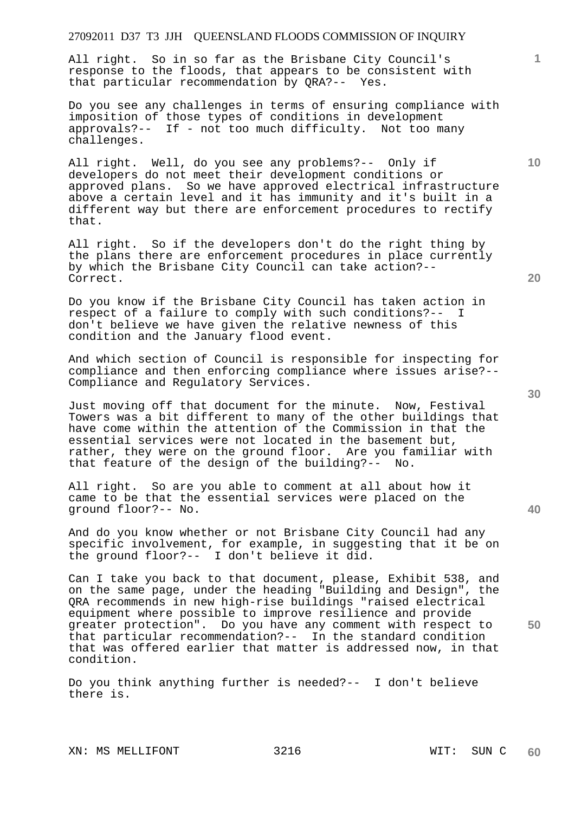All right. So in so far as the Brisbane City Council's response to the floods, that appears to be consistent with that particular recommendation by QRA?-- Yes.

Do you see any challenges in terms of ensuring compliance with imposition of those types of conditions in development approvals?-- If - not too much difficulty. Not too many challenges.

All right. Well, do you see any problems?-- Only if developers do not meet their development conditions or approved plans. So we have approved electrical infrastructure above a certain level and it has immunity and it's built in a different way but there are enforcement procedures to rectify that.

All right. So if the developers don't do the right thing by the plans there are enforcement procedures in place currently by which the Brisbane City Council can take action?-- Correct.

Do you know if the Brisbane City Council has taken action in respect of a failure to comply with such conditions?-- I don't believe we have given the relative newness of this condition and the January flood event.

And which section of Council is responsible for inspecting for compliance and then enforcing compliance where issues arise?-- Compliance and Regulatory Services.

Just moving off that document for the minute. Now, Festival Towers was a bit different to many of the other buildings that have come within the attention of the Commission in that the essential services were not located in the basement but, rather, they were on the ground floor. Are you familiar with that feature of the design of the building?-- No.

All right. So are you able to comment at all about how it came to be that the essential services were placed on the ground floor?-- No.

And do you know whether or not Brisbane City Council had any specific involvement, for example, in suggesting that it be on the ground floor?-- I don't believe it did.

Can I take you back to that document, please, Exhibit 538, and on the same page, under the heading "Building and Design", the QRA recommends in new high-rise buildings "raised electrical equipment where possible to improve resilience and provide greater protection". Do you have any comment with respect to that particular recommendation?-- In the standard condition that was offered earlier that matter is addressed now, in that condition.

Do you think anything further is needed?-- I don't believe there is.

XN: MS MELLIFONT 3216 WIT: SUN C

**20** 

**40** 

**50** 

**30** 

**10**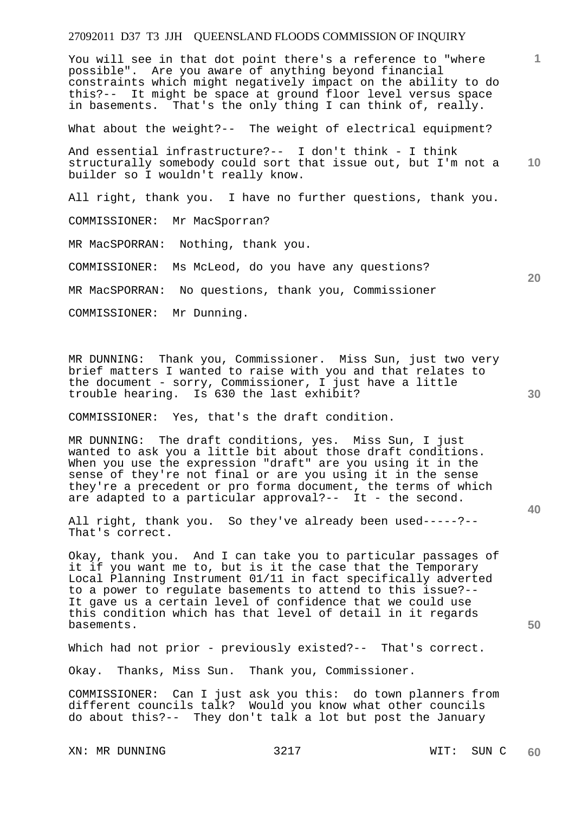You will see in that dot point there's a reference to "where possible". Are you aware of anything beyond financial constraints which might negatively impact on the ability to do this?-- It might be space at ground floor level versus space in basements. That's the only thing I can think of, really.

What about the weight?-- The weight of electrical equipment?

**10**  And essential infrastructure?-- I don't think - I think structurally somebody could sort that issue out, but I'm not a builder so I wouldn't really know.

All right, thank you. I have no further questions, thank you.

COMMISSIONER: Mr MacSporran?

MR MacSPORRAN: Nothing, thank you.

COMMISSIONER: Ms McLeod, do you have any questions?

MR MacSPORRAN: No questions, thank you, Commissioner

COMMISSIONER: Mr Dunning.

MR DUNNING: Thank you, Commissioner. Miss Sun, just two very brief matters I wanted to raise with you and that relates to the document - sorry, Commissioner, I just have a little trouble hearing. Is 630 the last exhibit?

COMMISSIONER: Yes, that's the draft condition.

MR DUNNING: The draft conditions, yes. Miss Sun, I just wanted to ask you a little bit about those draft conditions. When you use the expression "draft" are you using it in the sense of they're not final or are you using it in the sense they're a precedent or pro forma document, the terms of which are adapted to a particular approval?-- It - the second.

All right, thank you. So they've already been used-----?-- That's correct.

Okay, thank you. And I can take you to particular passages of it if you want me to, but is it the case that the Temporary Local Planning Instrument 01/11 in fact specifically adverted to a power to regulate basements to attend to this issue?-- It gave us a certain level of confidence that we could use this condition which has that level of detail in it regards basements.

Which had not prior - previously existed?-- That's correct.

Okay. Thanks, Miss Sun. Thank you, Commissioner.

COMMISSIONER: Can I just ask you this: do town planners from different councils talk? Would you know what other councils do about this?-- They don't talk a lot but post the January

XN: MR DUNNING 3217 WIT: SUN C

**1**

**20** 

**30** 

**40**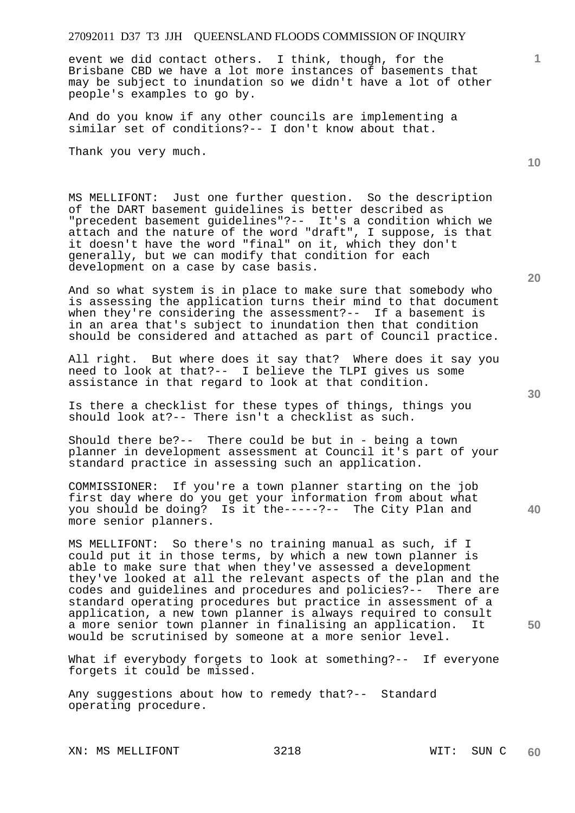event we did contact others. I think, though, for the Brisbane CBD we have a lot more instances of basements that may be subject to inundation so we didn't have a lot of other people's examples to go by.

And do you know if any other councils are implementing a similar set of conditions?-- I don't know about that.

Thank you very much.

MS MELLIFONT: Just one further question. So the description of the DART basement guidelines is better described as "precedent basement guidelines"?-- It's a condition which we attach and the nature of the word "draft", I suppose, is that it doesn't have the word "final" on it, which they don't generally, but we can modify that condition for each development on a case by case basis.

And so what system is in place to make sure that somebody who is assessing the application turns their mind to that document when they're considering the assessment?-- If a basement is in an area that's subject to inundation then that condition should be considered and attached as part of Council practice.

All right. But where does it say that? Where does it say you need to look at that?-- I believe the TLPI gives us some assistance in that regard to look at that condition.

Is there a checklist for these types of things, things you should look at?-- There isn't a checklist as such.

Should there be?-- There could be but in - being a town planner in development assessment at Council it's part of your standard practice in assessing such an application.

COMMISSIONER: If you're a town planner starting on the job first day where do you get your information from about what<br>you should be doing? Is it the-----?-- The City Plan and Is it the-----?-- The City Plan and more senior planners.

MS MELLIFONT: So there's no training manual as such, if I could put it in those terms, by which a new town planner is able to make sure that when they've assessed a development they've looked at all the relevant aspects of the plan and the codes and guidelines and procedures and policies?-- There are standard operating procedures but practice in assessment of a application, a new town planner is always required to consult a more senior town planner in finalising an application. It would be scrutinised by someone at a more senior level.

What if everybody forgets to look at something?-- If everyone forgets it could be missed.

Any suggestions about how to remedy that?-- Standard operating procedure.

XN: MS MELLIFONT 3218 WIT: SUN C

**20** 

**10** 

**1**

**30**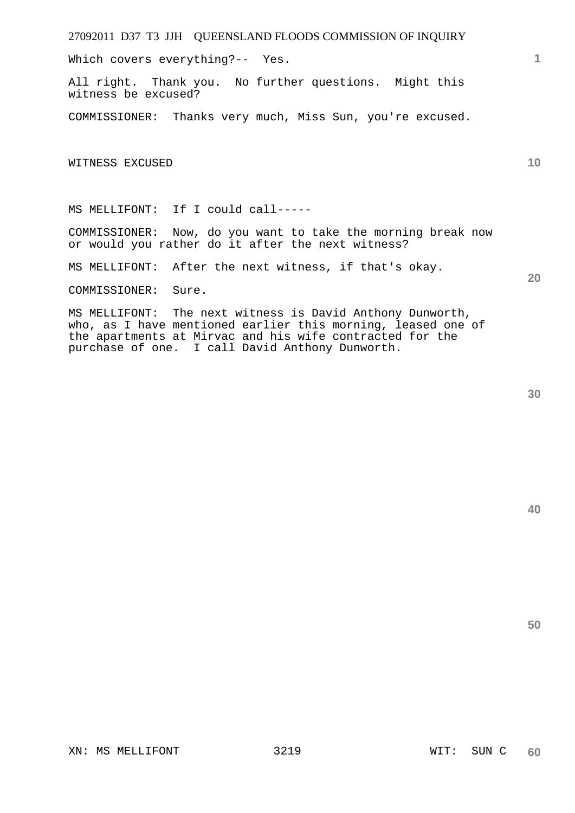Which covers everything?-- Yes.

All right. Thank you. No further questions. Might this witness be excused?

COMMISSIONER: Thanks very much, Miss Sun, you're excused.

WITNESS EXCUSED

MS MELLIFONT: If I could call-----

COMMISSIONER: Now, do you want to take the morning break now or would you rather do it after the next witness?

MS MELLIFONT: After the next witness, if that's okay.

COMMISSIONER: Sure.

MS MELLIFONT: The next witness is David Anthony Dunworth, who, as I have mentioned earlier this morning, leased one of the apartments at Mirvac and his wife contracted for the purchase of one. I call David Anthony Dunworth.

**40** 

**1**

**10** 

**20**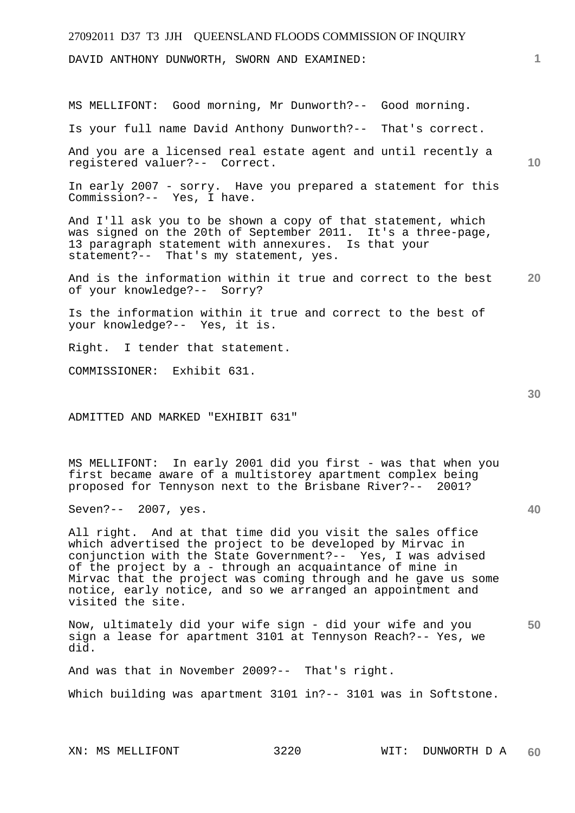DAVID ANTHONY DUNWORTH, SWORN AND EXAMINED:

MS MELLIFONT: Good morning, Mr Dunworth?-- Good morning.

Is your full name David Anthony Dunworth?-- That's correct.

And you are a licensed real estate agent and until recently a registered valuer?-- Correct.

In early 2007 - sorry. Have you prepared a statement for this Commission?-- Yes, I have.

And I'll ask you to be shown a copy of that statement, which was signed on the 20th of September 2011. It's a three-page, 13 paragraph statement with annexures. Is that your statement?-- That's my statement, yes.

**20**  And is the information within it true and correct to the best of your knowledge?-- Sorry?

Is the information within it true and correct to the best of your knowledge?-- Yes, it is.

Right. I tender that statement.

COMMISSIONER: Exhibit 631.

ADMITTED AND MARKED "EXHIBIT 631"

MS MELLIFONT: In early 2001 did you first - was that when you first became aware of a multistorey apartment complex being proposed for Tennyson next to the Brisbane River?-- 2001?

Seven?-- 2007, yes.

All right. And at that time did you visit the sales office which advertised the project to be developed by Mirvac in conjunction with the State Government?-- Yes, I was advised of the project by a - through an acquaintance of mine in Mirvac that the project was coming through and he gave us some notice, early notice, and so we arranged an appointment and visited the site.

**50**  Now, ultimately did your wife sign - did your wife and you sign a lease for apartment 3101 at Tennyson Reach?-- Yes, we did.

And was that in November 2009?-- That's right.

Which building was apartment 3101 in?-- 3101 was in Softstone.

**40** 

**10**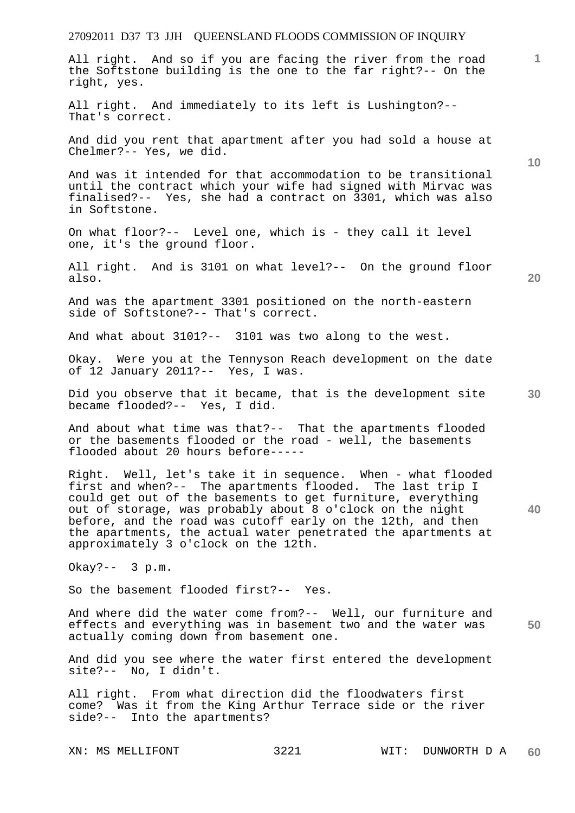# 27092011 D37 T3 JJH QUEENSLAND FLOODS COMMISSION OF INQUIRY **1 10 20 30 40 50**  All right. And so if you are facing the river from the road the Softstone building is the one to the far right?-- On the right, yes. All right. And immediately to its left is Lushington?-- That's correct. And did you rent that apartment after you had sold a house at Chelmer?-- Yes, we did. And was it intended for that accommodation to be transitional until the contract which your wife had signed with Mirvac was finalised?-- Yes, she had a contract on 3301, which was also in Softstone. On what floor?-- Level one, which is - they call it level one, it's the ground floor. All right. And is 3101 on what level?-- On the ground floor also. And was the apartment 3301 positioned on the north-eastern side of Softstone?-- That's correct. And what about 3101?-- 3101 was two along to the west. Okay. Were you at the Tennyson Reach development on the date of 12 January 2011?-- Yes, I was. Did you observe that it became, that is the development site became flooded?-- Yes, I did. And about what time was that?-- That the apartments flooded or the basements flooded or the road - well, the basements flooded about 20 hours before----- Right. Well, let's take it in sequence. When - what flooded first and when?-- The apartments flooded. The last trip I could get out of the basements to get furniture, everything out of storage, was probably about 8 o'clock on the night before, and the road was cutoff early on the 12th, and then the apartments, the actual water penetrated the apartments at approximately 3 o'clock on the 12th. Okay?-- 3 p.m. So the basement flooded first?-- Yes. And where did the water come from?-- Well, our furniture and effects and everything was in basement two and the water was actually coming down from basement one. And did you see where the water first entered the development site?-- No, I didn't. All right. From what direction did the floodwaters first come? Was it from the King Arthur Terrace side or the river side?-- Into the apartments?

XN: MS MELLIFONT 3221 WIT: DUNWORTH D A **60**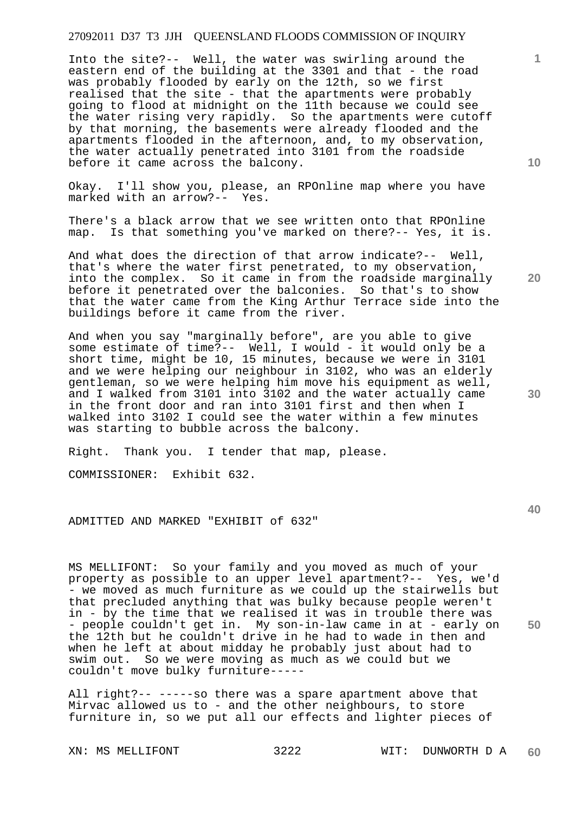Into the site?-- Well, the water was swirling around the eastern end of the building at the 3301 and that - the road was probably flooded by early on the 12th, so we first realised that the site - that the apartments were probably going to flood at midnight on the 11th because we could see the water rising very rapidly. So the apartments were cutoff by that morning, the basements were already flooded and the apartments flooded in the afternoon, and, to my observation, the water actually penetrated into 3101 from the roadside before it came across the balcony.

Okay. I'll show you, please, an RPOnline map where you have marked with an arrow?-- Yes.

There's a black arrow that we see written onto that RPOnline map. Is that something you've marked on there?-- Yes, it is.

And what does the direction of that arrow indicate?-- Well, that's where the water first penetrated, to my observation, into the complex. So it came in from the roadside marginally before it penetrated over the balconies. So that's to show that the water came from the King Arthur Terrace side into the buildings before it came from the river.

And when you say "marginally before", are you able to give some estimate of time?-- Well, I would - it would only be a short time, might be 10, 15 minutes, because we were in 3101 and we were helping our neighbour in 3102, who was an elderly gentleman, so we were helping him move his equipment as well, and I walked from 3101 into 3102 and the water actually came in the front door and ran into 3101 first and then when I walked into 3102 I could see the water within a few minutes was starting to bubble across the balcony.

Right. Thank you. I tender that map, please.

COMMISSIONER: Exhibit 632.

ADMITTED AND MARKED "EXHIBIT of 632"

MS MELLIFONT: So your family and you moved as much of your property as possible to an upper level apartment?-- Yes, we'd - we moved as much furniture as we could up the stairwells but that precluded anything that was bulky because people weren't in - by the time that we realised it was in trouble there was - people couldn't get in. My son-in-law came in at - early on the 12th but he couldn't drive in he had to wade in then and when he left at about midday he probably just about had to swim out. So we were moving as much as we could but we couldn't move bulky furniture-----

All right?-- -----so there was a spare apartment above that Mirvac allowed us to - and the other neighbours, to store furniture in, so we put all our effects and lighter pieces of

**1**

**20** 

**40**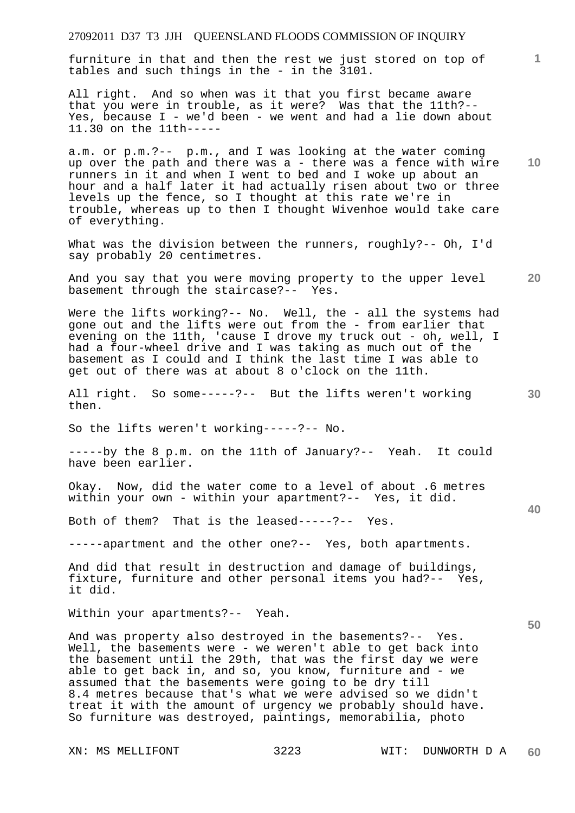furniture in that and then the rest we just stored on top of tables and such things in the - in the 3101.

All right. And so when was it that you first became aware that you were in trouble, as it were? Was that the 11th?-- Yes, because I - we'd been - we went and had a lie down about 11.30 on the 11th-----

a.m. or p.m.?-- p.m., and I was looking at the water coming up over the path and there was a - there was a fence with wire runners in it and when I went to bed and I woke up about an hour and a half later it had actually risen about two or three levels up the fence, so I thought at this rate we're in trouble, whereas up to then I thought Wivenhoe would take care of everything.

What was the division between the runners, roughly?-- Oh, I'd say probably 20 centimetres.

And you say that you were moving property to the upper level basement through the staircase?-- Yes.

Were the lifts working?-- No. Well, the - all the systems had gone out and the lifts were out from the - from earlier that evening on the 11th, 'cause I drove my truck out - oh, well, I had a four-wheel drive and I was taking as much out of the basement as I could and I think the last time I was able to get out of there was at about 8 o'clock on the 11th.

All right. So some-----?-- But the lifts weren't working then.

So the lifts weren't working-----?-- No.

-----by the 8 p.m. on the 11th of January?-- Yeah. It could have been earlier.

Okay. Now, did the water come to a level of about .6 metres within your own - within your apartment?-- Yes, it did.

Both of them? That is the leased-----?-- Yes.

-----apartment and the other one?-- Yes, both apartments.

And did that result in destruction and damage of buildings, fixture, furniture and other personal items you had?-- Yes, it did.

Within your apartments?-- Yeah.

And was property also destroyed in the basements?-- Yes. Well, the basements were - we weren't able to get back into the basement until the 29th, that was the first day we were able to get back in, and so, you know, furniture and - we assumed that the basements were going to be dry till 8.4 metres because that's what we were advised so we didn't treat it with the amount of urgency we probably should have. So furniture was destroyed, paintings, memorabilia, photo

**10** 

**1**

**20** 

**30** 

**40**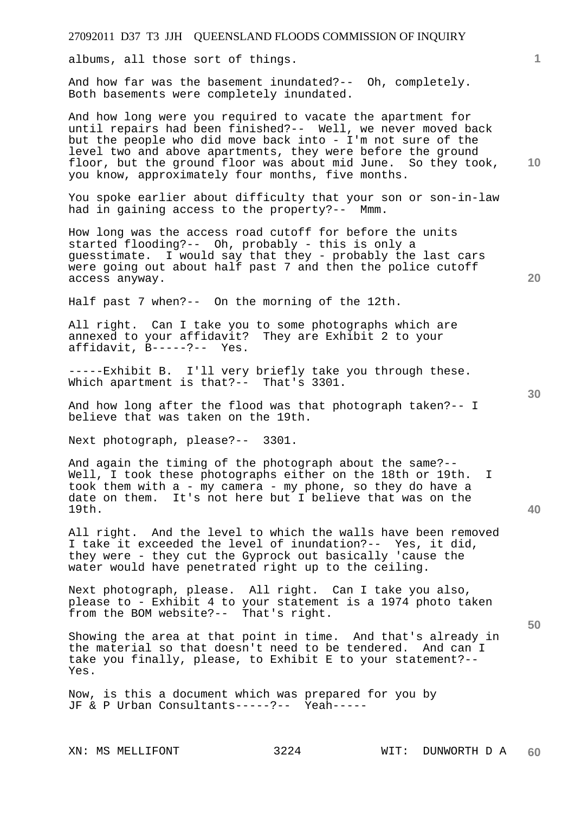albums, all those sort of things.

And how far was the basement inundated?-- Oh, completely. Both basements were completely inundated.

And how long were you required to vacate the apartment for until repairs had been finished?-- Well, we never moved back but the people who did move back into - I'm not sure of the level two and above apartments, they were before the ground floor, but the ground floor was about mid June. So they took, you know, approximately four months, five months.

You spoke earlier about difficulty that your son or son-in-law had in gaining access to the property?-- Mmm.

How long was the access road cutoff for before the units started flooding?-- Oh, probably - this is only a guesstimate. I would say that they - probably the last cars were going out about half past 7 and then the police cutoff access anyway.

Half past 7 when?-- On the morning of the 12th.

All right. Can I take you to some photographs which are annexed to your affidavit? They are Exhibit 2 to your affidavit, B-----?-- Yes.

-----Exhibit B. I'll very briefly take you through these. Which apartment is that?-- That's 3301.

And how long after the flood was that photograph taken?-- I believe that was taken on the 19th.

Next photograph, please?-- 3301.

And again the timing of the photograph about the same?-- Well, I took these photographs either on the 18th or 19th. I took them with a - my camera - my phone, so they do have a date on them. It's not here but I believe that was on the 19th.

All right. And the level to which the walls have been removed I take it exceeded the level of inundation?-- Yes, it did, they were - they cut the Gyprock out basically 'cause the water would have penetrated right up to the ceiling.

Next photograph, please. All right. Can I take you also, please to - Exhibit 4 to your statement is a 1974 photo taken from the BOM website?-- That's right.

Showing the area at that point in time. And that's already in the material so that doesn't need to be tendered. And can I take you finally, please, to Exhibit E to your statement?-- Yes.

Now, is this a document which was prepared for you by JF & P Urban Consultants-----?-- Yeah-----

**30** 

**40** 

**50** 

**20** 

**10**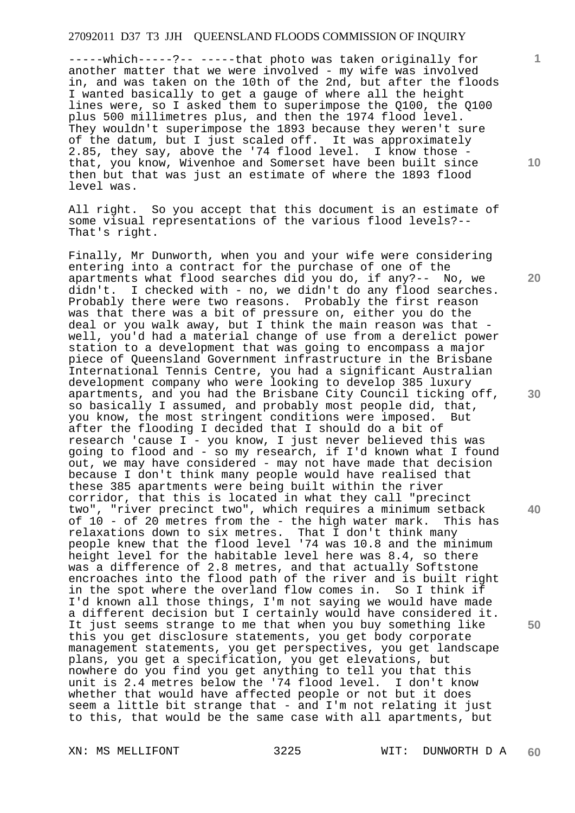-----which-----?-- -----that photo was taken originally for another matter that we were involved - my wife was involved in, and was taken on the 10th of the 2nd, but after the floods I wanted basically to get a gauge of where all the height lines were, so I asked them to superimpose the Q100, the Q100 plus 500 millimetres plus, and then the 1974 flood level. They wouldn't superimpose the 1893 because they weren't sure of the datum, but I just scaled off. It was approximately 2.85, they say, above the '74 flood level. I know those  $\overline{\phantom{a}}$ that, you know, Wivenhoe and Somerset have been built since then but that was just an estimate of where the 1893 flood level was.

All right. So you accept that this document is an estimate of some visual representations of the various flood levels?-- That's right.

Finally, Mr Dunworth, when you and your wife were considering entering into a contract for the purchase of one of the apartments what flood searches did you do, if any?-- No, we didn't. I checked with - no, we didn't do any flood searches. Probably there were two reasons. Probably the first reason was that there was a bit of pressure on, either you do the deal or you walk away, but I think the main reason was that well, you'd had a material change of use from a derelict power station to a development that was going to encompass a major piece of Queensland Government infrastructure in the Brisbane International Tennis Centre, you had a significant Australian development company who were looking to develop 385 luxury apartments, and you had the Brisbane City Council ticking off, so basically I assumed, and probably most people did, that, you know, the most stringent conditions were imposed. But after the flooding I decided that I should do a bit of research 'cause I - you know, I just never believed this was going to flood and - so my research, if I'd known what I found out, we may have considered - may not have made that decision because I don't think many people would have realised that these 385 apartments were being built within the river corridor, that this is located in what they call "precinct two", "river precinct two", which requires a minimum setback of 10 - of 20 metres from the - the high water mark. This has relaxations down to six metres. That I don't think many people knew that the flood level '74 was 10.8 and the minimum height level for the habitable level here was 8.4, so there was a difference of 2.8 metres, and that actually Softstone encroaches into the flood path of the river and is built right in the spot where the overland flow comes in. So I think if I'd known all those things, I'm not saying we would have made a different decision but I certainly would have considered it. It just seems strange to me that when you buy something like this you get disclosure statements, you get body corporate management statements, you get perspectives, you get landscape plans, you get a specification, you get elevations, but nowhere do you find you get anything to tell you that this unit is 2.4 metres below the '74 flood level. I don't know whether that would have affected people or not but it does seem a little bit strange that - and I'm not relating it just to this, that would be the same case with all apartments, but

XN: MS MELLIFONT 3225 WIT: DUNWORTH D A **60** 

**10** 

**1**

**20** 

**30** 

**40**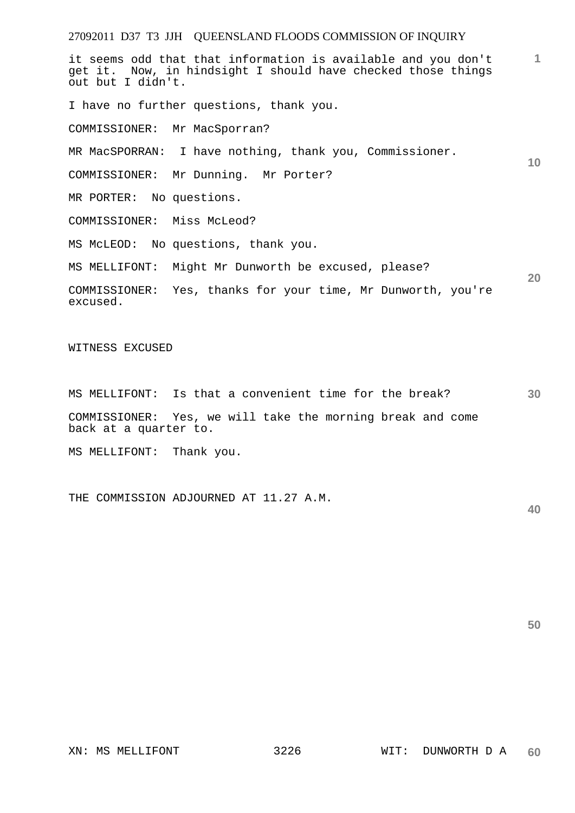it seems odd that that information is available and you don't get it. Now, in hindsight I should have checked those things out but I didn't.

I have no further questions, thank you.

COMMISSIONER: Mr MacSporran?

MR MacSPORRAN: I have nothing, thank you, Commissioner.

COMMISSIONER: Mr Dunning. Mr Porter?

MR PORTER: No questions.

COMMISSIONER: Miss McLeod?

MS McLEOD: No questions, thank you.

MS MELLIFONT: Might Mr Dunworth be excused, please?

COMMISSIONER: Yes, thanks for your time, Mr Dunworth, you're excused.

WITNESS EXCUSED

**30**  MS MELLIFONT: Is that a convenient time for the break? COMMISSIONER: Yes, we will take the morning break and come back at a quarter to.

MS MELLIFONT: Thank you.

THE COMMISSION ADJOURNED AT 11.27 A.M.

**40** 

**50** 

**1**

**10**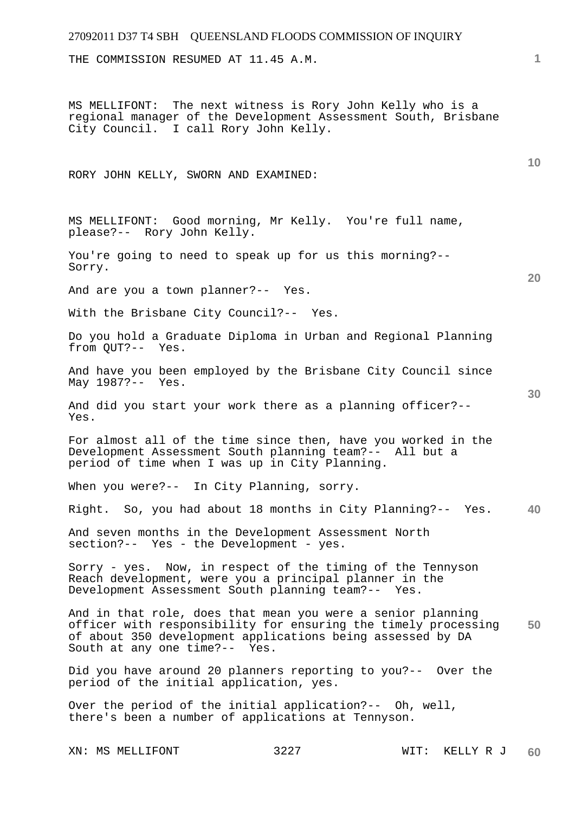# 27092011 D37 T4 SBH QUEENSLAND FLOODS COMMISSION OF INQUIRY **1 10 20 30 40 50**  THE COMMISSION RESUMED AT 11.45 A.M. MS MELLIFONT: The next witness is Rory John Kelly who is a regional manager of the Development Assessment South, Brisbane City Council. I call Rory John Kelly. RORY JOHN KELLY, SWORN AND EXAMINED: MS MELLIFONT: Good morning, Mr Kelly. You're full name, please?-- Rory John Kelly. You're going to need to speak up for us this morning?-- Sorry. And are you a town planner?-- Yes. With the Brisbane City Council?-- Yes. Do you hold a Graduate Diploma in Urban and Regional Planning from QUT?-- Yes. And have you been employed by the Brisbane City Council since May 1987?-- Yes. And did you start your work there as a planning officer?-- Yes. For almost all of the time since then, have you worked in the Development Assessment South planning team?-- All but a period of time when I was up in City Planning. When you were?-- In City Planning, sorry. Right. So, you had about 18 months in City Planning?-- Yes. And seven months in the Development Assessment North section?-- Yes - the Development - yes. Sorry - yes. Now, in respect of the timing of the Tennyson Reach development, were you a principal planner in the Development Assessment South planning team?-- Yes. And in that role, does that mean you were a senior planning officer with responsibility for ensuring the timely processing of about 350 development applications being assessed by DA<br>South at any one time?-- Yes. South at any one time?--Did you have around 20 planners reporting to you?-- Over the period of the initial application, yes. Over the period of the initial application?-- Oh, well, there's been a number of applications at Tennyson.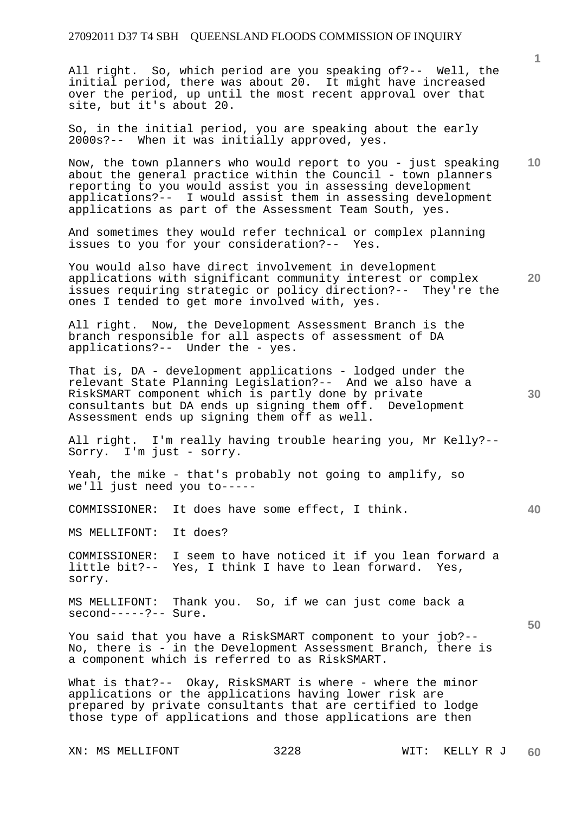All right. So, which period are you speaking of?-- Well, the initial period, there was about 20. It might have increased over the period, up until the most recent approval over that site, but it's about 20.

So, in the initial period, you are speaking about the early 2000s?-- When it was initially approved, yes.

**10**  Now, the town planners who would report to you - just speaking about the general practice within the Council - town planners reporting to you would assist you in assessing development applications?-- I would assist them in assessing development applications as part of the Assessment Team South, yes.

And sometimes they would refer technical or complex planning issues to you for your consideration?-- Yes.

**20**  You would also have direct involvement in development applications with significant community interest or complex issues requiring strategic or policy direction?-- They're the ones I tended to get more involved with, yes.

All right. Now, the Development Assessment Branch is the branch responsible for all aspects of assessment of DA applications?-- Under the - yes.

That is, DA - development applications - lodged under the relevant State Planning Legislation?-- And we also have a RiskSMART component which is partly done by private consultants but DA ends up signing them off. Development Assessment ends up signing them off as well.

All right. I'm really having trouble hearing you, Mr Kelly?-- Sorry. I'm just - sorry.

Yeah, the mike - that's probably not going to amplify, so we'll just need you to-----

COMMISSIONER: It does have some effect, I think.

MS MELLIFONT: It does?

COMMISSIONER: I seem to have noticed it if you lean forward a little bit?-- Yes, I think I have to lean forward. Yes, sorry.

MS MELLIFONT: Thank you. So, if we can just come back a second-----?-- Sure.

You said that you have a RiskSMART component to your job?-- No, there is - in the Development Assessment Branch, there is a component which is referred to as RiskSMART.

What is that?-- Okay, RiskSMART is where - where the minor applications or the applications having lower risk are prepared by private consultants that are certified to lodge those type of applications and those applications are then

XN: MS MELLIFONT 3228 WIT: KELLY R J

**30** 

**40**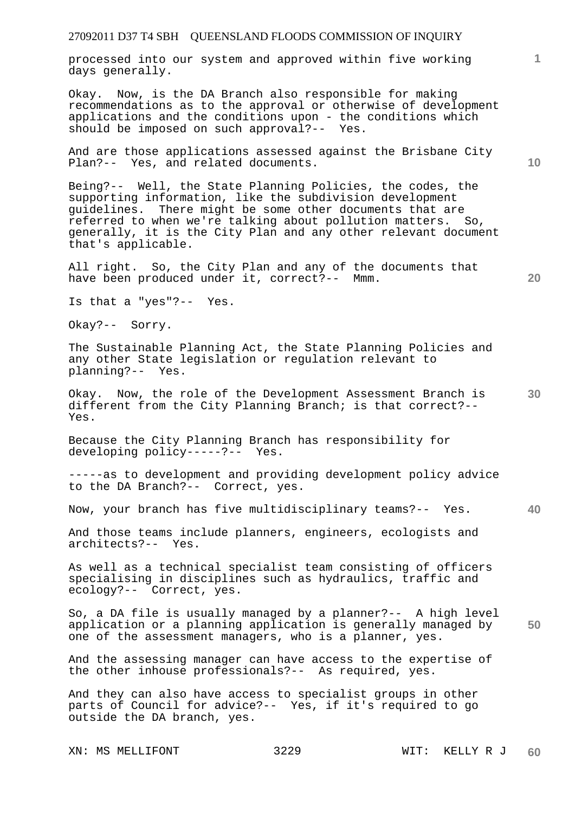processed into our system and approved within five working days generally.

Okay. Now, is the DA Branch also responsible for making recommendations as to the approval or otherwise of development applications and the conditions upon - the conditions which should be imposed on such approval?-- Yes.

And are those applications assessed against the Brisbane City Plan?-- Yes, and related documents.

Being?-- Well, the State Planning Policies, the codes, the supporting information, like the subdivision development guidelines. There might be some other documents that are referred to when we're talking about pollution matters. So, generally, it is the City Plan and any other relevant document that's applicable.

All right. So, the City Plan and any of the documents that have been produced under it, correct?-- Mmm.

Is that a "yes"?-- Yes.

Okay?-- Sorry.

The Sustainable Planning Act, the State Planning Policies and any other State legislation or regulation relevant to planning?-- Yes.

**30**  Okay. Now, the role of the Development Assessment Branch is different from the City Planning Branch; is that correct?-- Yes.

Because the City Planning Branch has responsibility for developing policy-----?-- Yes.

-----as to development and providing development policy advice to the DA Branch?-- Correct, yes.

**40**  Now, your branch has five multidisciplinary teams?-- Yes.

And those teams include planners, engineers, ecologists and architects?-- Yes.

As well as a technical specialist team consisting of officers specialising in disciplines such as hydraulics, traffic and ecology?-- Correct, yes.

**50**  So, a DA file is usually managed by a planner?-- A high level application or a planning application is generally managed by one of the assessment managers, who is a planner, yes.

And the assessing manager can have access to the expertise of the other inhouse professionals?-- As required, yes.

And they can also have access to specialist groups in other parts of Council for advice?-- Yes, if it's required to go outside the DA branch, yes.

XN: MS MELLIFONT 3229 WIT: KELLY R J

**10** 

**20**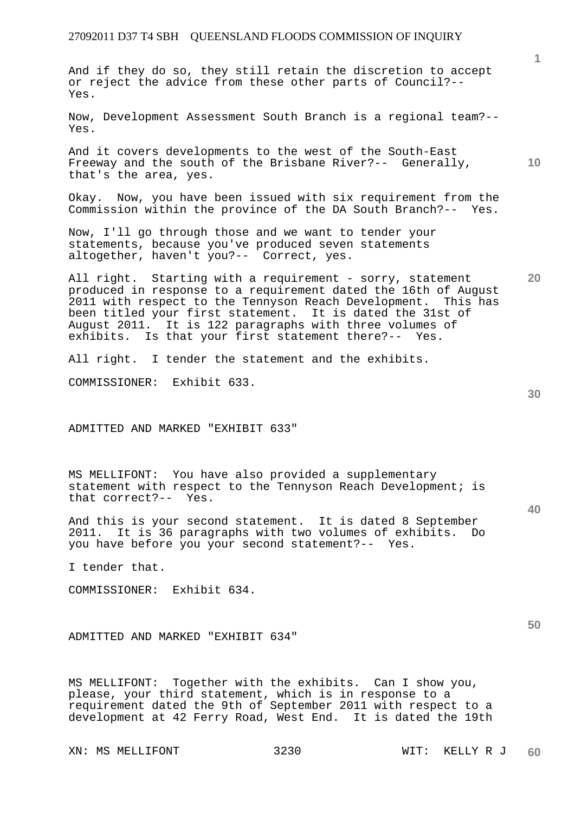And if they do so, they still retain the discretion to accept or reject the advice from these other parts of Council?-- Yes.

Now, Development Assessment South Branch is a regional team?-- Yes.

And it covers developments to the west of the South-East Freeway and the south of the Brisbane River?-- Generally, that's the area, yes.

Okay. Now, you have been issued with six requirement from the Commission within the province of the DA South Branch?-- Yes.

Now, I'll go through those and we want to tender your statements, because you've produced seven statements altogether, haven't you?-- Correct, yes.

All right. Starting with a requirement - sorry, statement produced in response to a requirement dated the 16th of August 2011 with respect to the Tennyson Reach Development. This has been titled your first statement. It is dated the 31st of August 2011. It is 122 paragraphs with three volumes of exhibits. Is that your first statement there?-- Yes.

All right. I tender the statement and the exhibits.

COMMISSIONER: Exhibit 633.

ADMITTED AND MARKED "EXHIBIT 633"

MS MELLIFONT: You have also provided a supplementary statement with respect to the Tennyson Reach Development; is that correct?-- Yes.

And this is your second statement. It is dated 8 September 2011. It is 36 paragraphs with two volumes of exhibits. Do you have before you your second statement?-- Yes.

I tender that.

COMMISSIONER: Exhibit 634.

ADMITTED AND MARKED "EXHIBIT 634"

MS MELLIFONT: Together with the exhibits. Can I show you, please, your third statement, which is in response to a requirement dated the 9th of September 2011 with respect to a development at 42 Ferry Road, West End. It is dated the 19th

XN: MS MELLIFONT 3230 WIT: KELLY R J

**30** 

**50** 

**40** 

**1**

**10**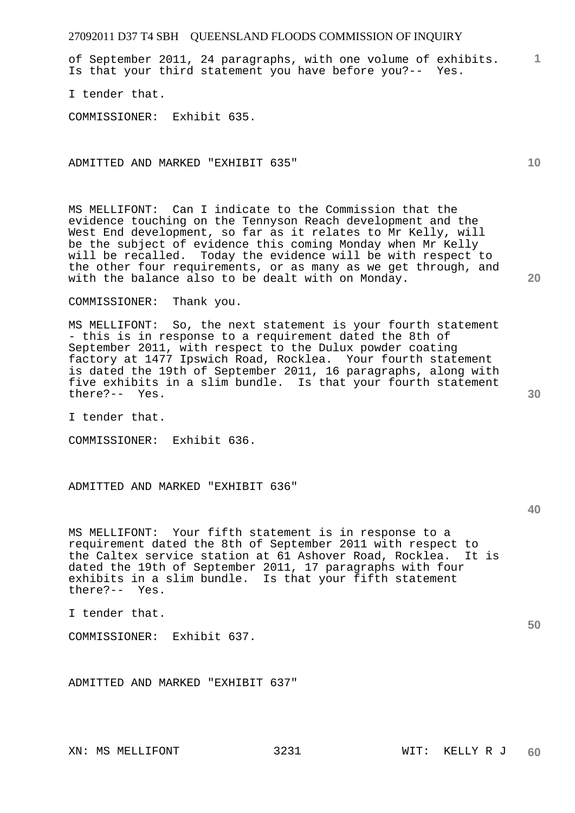**1** of September 2011, 24 paragraphs, with one volume of exhibits. Is that your third statement you have before you?-- Yes.

I tender that.

COMMISSIONER: Exhibit 635.

ADMITTED AND MARKED "EXHIBIT 635"

MS MELLIFONT: Can I indicate to the Commission that the evidence touching on the Tennyson Reach development and the West End development, so far as it relates to Mr Kelly, will be the subject of evidence this coming Monday when Mr Kelly will be recalled. Today the evidence will be with respect to the other four requirements, or as many as we get through, and with the balance also to be dealt with on Monday.

COMMISSIONER: Thank you.

MS MELLIFONT: So, the next statement is your fourth statement - this is in response to a requirement dated the 8th of September 2011, with respect to the Dulux powder coating factory at 1477 Ipswich Road, Rocklea. Your fourth statement is dated the 19th of September 2011, 16 paragraphs, along with five exhibits in a slim bundle. Is that your fourth statement there?-- Yes.

I tender that.

COMMISSIONER: Exhibit 636.

ADMITTED AND MARKED "EXHIBIT 636"

MS MELLIFONT: Your fifth statement is in response to a requirement dated the 8th of September 2011 with respect to<br>the Caltex service station at 61 Ashover Road, Rocklea. It is the Caltex service station at 61 Ashover Road, Rocklea. dated the 19th of September 2011, 17 paragraphs with four exhibits in a slim bundle. Is that your fifth statement there?-- Yes.

I tender that.

COMMISSIONER: Exhibit 637.

ADMITTED AND MARKED "EXHIBIT 637"

XN: MS MELLIFONT 3231 WIT: KELLY R J

**10** 

**30** 

**40**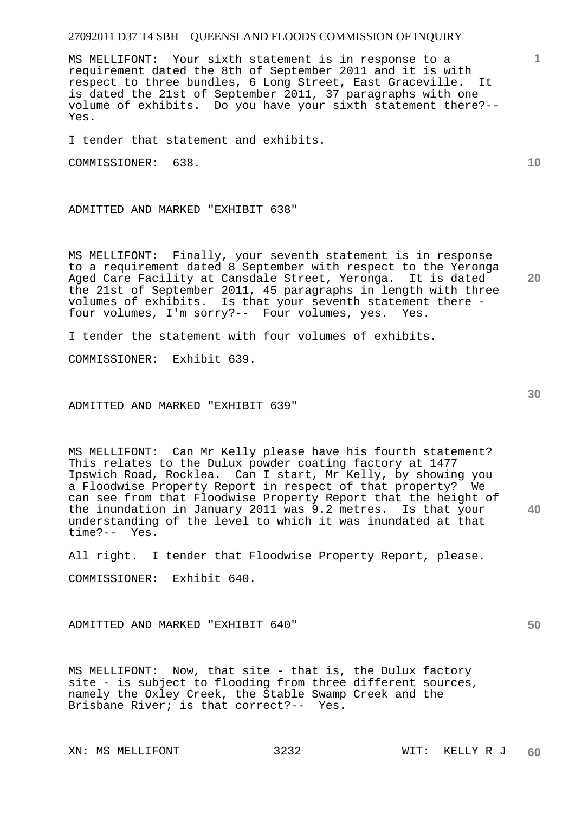MS MELLIFONT: Your sixth statement is in response to a requirement dated the 8th of September 2011 and it is with respect to three bundles, 6 Long Street, East Graceville. It is dated the 21st of September 2011, 37 paragraphs with one volume of exhibits. Do you have your sixth statement there?-- Yes.

I tender that statement and exhibits.

COMMISSIONER: 638.

ADMITTED AND MARKED "EXHIBIT 638"

MS MELLIFONT: Finally, your seventh statement is in response to a requirement dated 8 September with respect to the Yeronga Aged Care Facility at Cansdale Street, Yeronga. It is dated the 21st of September 2011, 45 paragraphs in length with three volumes of exhibits. Is that your seventh statement there four volumes, I'm sorry?-- Four volumes, yes. Yes.

I tender the statement with four volumes of exhibits.

COMMISSIONER: Exhibit 639.

ADMITTED AND MARKED "EXHIBIT 639"

MS MELLIFONT: Can Mr Kelly please have his fourth statement? This relates to the Dulux powder coating factory at 1477 Ipswich Road, Rocklea. Can I start, Mr Kelly, by showing you a Floodwise Property Report in respect of that property? We can see from that Floodwise Property Report that the height of the inundation in January 2011 was 9.2 metres. Is that your understanding of the level to which it was inundated at that time?-- Yes.

All right. I tender that Floodwise Property Report, please. COMMISSIONER: Exhibit 640.

ADMITTED AND MARKED "EXHIBIT 640"

MS MELLIFONT: Now, that site - that is, the Dulux factory site - is subject to flooding from three different sources, namely the Oxley Creek, the Stable Swamp Creek and the Brisbane River; is that correct?-- Yes.

**10** 

**20** 

**1**

**30**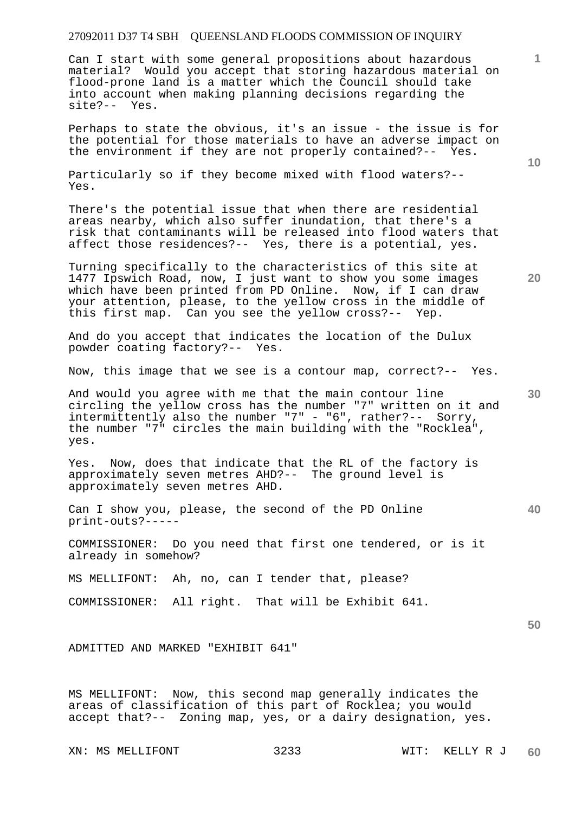Can I start with some general propositions about hazardous material? Would you accept that storing hazardous material on flood-prone land is a matter which the Council should take into account when making planning decisions regarding the site?-- Yes.

Perhaps to state the obvious, it's an issue - the issue is for the potential for those materials to have an adverse impact on the environment if they are not properly contained?-- Yes.

Particularly so if they become mixed with flood waters?-- Yes.

There's the potential issue that when there are residential areas nearby, which also suffer inundation, that there's a risk that contaminants will be released into flood waters that affect those residences?-- Yes, there is a potential, yes.

Turning specifically to the characteristics of this site at 1477 Ipswich Road, now, I just want to show you some images which have been printed from PD Online. Now, if I can draw your attention, please, to the yellow cross in the middle of this first map. Can you see the yellow cross?-- Yep.

And do you accept that indicates the location of the Dulux powder coating factory?-- Yes.

Now, this image that we see is a contour map, correct?-- Yes.

And would you agree with me that the main contour line circling the yellow cross has the number "7" written on it and intermittently also the number "7" - "6", rather?-- Sorry, the number "7" circles the main building with the "Rocklea", yes.

Yes. Now, does that indicate that the RL of the factory is approximately seven metres AHD?-- The ground level is approximately seven metres AHD.

Can I show you, please, the second of the PD Online print-outs?-----

COMMISSIONER: Do you need that first one tendered, or is it already in somehow?

MS MELLIFONT: Ah, no, can I tender that, please?

COMMISSIONER: All right. That will be Exhibit 641.

**50** 

ADMITTED AND MARKED "EXHIBIT 641"

MS MELLIFONT: Now, this second map generally indicates the areas of classification of this part of Rocklea; you would accept that?-- Zoning map, yes, or a dairy designation, yes.

XN: MS MELLIFONT 3233 WIT: KELLY R J

**10** 

**1**

**20**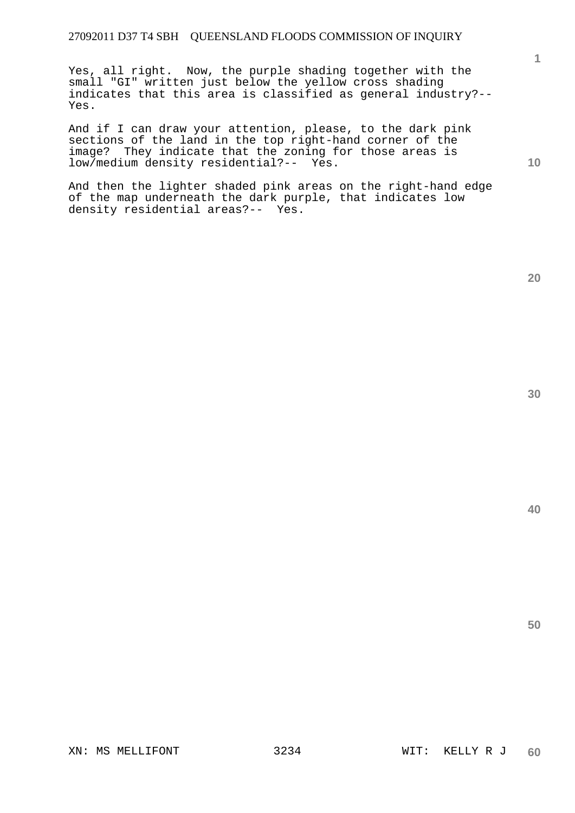Yes, all right. Now, the purple shading together with the small "GI" written just below the yellow cross shading indicates that this area is classified as general industry?-- Yes.

And if I can draw your attention, please, to the dark pink sections of the land in the top right-hand corner of the image? They indicate that the zoning for those areas is low/medium density residential?-- Yes.

And then the lighter shaded pink areas on the right-hand edge of the map underneath the dark purple, that indicates low density residential areas?-- Yes.

**1**

**10**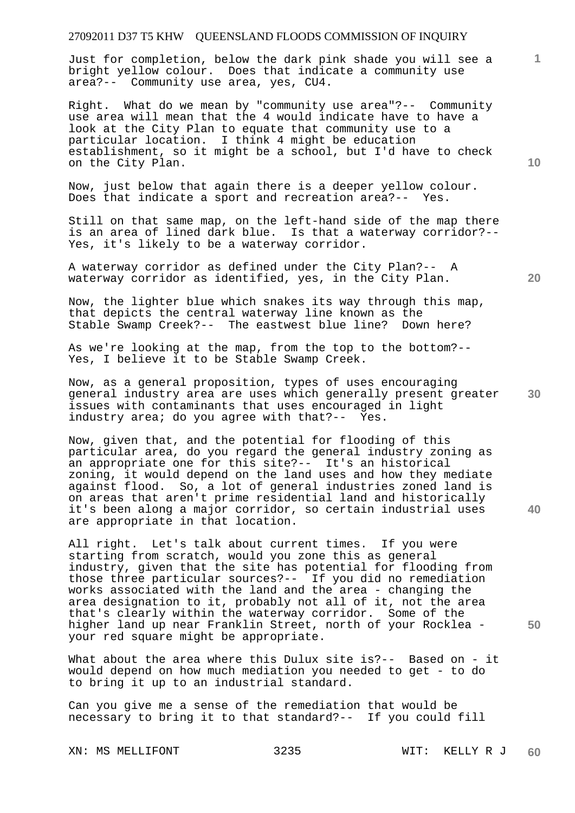Just for completion, below the dark pink shade you will see a bright yellow colour. Does that indicate a community use area?-- Community use area, yes, CU4.

Right. What do we mean by "community use area"?-- Community use area will mean that the 4 would indicate have to have a look at the City Plan to equate that community use to a particular location. I think 4 might be education establishment, so it might be a school, but I'd have to check on the City Plan.

Now, just below that again there is a deeper yellow colour. Does that indicate a sport and recreation area?-- Yes.

Still on that same map, on the left-hand side of the map there is an area of lined dark blue. Is that a waterway corridor?-- Yes, it's likely to be a waterway corridor.

A waterway corridor as defined under the City Plan?-- A waterway corridor as identified, yes, in the City Plan.

Now, the lighter blue which snakes its way through this map, that depicts the central waterway line known as the Stable Swamp Creek?-- The eastwest blue line? Down here?

As we're looking at the map, from the top to the bottom?-- Yes, I believe it to be Stable Swamp Creek.

**30**  Now, as a general proposition, types of uses encouraging general industry area are uses which generally present greater issues with contaminants that uses encouraged in light industry area; do you agree with that?-- Yes.

Now, given that, and the potential for flooding of this particular area, do you regard the general industry zoning as an appropriate one for this site?-- It's an historical zoning, it would depend on the land uses and how they mediate against flood. So, a lot of general industries zoned land is on areas that aren't prime residential land and historically it's been along a major corridor, so certain industrial uses are appropriate in that location.

All right. Let's talk about current times. If you were starting from scratch, would you zone this as general industry, given that the site has potential for flooding from those three particular sources?-- If you did no remediation works associated with the land and the area - changing the area designation to it, probably not all of it, not the area that's clearly within the waterway corridor. Some of the higher land up near Franklin Street, north of your Rocklea your red square might be appropriate.

What about the area where this Dulux site is?-- Based on - it would depend on how much mediation you needed to get - to do to bring it up to an industrial standard.

Can you give me a sense of the remediation that would be necessary to bring it to that standard?-- If you could fill

XN: MS MELLIFONT 3235 WIT: KELLY R J

**10** 

**1**

**40** 

**50**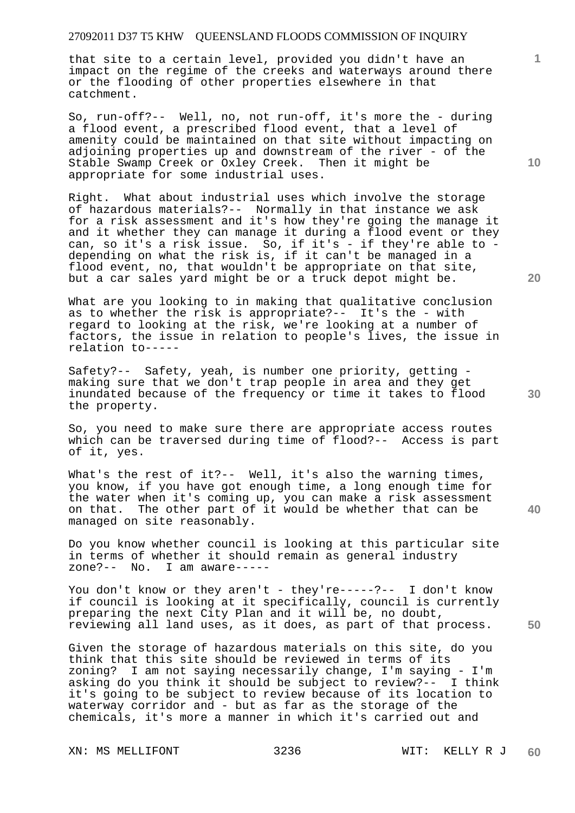that site to a certain level, provided you didn't have an impact on the regime of the creeks and waterways around there or the flooding of other properties elsewhere in that catchment.

So, run-off?-- Well, no, not run-off, it's more the - during a flood event, a prescribed flood event, that a level of amenity could be maintained on that site without impacting on adjoining properties up and downstream of the river - of the Stable Swamp Creek or Oxley Creek. Then it might be appropriate for some industrial uses.

Right. What about industrial uses which involve the storage of hazardous materials?-- Normally in that instance we ask for a risk assessment and it's how they're going the manage it and it whether they can manage it during a flood event or they can, so it's a risk issue. So, if it's - if they're able to depending on what the risk is, if it can't be managed in a flood event, no, that wouldn't be appropriate on that site, but a car sales yard might be or a truck depot might be.

What are you looking to in making that qualitative conclusion as to whether the risk is appropriate?-- It's the - with regard to looking at the risk, we're looking at a number of factors, the issue in relation to people's lives, the issue in relation to-----

Safety?-- Safety, yeah, is number one priority, getting making sure that we don't trap people in area and they get inundated because of the frequency or time it takes to flood the property.

So, you need to make sure there are appropriate access routes which can be traversed during time of flood?-- Access is part of it, yes.

What's the rest of it?-- Well, it's also the warning times, you know, if you have got enough time, a long enough time for the water when it's coming up, you can make a risk assessment on that. The other part of it would be whether that can be managed on site reasonably.

Do you know whether council is looking at this particular site in terms of whether it should remain as general industry zone?-- No. I am aware-----

You don't know or they aren't - they're-----?-- I don't know if council is looking at it specifically, council is currently preparing the next City Plan and it will be, no doubt, reviewing all land uses, as it does, as part of that process.

Given the storage of hazardous materials on this site, do you think that this site should be reviewed in terms of its zoning? I am not saying necessarily change, I'm saying - I'm asking do you think it should be subject to review?-- I think it's going to be subject to review because of its location to waterway corridor and - but as far as the storage of the chemicals, it's more a manner in which it's carried out and

**10** 

**1**

**20** 

**40** 

**30**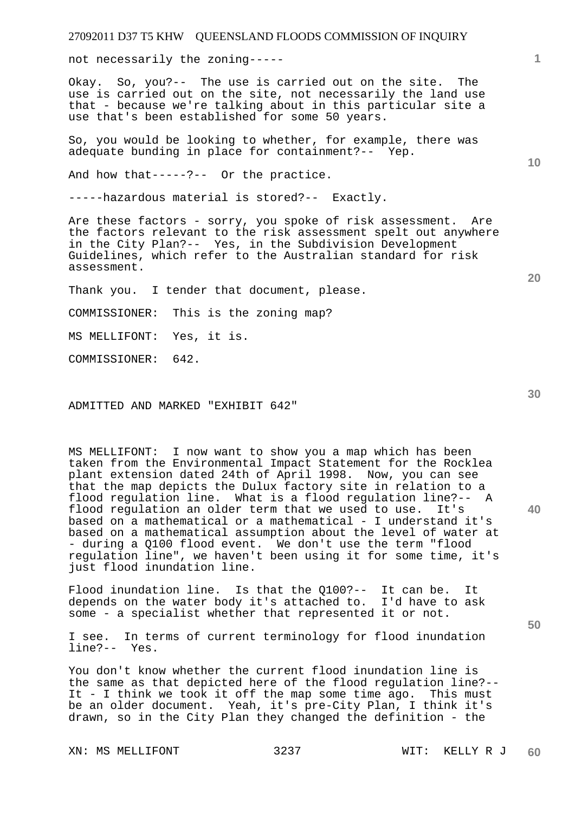not necessarily the zoning-----

Okay. So, you?-- The use is carried out on the site. The use is carried out on the site, not necessarily the land use that - because we're talking about in this particular site a use that's been established for some 50 years.

So, you would be looking to whether, for example, there was adequate bunding in place for containment?-- Yep.

And how that-----?-- Or the practice.

-----hazardous material is stored?-- Exactly.

Are these factors - sorry, you spoke of risk assessment. Are the factors relevant to the risk assessment spelt out anywhere in the City Plan?-- Yes, in the Subdivision Development Guidelines, which refer to the Australian standard for risk assessment.

Thank you. I tender that document, please.

COMMISSIONER: This is the zoning map?

MS MELLIFONT: Yes, it is.

COMMISSIONER: 642.

ADMITTED AND MARKED "EXHIBIT 642"

MS MELLIFONT: I now want to show you a map which has been taken from the Environmental Impact Statement for the Rocklea plant extension dated 24th of April 1998. Now, you can see that the map depicts the Dulux factory site in relation to a flood regulation line. What is a flood regulation line?-- A flood regulation an older term that we used to use. It's based on a mathematical or a mathematical - I understand it's based on a mathematical assumption about the level of water at - during a Q100 flood event. We don't use the term "flood regulation line", we haven't been using it for some time, it's just flood inundation line.

Flood inundation line. Is that the Q100?-- It can be. It depends on the water body it's attached to. I'd have to ask some - a specialist whether that represented it or not.

I see. In terms of current terminology for flood inundation line?-- Yes.

You don't know whether the current flood inundation line is the same as that depicted here of the flood regulation line?-- It - I think we took it off the map some time ago. This must be an older document. Yeah, it's pre-City Plan, I think it's drawn, so in the City Plan they changed the definition - the

XN: MS MELLIFONT 3237 WIT: KELLY R J

**10** 

**20** 

**1**

**30**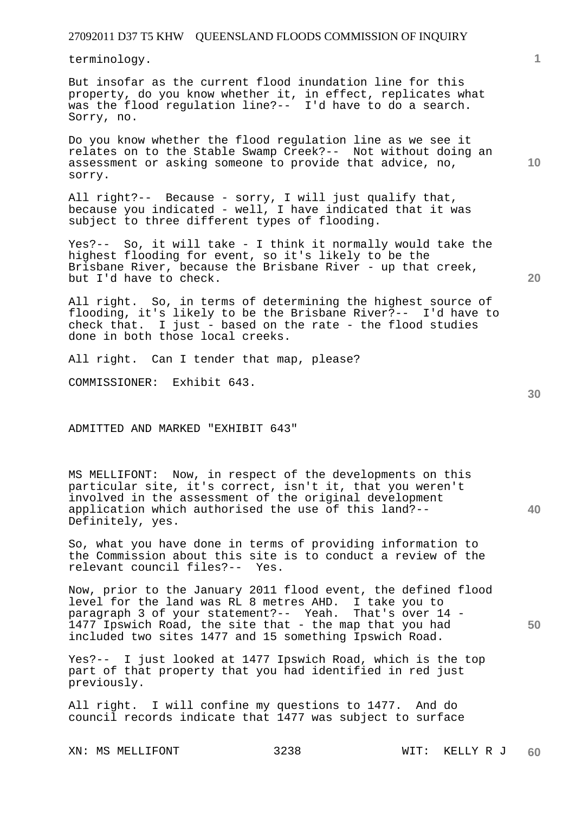terminology.

But insofar as the current flood inundation line for this property, do you know whether it, in effect, replicates what was the flood regulation line?-- I'd have to do a search. Sorry, no.

Do you know whether the flood regulation line as we see it relates on to the Stable Swamp Creek?-- Not without doing an assessment or asking someone to provide that advice, no, sorry.

All right?-- Because - sorry, I will just qualify that, because you indicated - well, I have indicated that it was subject to three different types of flooding.

Yes?-- So, it will take - I think it normally would take the highest flooding for event, so it's likely to be the Brisbane River, because the Brisbane River - up that creek, but I'd have to check.

All right. So, in terms of determining the highest source of flooding, it's likely to be the Brisbane River?-- I'd have to check that. I just - based on the rate - the flood studies done in both those local creeks.

All right. Can I tender that map, please?

COMMISSIONER: Exhibit 643.

ADMITTED AND MARKED "EXHIBIT 643"

MS MELLIFONT: Now, in respect of the developments on this particular site, it's correct, isn't it, that you weren't involved in the assessment of the original development application which authorised the use of this land?-- Definitely, yes.

So, what you have done in terms of providing information to the Commission about this site is to conduct a review of the relevant council files?-- Yes.

Now, prior to the January 2011 flood event, the defined flood level for the land was RL 8 metres AHD. I take you to paragraph 3 of your statement?-- Yeah. That's over 14 - 1477 Ipswich Road, the site that - the map that you had included two sites 1477 and 15 something Ipswich Road.

Yes?-- I just looked at 1477 Ipswich Road, which is the top part of that property that you had identified in red just previously.

All right. I will confine my questions to 1477. And do council records indicate that 1477 was subject to surface

**20** 

**10** 

**1**

**40**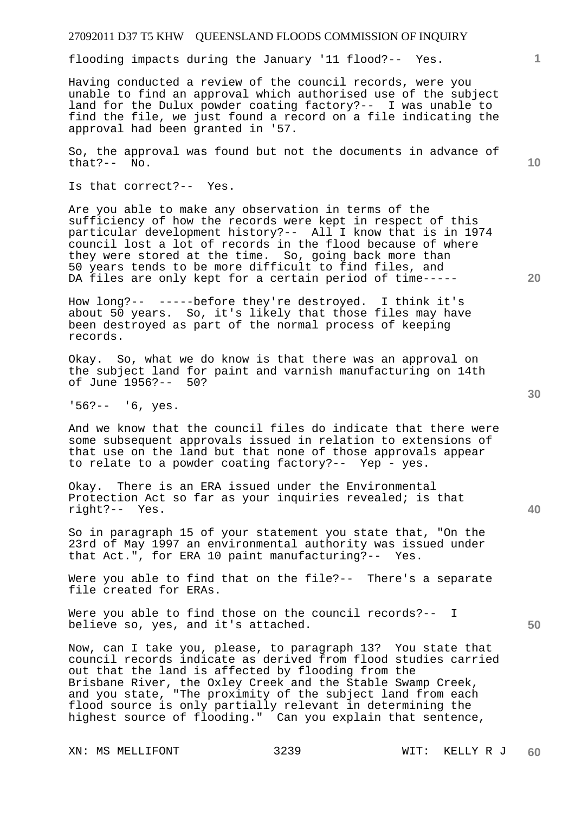flooding impacts during the January '11 flood?-- Yes.

Having conducted a review of the council records, were you unable to find an approval which authorised use of the subject land for the Dulux powder coating factory?-- I was unable to find the file, we just found a record on a file indicating the approval had been granted in '57.

So, the approval was found but not the documents in advance of that?-- No.

Is that correct?-- Yes.

Are you able to make any observation in terms of the sufficiency of how the records were kept in respect of this particular development history?-- All I know that is in 1974 council lost a lot of records in the flood because of where they were stored at the time. So, going back more than 50 years tends to be more difficult to find files, and DA files are only kept for a certain period of time-----

How long?-- -----before they're destroyed. I think it's about 50 years. So, it's likely that those files may have been destroyed as part of the normal process of keeping records.

Okay. So, what we do know is that there was an approval on the subject land for paint and varnish manufacturing on 14th of June 1956?-- 50?

'56?-- '6, yes.

And we know that the council files do indicate that there were some subsequent approvals issued in relation to extensions of that use on the land but that none of those approvals appear to relate to a powder coating factory?-- Yep - yes.

Okay. There is an ERA issued under the Environmental Protection Act so far as your inquiries revealed; is that right?-- Yes.

So in paragraph 15 of your statement you state that, "On the 23rd of May 1997 an environmental authority was issued under that Act.", for ERA 10 paint manufacturing?-- Yes.

Were you able to find that on the file?-- There's a separate file created for ERAs.

Were you able to find those on the council records?-- I believe so, yes, and it's attached.

Now, can I take you, please, to paragraph 13? You state that council records indicate as derived from flood studies carried out that the land is affected by flooding from the Brisbane River, the Oxley Creek and the Stable Swamp Creek, and you state, "The proximity of the subject land from each flood source is only partially relevant in determining the highest source of flooding." Can you explain that sentence,

**20** 

**10** 

**40** 

**50** 

**30**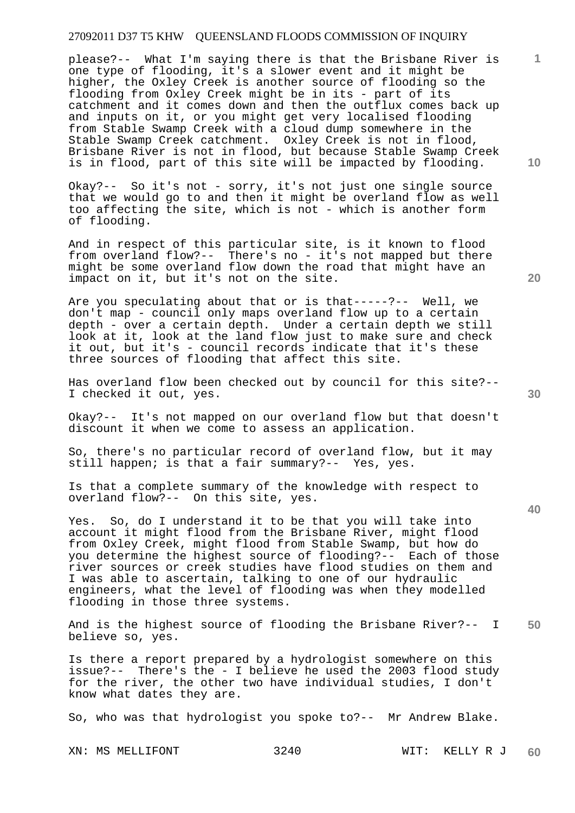please?-- What I'm saying there is that the Brisbane River is one type of flooding, it's a slower event and it might be higher, the Oxley Creek is another source of flooding so the flooding from Oxley Creek might be in its - part of its catchment and it comes down and then the outflux comes back up and inputs on it, or you might get very localised flooding from Stable Swamp Creek with a cloud dump somewhere in the Stable Swamp Creek catchment. Oxley Creek is not in flood, Brisbane River is not in flood, but because Stable Swamp Creek is in flood, part of this site will be impacted by flooding.

Okay?-- So it's not - sorry, it's not just one single source that we would go to and then it might be overland flow as well too affecting the site, which is not - which is another form of flooding.

And in respect of this particular site, is it known to flood from overland flow?-- There's no - it's not mapped but there might be some overland flow down the road that might have an impact on it, but it's not on the site.

Are you speculating about that or is that-----?-- Well, we don't map - council only maps overland flow up to a certain depth - over a certain depth. Under a certain depth we still look at it, look at the land flow just to make sure and check it out, but it's - council records indicate that it's these three sources of flooding that affect this site.

Has overland flow been checked out by council for this site?-- I checked it out, yes.

Okay?-- It's not mapped on our overland flow but that doesn't discount it when we come to assess an application.

So, there's no particular record of overland flow, but it may still happen; is that a fair summary?-- Yes, yes.

Is that a complete summary of the knowledge with respect to overland flow?-- On this site, yes.

Yes. So, do I understand it to be that you will take into account it might flood from the Brisbane River, might flood from Oxley Creek, might flood from Stable Swamp, but how do you determine the highest source of flooding?-- Each of those river sources or creek studies have flood studies on them and I was able to ascertain, talking to one of our hydraulic engineers, what the level of flooding was when they modelled flooding in those three systems.

**50**  And is the highest source of flooding the Brisbane River?-- I believe so, yes.

Is there a report prepared by a hydrologist somewhere on this issue?-- There's the - I believe he used the 2003 flood study for the river, the other two have individual studies, I don't know what dates they are.

So, who was that hydrologist you spoke to?-- Mr Andrew Blake.

**20** 



**40** 

**10**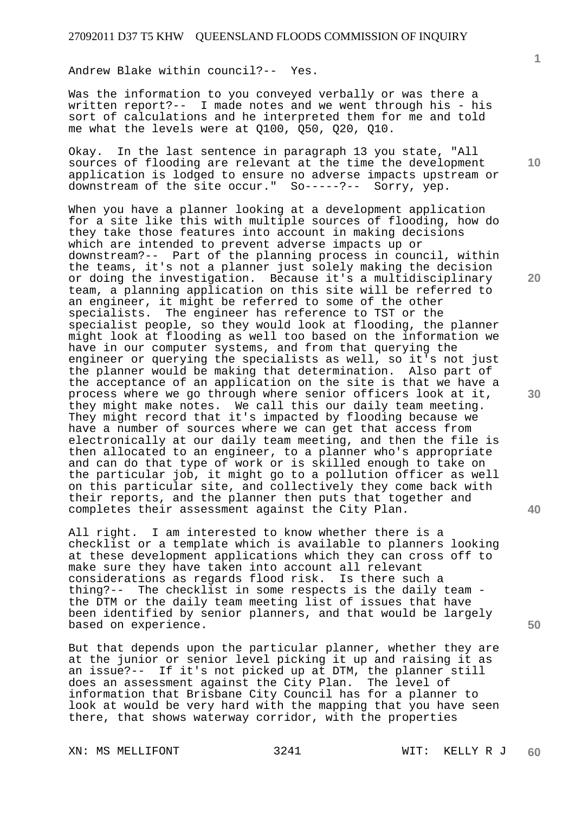Andrew Blake within council?-- Yes.

Was the information to you conveyed verbally or was there a written report?-- I made notes and we went through his - his sort of calculations and he interpreted them for me and told me what the levels were at Q100, Q50, Q20, Q10.

Okay. In the last sentence in paragraph 13 you state, "All sources of flooding are relevant at the time the development application is lodged to ensure no adverse impacts upstream or downstream of the site occur." So-----?-- Sorry, yep.

When you have a planner looking at a development application for a site like this with multiple sources of flooding, how do they take those features into account in making decisions which are intended to prevent adverse impacts up or downstream?-- Part of the planning process in council, within the teams, it's not a planner just solely making the decision or doing the investigation. Because it's a multidisciplinary team, a planning application on this site will be referred to an engineer, it might be referred to some of the other specialists. The engineer has reference to TST or the specialist people, so they would look at flooding, the planner might look at flooding as well too based on the information we have in our computer systems, and from that querying the engineer or querying the specialists as well, so it's not just the planner would be making that determination. Also part of the acceptance of an application on the site is that we have a process where we go through where senior officers look at it, they might make notes. We call this our daily team meeting. They might record that it's impacted by flooding because we have a number of sources where we can get that access from electronically at our daily team meeting, and then the file is then allocated to an engineer, to a planner who's appropriate and can do that type of work or is skilled enough to take on the particular job, it might go to a pollution officer as well on this particular site, and collectively they come back with their reports, and the planner then puts that together and completes their assessment against the City Plan.

All right. I am interested to know whether there is a checklist or a template which is available to planners looking at these development applications which they can cross off to make sure they have taken into account all relevant considerations as regards flood risk. Is there such a thing?-- The checklist in some respects is the daily team the DTM or the daily team meeting list of issues that have been identified by senior planners, and that would be largely based on experience.

But that depends upon the particular planner, whether they are at the junior or senior level picking it up and raising it as an issue?-- If it's not picked up at DTM, the planner still does an assessment against the City Plan. The level of information that Brisbane City Council has for a planner to look at would be very hard with the mapping that you have seen there, that shows waterway corridor, with the properties

XN: MS MELLIFONT 3241 WIT: KELLY R J

**1**

**10** 

**20** 

**40** 

**50**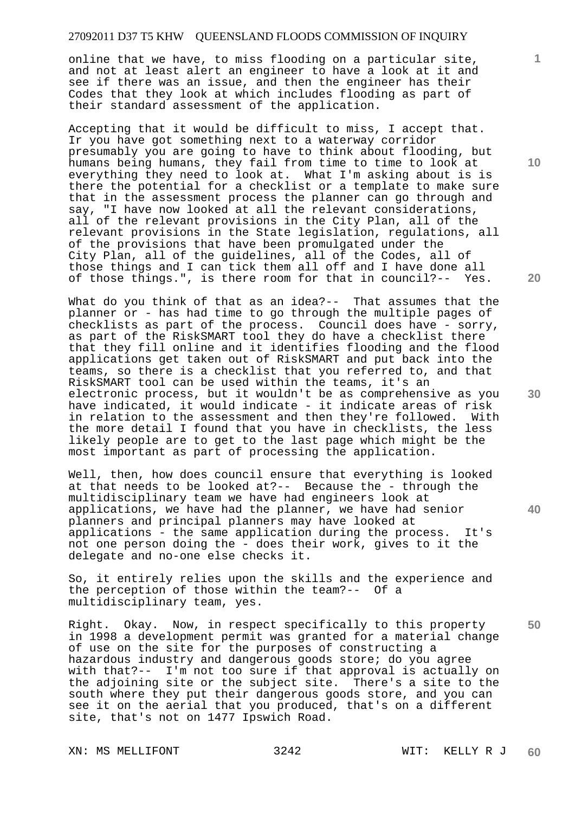online that we have, to miss flooding on a particular site, and not at least alert an engineer to have a look at it and see if there was an issue, and then the engineer has their Codes that they look at which includes flooding as part of their standard assessment of the application.

Accepting that it would be difficult to miss, I accept that. Ir you have got something next to a waterway corridor presumably you are going to have to think about flooding, but humans being humans, they fail from time to time to look at everything they need to look at. What I'm asking about is is there the potential for a checklist or a template to make sure that in the assessment process the planner can go through and say, "I have now looked at all the relevant considerations, all of the relevant provisions in the City Plan, all of the relevant provisions in the State legislation, regulations, all of the provisions that have been promulgated under the City Plan, all of the guidelines, all of the Codes, all of those things and I can tick them all off and I have done all of those things.", is there room for that in council?-- Yes.

What do you think of that as an idea?-- That assumes that the planner or - has had time to go through the multiple pages of checklists as part of the process. Council does have - sorry, as part of the RiskSMART tool they do have a checklist there that they fill online and it identifies flooding and the flood applications get taken out of RiskSMART and put back into the teams, so there is a checklist that you referred to, and that RiskSMART tool can be used within the teams, it's an electronic process, but it wouldn't be as comprehensive as you have indicated, it would indicate - it indicate areas of risk in relation to the assessment and then they're followed. With the more detail I found that you have in checklists, the less likely people are to get to the last page which might be the most important as part of processing the application.

Well, then, how does council ensure that everything is looked at that needs to be looked at?-- Because the - through the multidisciplinary team we have had engineers look at applications, we have had the planner, we have had senior planners and principal planners may have looked at applications - the same application during the process. It's not one person doing the - does their work, gives to it the delegate and no-one else checks it.

So, it entirely relies upon the skills and the experience and the perception of those within the team?-- Of a multidisciplinary team, yes.

Right. Okay. Now, in respect specifically to this property in 1998 a development permit was granted for a material change of use on the site for the purposes of constructing a hazardous industry and dangerous goods store; do you agree with that?-- I'm not too sure if that approval is actually on the adjoining site or the subject site. There's a site to the south where they put their dangerous goods store, and you can see it on the aerial that you produced, that's on a different site, that's not on 1477 Ipswich Road.

XN: MS MELLIFONT 3242 WIT: KELLY R J

**10** 

**1**

**20** 

**30** 

**40**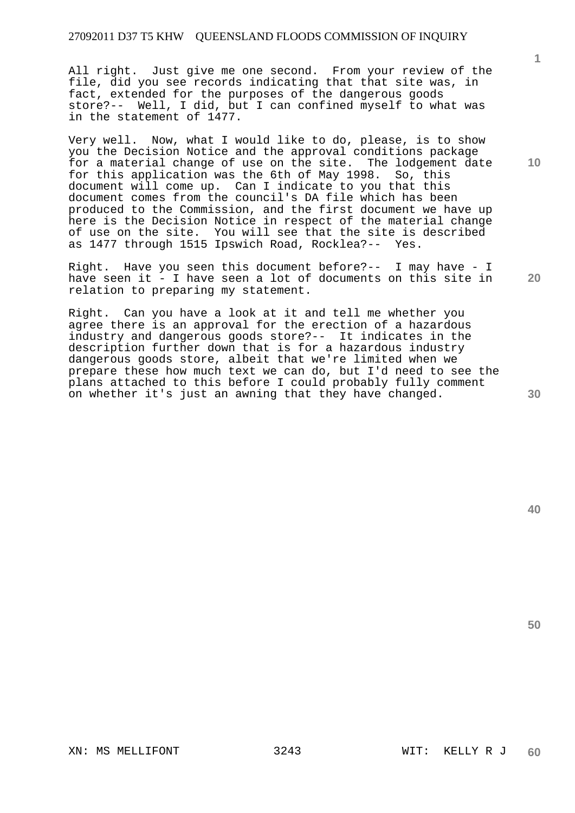All right. Just give me one second. From your review of the file, did you see records indicating that that site was, in fact, extended for the purposes of the dangerous goods store?-- Well, I did, but I can confined myself to what was in the statement of 1477.

Very well. Now, what I would like to do, please, is to show you the Decision Notice and the approval conditions package for a material change of use on the site. The lodgement date for this application was the 6th of May 1998. So, this document will come up. Can I indicate to you that this document comes from the council's DA file which has been produced to the Commission, and the first document we have up here is the Decision Notice in respect of the material change of use on the site. You will see that the site is described as 1477 through 1515 Ipswich Road, Rocklea?-- Yes.

Right. Have you seen this document before?-- I may have - I have seen it - I have seen a lot of documents on this site in relation to preparing my statement.

Right. Can you have a look at it and tell me whether you agree there is an approval for the erection of a hazardous industry and dangerous goods store?-- It indicates in the description further down that is for a hazardous industry dangerous goods store, albeit that we're limited when we prepare these how much text we can do, but I'd need to see the plans attached to this before I could probably fully comment on whether it's just an awning that they have changed.

**40** 

**50** 

**30** 

**1**

**10**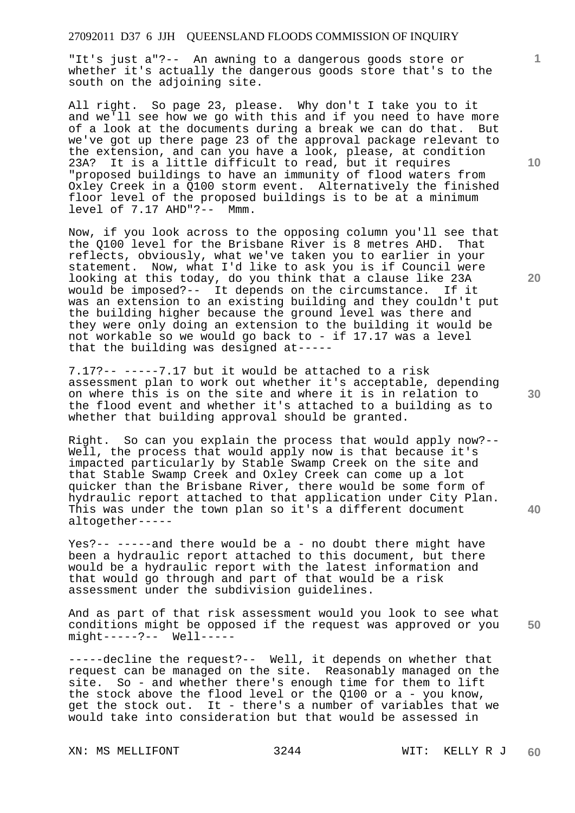"It's just a"?-- An awning to a dangerous goods store or whether it's actually the dangerous goods store that's to the south on the adjoining site.

All right. So page 23, please. Why don't I take you to it and we'll see how we go with this and if you need to have more of a look at the documents during a break we can do that. But we've got up there page 23 of the approval package relevant to the extension, and can you have a look, please, at condition 23A? It is a little difficult to read, but it requires "proposed buildings to have an immunity of flood waters from Oxley Creek in a Q100 storm event. Alternatively the finished floor level of the proposed buildings is to be at a minimum level of 7.17 AHD"?-- Mmm.

Now, if you look across to the opposing column you'll see that the Q100 level for the Brisbane River is 8 metres AHD. That reflects, obviously, what we've taken you to earlier in your statement. Now, what I'd like to ask you is if Council were looking at this today, do you think that a clause like 23A would be imposed?-- It depends on the circumstance. If it would be imposed?-- It depends on the circumstance. was an extension to an existing building and they couldn't put the building higher because the ground level was there and they were only doing an extension to the building it would be not workable so we would go back to - if 17.17 was a level that the building was designed at-----

7.17?-- -----7.17 but it would be attached to a risk assessment plan to work out whether it's acceptable, depending on where this is on the site and where it is in relation to the flood event and whether it's attached to a building as to whether that building approval should be granted.

Right. So can you explain the process that would apply now?-- Well, the process that would apply now is that because it's impacted particularly by Stable Swamp Creek on the site and that Stable Swamp Creek and Oxley Creek can come up a lot quicker than the Brisbane River, there would be some form of hydraulic report attached to that application under City Plan. This was under the town plan so it's a different document altogether-----

Yes?-- -----and there would be a - no doubt there might have been a hydraulic report attached to this document, but there would be a hydraulic report with the latest information and that would go through and part of that would be a risk assessment under the subdivision guidelines.

**50**  And as part of that risk assessment would you look to see what conditions might be opposed if the request was approved or you might-----?-- Well-----

-----decline the request?-- Well, it depends on whether that request can be managed on the site. Reasonably managed on the site. So - and whether there's enough time for them to lift the stock above the flood level or the Q100 or a - you know, get the stock out. It - there's a number of variables that we would take into consideration but that would be assessed in

**10** 

**1**

**20**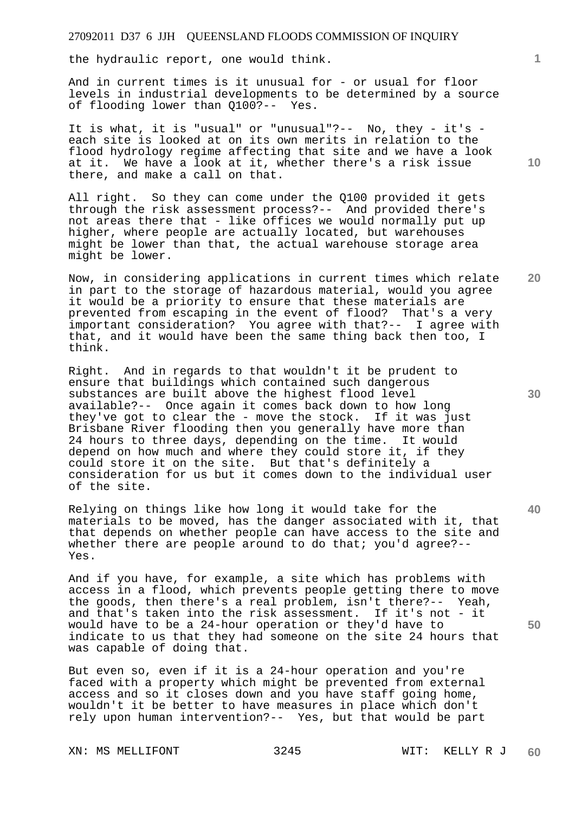the hydraulic report, one would think.

And in current times is it unusual for - or usual for floor levels in industrial developments to be determined by a source of flooding lower than Q100?-- Yes.

It is what, it is "usual" or "unusual"?-- No, they - it's each site is looked at on its own merits in relation to the flood hydrology regime affecting that site and we have a look at it. We have a look at it, whether there's a risk issue there, and make a call on that.

All right. So they can come under the Q100 provided it gets through the risk assessment process?-- And provided there's not areas there that - like offices we would normally put up higher, where people are actually located, but warehouses might be lower than that, the actual warehouse storage area might be lower.

Now, in considering applications in current times which relate in part to the storage of hazardous material, would you agree it would be a priority to ensure that these materials are prevented from escaping in the event of flood? That's a very important consideration? You agree with that?-- I agree with that, and it would have been the same thing back then too, I think.

Right. And in regards to that wouldn't it be prudent to ensure that buildings which contained such dangerous substances are built above the highest flood level available?-- Once again it comes back down to how long they've got to clear the - move the stock. If it was just Brisbane River flooding then you generally have more than 24 hours to three days, depending on the time. It would depend on how much and where they could store it, if they could store it on the site. But that's definitely a consideration for us but it comes down to the individual user of the site.

Relying on things like how long it would take for the materials to be moved, has the danger associated with it, that that depends on whether people can have access to the site and whether there are people around to do that; you'd agree?--Yes.

And if you have, for example, a site which has problems with access in a flood, which prevents people getting there to move the goods, then there's a real problem, isn't there?-- Yeah, and that's taken into the risk assessment. If it's not - it would have to be a 24-hour operation or they'd have to indicate to us that they had someone on the site 24 hours that was capable of doing that.

But even so, even if it is a 24-hour operation and you're faced with a property which might be prevented from external access and so it closes down and you have staff going home, wouldn't it be better to have measures in place which don't rely upon human intervention?-- Yes, but that would be part

XN: MS MELLIFONT 3245 WIT: KELLY R J

**20** 

**10** 

**40**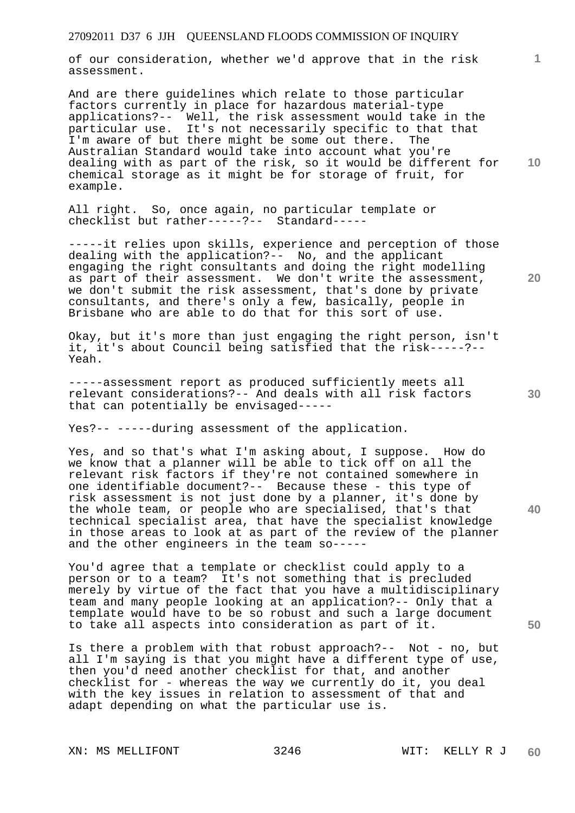of our consideration, whether we'd approve that in the risk assessment.

And are there guidelines which relate to those particular factors currently in place for hazardous material-type applications?-- Well, the risk assessment would take in the particular use. It's not necessarily specific to that that I'm aware of but there might be some out there. The Australian Standard would take into account what you're dealing with as part of the risk, so it would be different for chemical storage as it might be for storage of fruit, for example.

All right. So, once again, no particular template or checklist but rather-----?-- Standard-----

-----it relies upon skills, experience and perception of those dealing with the application?-- No, and the applicant engaging the right consultants and doing the right modelling as part of their assessment. We don't write the assessment, we don't submit the risk assessment, that's done by private consultants, and there's only a few, basically, people in Brisbane who are able to do that for this sort of use.

Okay, but it's more than just engaging the right person, isn't it, it's about Council being satisfied that the risk-----?-- Yeah.

-----assessment report as produced sufficiently meets all relevant considerations?-- And deals with all risk factors that can potentially be envisaged-----

Yes?-- -----during assessment of the application.

Yes, and so that's what I'm asking about, I suppose. How do we know that a planner will be able to tick off on all the relevant risk factors if they're not contained somewhere in one identifiable document?-- Because these - this type of risk assessment is not just done by a planner, it's done by the whole team, or people who are specialised, that's that technical specialist area, that have the specialist knowledge in those areas to look at as part of the review of the planner and the other engineers in the team so-----

You'd agree that a template or checklist could apply to a person or to a team? It's not something that is precluded merely by virtue of the fact that you have a multidisciplinary team and many people looking at an application?-- Only that a template would have to be so robust and such a large document to take all aspects into consideration as part of it.

Is there a problem with that robust approach?-- Not - no, but all I'm saying is that you might have a different type of use, then you'd need another checklist for that, and another checklist for - whereas the way we currently do it, you deal with the key issues in relation to assessment of that and adapt depending on what the particular use is.

**10** 

**1**

**30** 

**20**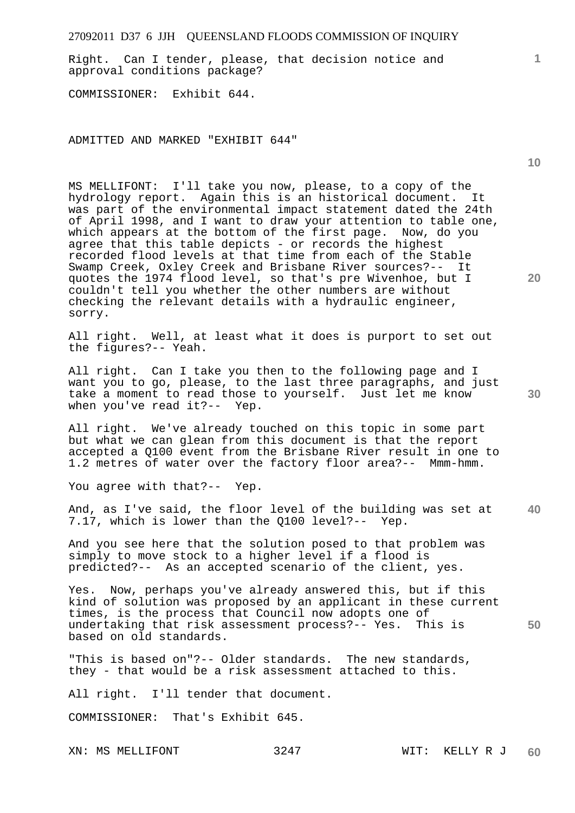Right. Can I tender, please, that decision notice and approval conditions package?

COMMISSIONER: Exhibit 644.

ADMITTED AND MARKED "EXHIBIT 644"

MS MELLIFONT: I'll take you now, please, to a copy of the hydrology report. Again this is an historical document. It was part of the environmental impact statement dated the 24th of April 1998, and I want to draw your attention to table one, which appears at the bottom of the first page. Now, do you agree that this table depicts - or records the highest recorded flood levels at that time from each of the Stable Swamp Creek, Oxley Creek and Brisbane River sources?-- It quotes the 1974 flood level, so that's pre Wivenhoe, but I couldn't tell you whether the other numbers are without checking the relevant details with a hydraulic engineer, sorry.

All right. Well, at least what it does is purport to set out the figures?-- Yeah.

All right. Can I take you then to the following page and I want you to go, please, to the last three paragraphs, and just take a moment to read those to yourself. Just let me know when you've read it?-- Yep.

All right. We've already touched on this topic in some part but what we can glean from this document is that the report accepted a Q100 event from the Brisbane River result in one to 1.2 metres of water over the factory floor area?-- Mmm-hmm.

You agree with that?-- Yep.

**40**  And, as I've said, the floor level of the building was set at 7.17, which is lower than the Q100 level?-- Yep.

And you see here that the solution posed to that problem was simply to move stock to a higher level if a flood is predicted?-- As an accepted scenario of the client, yes.

Yes. Now, perhaps you've already answered this, but if this kind of solution was proposed by an applicant in these current times, is the process that Council now adopts one of undertaking that risk assessment process?-- Yes. This is based on old standards.

"This is based on"?-- Older standards. The new standards, they - that would be a risk assessment attached to this.

All right. I'll tender that document.

COMMISSIONER: That's Exhibit 645.

**10** 

**1**

**20**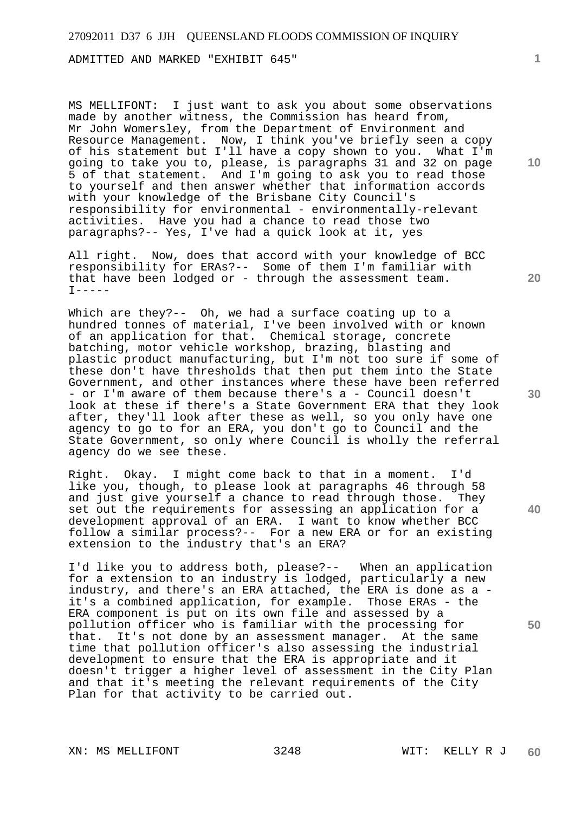ADMITTED AND MARKED "EXHIBIT 645"

MS MELLIFONT: I just want to ask you about some observations made by another witness, the Commission has heard from, Mr John Womersley, from the Department of Environment and Resource Management. Now, I think you've briefly seen a copy of his statement but I'll have a copy shown to you. What I'm going to take you to, please, is paragraphs 31 and 32 on page 5 of that statement. And I'm going to ask you to read those to yourself and then answer whether that information accords with your knowledge of the Brisbane City Council's responsibility for environmental - environmentally-relevant activities. Have you had a chance to read those two paragraphs?-- Yes, I've had a quick look at it, yes

All right. Now, does that accord with your knowledge of BCC responsibility for ERAs?-- Some of them I'm familiar with that have been lodged or - through the assessment team.  $I----$ 

Which are they?-- Oh, we had a surface coating up to a hundred tonnes of material, I've been involved with or known of an application for that. Chemical storage, concrete batching, motor vehicle workshop, brazing, blasting and plastic product manufacturing, but I'm not too sure if some of these don't have thresholds that then put them into the State Government, and other instances where these have been referred - or I'm aware of them because there's a - Council doesn't look at these if there's a State Government ERA that they look after, they'll look after these as well, so you only have one agency to go to for an ERA, you don't go to Council and the State Government, so only where Council is wholly the referral agency do we see these.

Right. Okay. I might come back to that in a moment. I'd like you, though, to please look at paragraphs 46 through 58 and just give yourself a chance to read through those. They set out the requirements for assessing an application for a development approval of an ERA. I want to know whether BCC follow a similar process?-- For a new ERA or for an existing extension to the industry that's an ERA?

I'd like you to address both, please?-- When an application for a extension to an industry is lodged, particularly a new industry, and there's an ERA attached, the ERA is done as a it's a combined application, for example. Those ERAs - the ERA component is put on its own file and assessed by a pollution officer who is familiar with the processing for that. It's not done by an assessment manager. At the same time that pollution officer's also assessing the industrial development to ensure that the ERA is appropriate and it doesn't trigger a higher level of assessment in the City Plan and that it's meeting the relevant requirements of the City Plan for that activity to be carried out.

**10** 

**1**

**20** 

**30**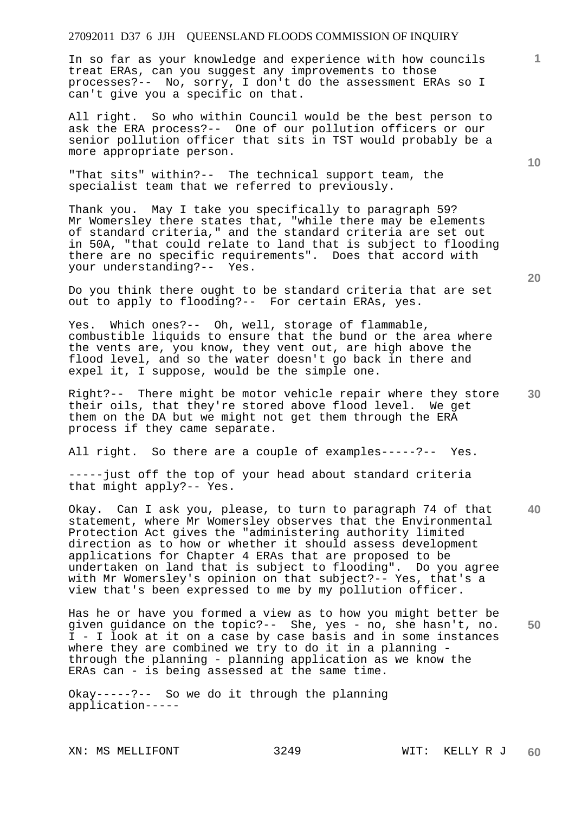In so far as your knowledge and experience with how councils treat ERAs, can you suggest any improvements to those processes?-- No, sorry, I don't do the assessment ERAs so I can't give you a specific on that.

All right. So who within Council would be the best person to ask the ERA process?-- One of our pollution officers or our senior pollution officer that sits in TST would probably be a more appropriate person.

"That sits" within?-- The technical support team, the specialist team that we referred to previously.

Thank you. May I take you specifically to paragraph 59? Mr Womersley there states that, "while there may be elements of standard criteria," and the standard criteria are set out in 50A, "that could relate to land that is subject to flooding there are no specific requirements". Does that accord with your understanding?-- Yes.

Do you think there ought to be standard criteria that are set out to apply to flooding?-- For certain ERAs, yes.

Yes. Which ones?-- Oh, well, storage of flammable, combustible liquids to ensure that the bund or the area where the vents are, you know, they vent out, are high above the flood level, and so the water doesn't go back in there and expel it, I suppose, would be the simple one.

**30**  Right?-- There might be motor vehicle repair where they store their oils, that they're stored above flood level. We get them on the DA but we might not get them through the ERA process if they came separate.

All right. So there are a couple of examples-----?-- Yes.

-----just off the top of your head about standard criteria that might apply?-- Yes.

**40**  Okay. Can I ask you, please, to turn to paragraph 74 of that statement, where Mr Womersley observes that the Environmental Protection Act gives the "administering authority limited direction as to how or whether it should assess development applications for Chapter 4 ERAs that are proposed to be undertaken on land that is subject to flooding". Do you agree with Mr Womersley's opinion on that subject?-- Yes, that's a view that's been expressed to me by my pollution officer.

**50**  Has he or have you formed a view as to how you might better be given guidance on the topic?-- She, yes - no, she hasn't, no. I - I look at it on a case by case basis and in some instances where they are combined we try to do it in a planning through the planning - planning application as we know the ERAs can - is being assessed at the same time.

Okay-----?-- So we do it through the planning application-----

**1**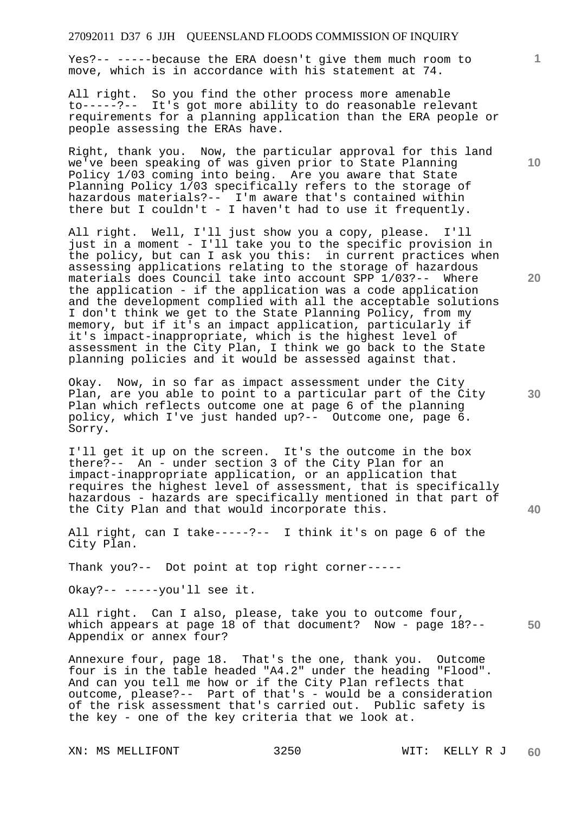Yes?-- -----because the ERA doesn't give them much room to move, which is in accordance with his statement at 74.

All right. So you find the other process more amenable to-----?-- It's got more ability to do reasonable relevant requirements for a planning application than the ERA people or people assessing the ERAs have.

Right, thank you. Now, the particular approval for this land we've been speaking of was given prior to State Planning Policy 1/03 coming into being. Are you aware that State Planning Policy 1/03 specifically refers to the storage of hazardous materials?-- I'm aware that's contained within there but I couldn't - I haven't had to use it frequently.

All right. Well, I'll just show you a copy, please. I'll just in a moment - I'll take you to the specific provision in the policy, but can I ask you this: in current practices when assessing applications relating to the storage of hazardous materials does Council take into account SPP 1/03?-- Where the application - if the application was a code application and the development complied with all the acceptable solutions I don't think we get to the State Planning Policy, from my memory, but if it's an impact application, particularly if it's impact-inappropriate, which is the highest level of assessment in the City Plan, I think we go back to the State planning policies and it would be assessed against that.

Okay. Now, in so far as impact assessment under the City Plan, are you able to point to a particular part of the City Plan which reflects outcome one at page 6 of the planning policy, which I've just handed up?-- Outcome one, page 6. Sorry.

I'll get it up on the screen. It's the outcome in the box there?-- An - under section 3 of the City Plan for an impact-inappropriate application, or an application that requires the highest level of assessment, that is specifically hazardous - hazards are specifically mentioned in that part of the City Plan and that would incorporate this.

All right, can I take-----?-- I think it's on page 6 of the City Plan.

Thank you?-- Dot point at top right corner-----

Okay?-- -----you'll see it.

**50**  All right. Can I also, please, take you to outcome four, which appears at page 18 of that document? Now - page 18?-- Appendix or annex four?

Annexure four, page 18. That's the one, thank you. Outcome four is in the table headed "A4.2" under the heading "Flood". And can you tell me how or if the City Plan reflects that outcome, please?-- Part of that's - would be a consideration of the risk assessment that's carried out. Public safety is the key - one of the key criteria that we look at.

**10** 

**1**

**20**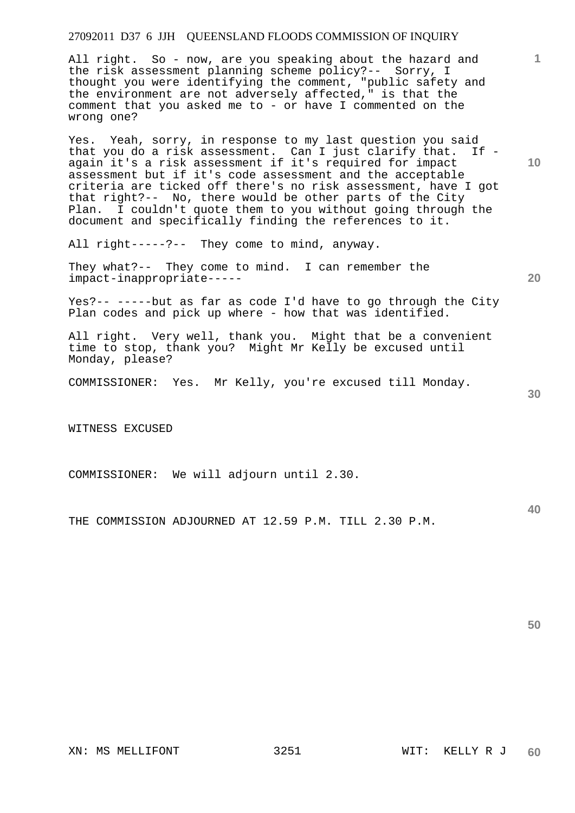All right. So - now, are you speaking about the hazard and the risk assessment planning scheme policy?-- Sorry, I thought you were identifying the comment, "public safety and the environment are not adversely affected," is that the comment that you asked me to - or have I commented on the wrong one?

Yes. Yeah, sorry, in response to my last question you said that you do a risk assessment. Can I just clarify that. If again it's a risk assessment if it's required for impact assessment but if it's code assessment and the acceptable criteria are ticked off there's no risk assessment, have I got that right?-- No, there would be other parts of the City Plan. I couldn't quote them to you without going through the document and specifically finding the references to it.

All right-----?-- They come to mind, anyway.

They what?-- They come to mind. I can remember the impact-inappropriate-----

Yes?-- -----but as far as code I'd have to go through the City Plan codes and pick up where - how that was identified.

All right. Very well, thank you. Might that be a convenient time to stop, thank you? Might Mr Kelly be excused until Monday, please?

COMMISSIONER: Yes. Mr Kelly, you're excused till Monday.

WITNESS EXCUSED

COMMISSIONER: We will adjourn until 2.30.

THE COMMISSION ADJOURNED AT 12.59 P.M. TILL 2.30 P.M.

**50** 

**1**

**10** 

**30** 

**40**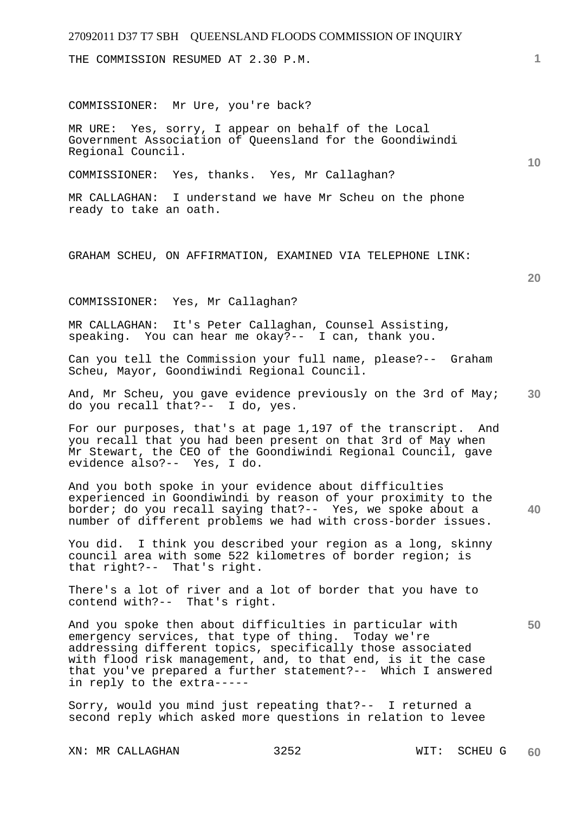THE COMMISSION RESUMED AT 2.30 P.M.

COMMISSIONER: Mr Ure, you're back?

MR URE: Yes, sorry, I appear on behalf of the Local Government Association of Queensland for the Goondiwindi Regional Council.

COMMISSIONER: Yes, thanks. Yes, Mr Callaghan?

MR CALLAGHAN: I understand we have Mr Scheu on the phone ready to take an oath.

GRAHAM SCHEU, ON AFFIRMATION, EXAMINED VIA TELEPHONE LINK:

**20** 

**50** 

**10** 

COMMISSIONER: Yes, Mr Callaghan?

MR CALLAGHAN: It's Peter Callaghan, Counsel Assisting, speaking. You can hear me okay?-- I can, thank you.

Can you tell the Commission your full name, please?-- Graham Scheu, Mayor, Goondiwindi Regional Council.

**30**  And, Mr Scheu, you gave evidence previously on the 3rd of May; do you recall that?-- I do, yes.

For our purposes, that's at page 1,197 of the transcript. And you recall that you had been present on that 3rd of May when Mr Stewart, the CEO of the Goondiwindi Regional Council, gave evidence also?-- Yes, I do.

**40**  And you both spoke in your evidence about difficulties experienced in Goondiwindi by reason of your proximity to the border; do you recall saying that?-- Yes, we spoke about a number of different problems we had with cross-border issues.

You did. I think you described your region as a long, skinny council area with some 522 kilometres of border region; is that right?-- That's right.

There's a lot of river and a lot of border that you have to contend with?-- That's right.

And you spoke then about difficulties in particular with emergency services, that type of thing. Today we're addressing different topics, specifically those associated with flood risk management, and, to that end, is it the case that you've prepared a further statement?-- Which I answered in reply to the extra-----

Sorry, would you mind just repeating that?-- I returned a second reply which asked more questions in relation to levee

XN: MR CALLAGHAN 3252 WIT: SCHEU G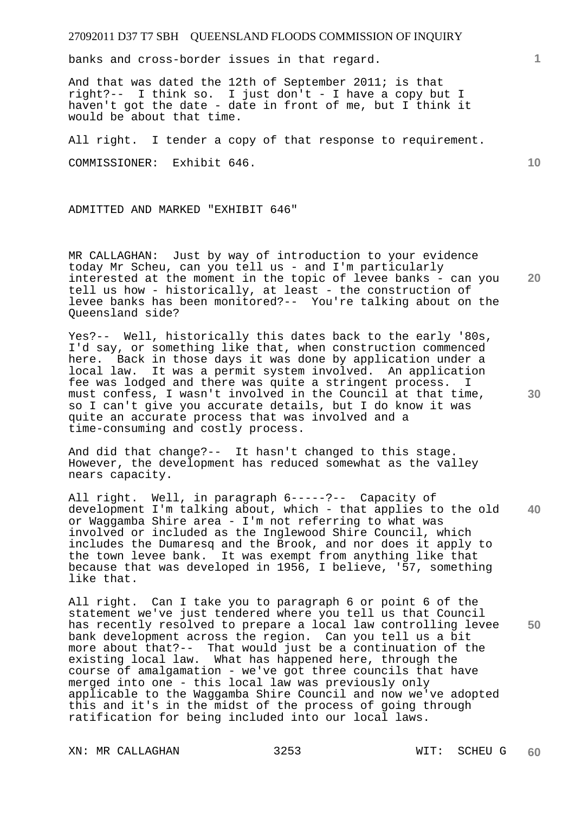banks and cross-border issues in that regard.

And that was dated the 12th of September 2011; is that right?-- I think so. I just don't - I have a copy but I haven't got the date - date in front of me, but I think it would be about that time.

All right. I tender a copy of that response to requirement.

COMMISSIONER: Exhibit 646.

ADMITTED AND MARKED "EXHIBIT 646"

MR CALLAGHAN: Just by way of introduction to your evidence today Mr Scheu, can you tell us - and I'm particularly interested at the moment in the topic of levee banks - can you tell us how - historically, at least - the construction of levee banks has been monitored?-- You're talking about on the Queensland side?

Yes?-- Well, historically this dates back to the early '80s, I'd say, or something like that, when construction commenced here. Back in those days it was done by application under a local law. It was a permit system involved. An application fee was lodged and there was quite a stringent process. I must confess, I wasn't involved in the Council at that time, so I can't give you accurate details, but I do know it was quite an accurate process that was involved and a time-consuming and costly process.

And did that change?-- It hasn't changed to this stage. However, the development has reduced somewhat as the valley nears capacity.

**40**  All right. Well, in paragraph 6-----?-- Capacity of development I'm talking about, which - that applies to the old or Waggamba Shire area - I'm not referring to what was involved or included as the Inglewood Shire Council, which includes the Dumaresq and the Brook, and nor does it apply to the town levee bank. It was exempt from anything like that because that was developed in 1956, I believe, '57, something like that.

**50**  All right. Can I take you to paragraph 6 or point 6 of the statement we've just tendered where you tell us that Council has recently resolved to prepare a local law controlling levee bank development across the region. Can you tell us a bit more about that?-- That would just be a continuation of the existing local law. What has happened here, through the course of amalgamation - we've got three councils that have merged into one - this local law was previously only applicable to the Waggamba Shire Council and now we've adopted this and it's in the midst of the process of going through ratification for being included into our local laws.

XN: MR CALLAGHAN 3253 WIT: SCHEU G

**1**

**20** 

**10**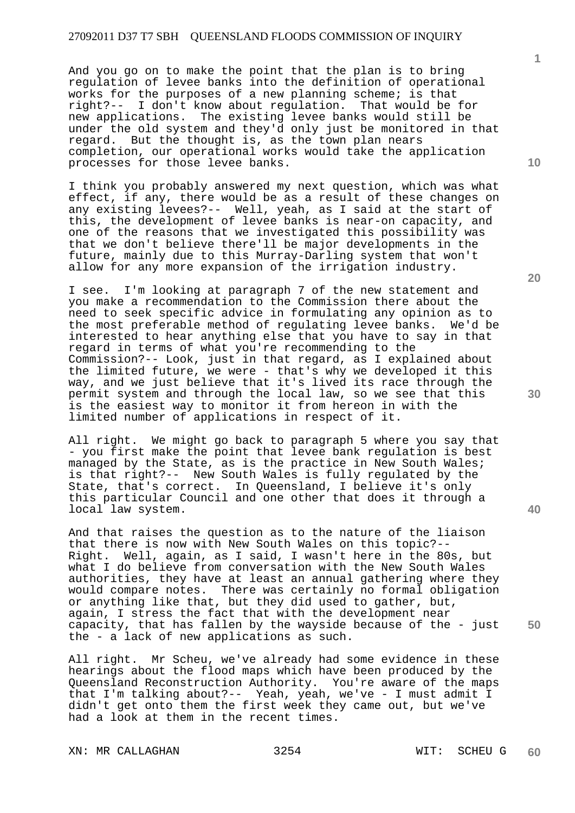And you go on to make the point that the plan is to bring regulation of levee banks into the definition of operational works for the purposes of a new planning scheme; is that right?-- I don't know about regulation. That would be for new applications. The existing levee banks would still be under the old system and they'd only just be monitored in that regard. But the thought is, as the town plan nears completion, our operational works would take the application processes for those levee banks.

I think you probably answered my next question, which was what effect, if any, there would be as a result of these changes on any existing levees?-- Well, yeah, as I said at the start of this, the development of levee banks is near-on capacity, and one of the reasons that we investigated this possibility was that we don't believe there'll be major developments in the future, mainly due to this Murray-Darling system that won't allow for any more expansion of the irrigation industry.

I see. I'm looking at paragraph 7 of the new statement and you make a recommendation to the Commission there about the need to seek specific advice in formulating any opinion as to the most preferable method of regulating levee banks. We'd be interested to hear anything else that you have to say in that regard in terms of what you're recommending to the Commission?-- Look, just in that regard, as I explained about the limited future, we were - that's why we developed it this way, and we just believe that it's lived its race through the permit system and through the local law, so we see that this is the easiest way to monitor it from hereon in with the limited number of applications in respect of it.

All right. We might go back to paragraph 5 where you say that - you first make the point that levee bank regulation is best managed by the State, as is the practice in New South Wales; is that right?-- New South Wales is fully regulated by the State, that's correct. In Queensland, I believe it's only this particular Council and one other that does it through a local law system.

And that raises the question as to the nature of the liaison that there is now with New South Wales on this topic?-- Right. Well, again, as I said, I wasn't here in the 80s, but what I do believe from conversation with the New South Wales authorities, they have at least an annual gathering where they would compare notes. There was certainly no formal obligation or anything like that, but they did used to gather, but, again, I stress the fact that with the development near capacity, that has fallen by the wayside because of the - just the - a lack of new applications as such.

All right. Mr Scheu, we've already had some evidence in these hearings about the flood maps which have been produced by the Queensland Reconstruction Authority. You're aware of the maps that I'm talking about?-- Yeah, yeah, we've - I must admit I didn't get onto them the first week they came out, but we've had a look at them in the recent times.

XN: MR CALLAGHAN 3254 WIT: SCHEU G

**10** 

**1**

**20** 

**40** 

**50**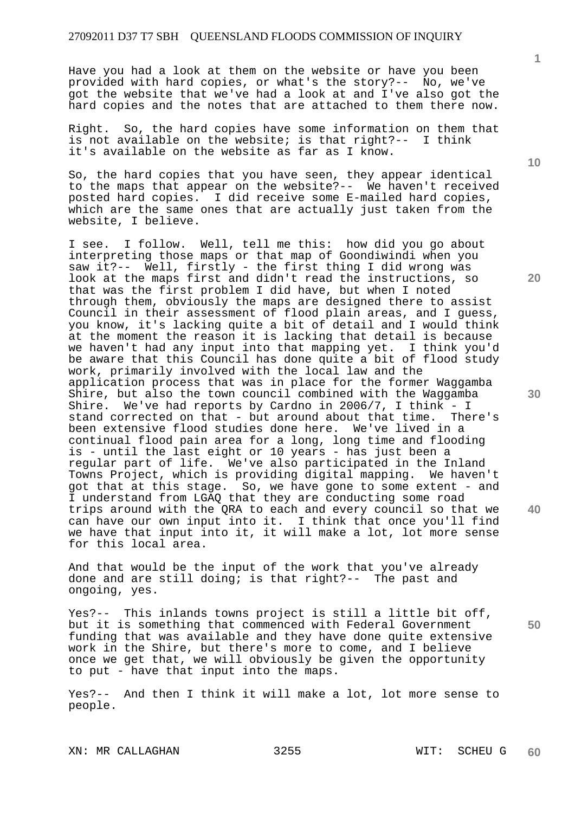Have you had a look at them on the website or have you been provided with hard copies, or what's the story?-- No, we've got the website that we've had a look at and I've also got the hard copies and the notes that are attached to them there now.

Right. So, the hard copies have some information on them that is not available on the website; is that right?-- I think it's available on the website as far as I know.

So, the hard copies that you have seen, they appear identical to the maps that appear on the website?-- We haven't received posted hard copies. I did receive some E-mailed hard copies, which are the same ones that are actually just taken from the website, I believe.

I see. I follow. Well, tell me this: how did you go about interpreting those maps or that map of Goondiwindi when you saw it?-- Well, firstly - the first thing I did wrong was look at the maps first and didn't read the instructions, so that was the first problem I did have, but when I noted through them, obviously the maps are designed there to assist Council in their assessment of flood plain areas, and I guess, you know, it's lacking quite a bit of detail and I would think at the moment the reason it is lacking that detail is because we haven't had any input into that mapping yet. I think you'd be aware that this Council has done quite a bit of flood study work, primarily involved with the local law and the application process that was in place for the former Waggamba Shire, but also the town council combined with the Waggamba Shire. We've had reports by Cardno in 2006/7, I think - I stand corrected on that - but around about that time. There's been extensive flood studies done here. We've lived in a continual flood pain area for a long, long time and flooding is - until the last eight or 10 years - has just been a regular part of life. We've also participated in the Inland Towns Project, which is providing digital mapping. We haven't got that at this stage. So, we have gone to some extent - and I understand from LGAQ that they are conducting some road trips around with the QRA to each and every council so that we can have our own input into it. I think that once you'll find we have that input into it, it will make a lot, lot more sense for this local area.

And that would be the input of the work that you've already done and are still doing; is that right?-- The past and ongoing, yes.

Yes?-- This inlands towns project is still a little bit off, but it is something that commenced with Federal Government funding that was available and they have done quite extensive work in the Shire, but there's more to come, and I believe once we get that, we will obviously be given the opportunity to put - have that input into the maps.

Yes?-- And then I think it will make a lot, lot more sense to people.

XN: MR CALLAGHAN 3255 WIT: SCHEU G

**10** 

**1**

**20** 

**30** 

**40**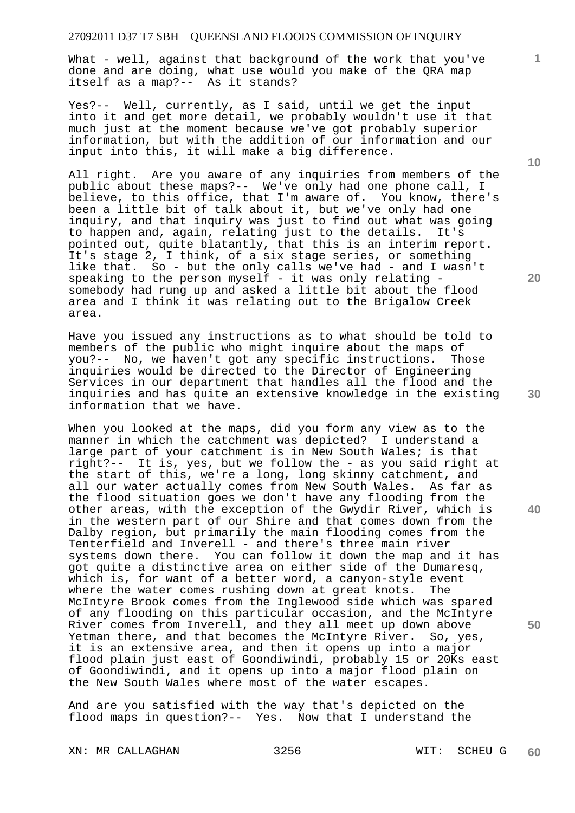What - well, against that background of the work that you've done and are doing, what use would you make of the QRA map itself as a map?-- As it stands?

Yes?-- Well, currently, as I said, until we get the input into it and get more detail, we probably wouldn't use it that much just at the moment because we've got probably superior information, but with the addition of our information and our input into this, it will make a big difference.

All right. Are you aware of any inquiries from members of the public about these maps?-- We've only had one phone call, I believe, to this office, that I'm aware of. You know, there's been a little bit of talk about it, but we've only had one inquiry, and that inquiry was just to find out what was going to happen and, again, relating just to the details. It's pointed out, quite blatantly, that this is an interim report. It's stage 2, I think, of a six stage series, or something like that. So - but the only calls we've had - and I wasn't speaking to the person myself - it was only relating somebody had rung up and asked a little bit about the flood area and I think it was relating out to the Brigalow Creek area.

Have you issued any instructions as to what should be told to members of the public who might inquire about the maps of you?-- No, we haven't got any specific instructions. Those inquiries would be directed to the Director of Engineering Services in our department that handles all the flood and the inquiries and has quite an extensive knowledge in the existing information that we have.

When you looked at the maps, did you form any view as to the manner in which the catchment was depicted? I understand a large part of your catchment is in New South Wales; is that right?-- It is, yes, but we follow the - as you said right at the start of this, we're a long, long skinny catchment, and all our water actually comes from New South Wales. As far as the flood situation goes we don't have any flooding from the other areas, with the exception of the Gwydir River, which is in the western part of our Shire and that comes down from the Dalby region, but primarily the main flooding comes from the Tenterfield and Inverell - and there's three main river systems down there. You can follow it down the map and it has got quite a distinctive area on either side of the Dumaresq, which is, for want of a better word, a canyon-style event where the water comes rushing down at great knots. The McIntyre Brook comes from the Inglewood side which was spared of any flooding on this particular occasion, and the McIntyre River comes from Inverell, and they all meet up down above Yetman there, and that becomes the McIntyre River. So, yes, it is an extensive area, and then it opens up into a major flood plain just east of Goondiwindi, probably 15 or 20Ks east of Goondiwindi, and it opens up into a major flood plain on the New South Wales where most of the water escapes.

And are you satisfied with the way that's depicted on the flood maps in question?-- Yes. Now that I understand the

XN: MR CALLAGHAN 3256 WIT: SCHEU G

**10** 

**1**

**20** 

**30** 

**40**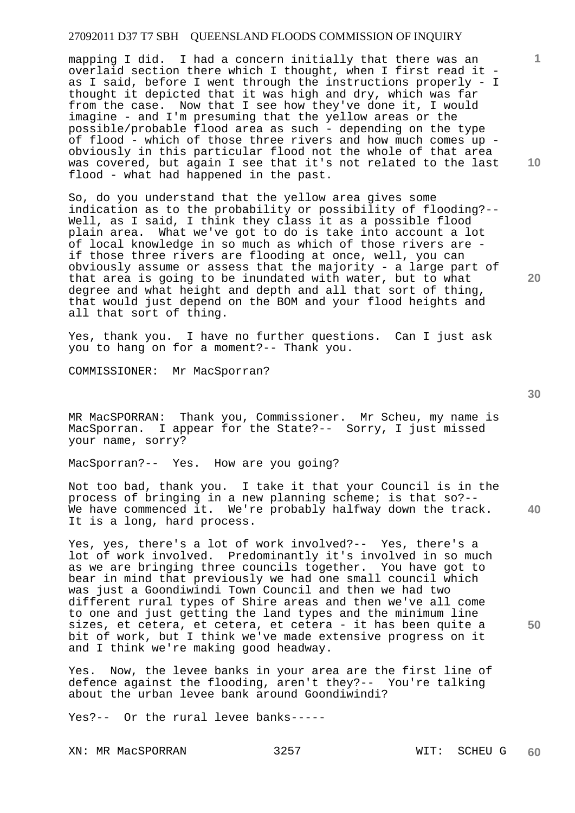mapping I did. I had a concern initially that there was an overlaid section there which I thought, when I first read it as I said, before I went through the instructions properly - I thought it depicted that it was high and dry, which was far from the case. Now that I see how they've done it, I would imagine - and I'm presuming that the yellow areas or the possible/probable flood area as such - depending on the type of flood - which of those three rivers and how much comes up obviously in this particular flood not the whole of that area was covered, but again I see that it's not related to the last flood - what had happened in the past.

So, do you understand that the yellow area gives some indication as to the probability or possibility of flooding?-- Well, as I said, I think they class it as a possible flood plain area. What we've got to do is take into account a lot of local knowledge in so much as which of those rivers are if those three rivers are flooding at once, well, you can obviously assume or assess that the majority - a large part of that area is going to be inundated with water, but to what degree and what height and depth and all that sort of thing, that would just depend on the BOM and your flood heights and all that sort of thing.

Yes, thank you. I have no further questions. Can I just ask you to hang on for a moment?-- Thank you.

COMMISSIONER: Mr MacSporran?

MR MacSPORRAN: Thank you, Commissioner. Mr Scheu, my name is MacSporran. I appear for the State?-- Sorry, I just missed your name, sorry?

MacSporran?-- Yes. How are you going?

Not too bad, thank you. I take it that your Council is in the process of bringing in a new planning scheme; is that so?-- We have commenced it. We're probably halfway down the track. It is a long, hard process.

Yes, yes, there's a lot of work involved?-- Yes, there's a lot of work involved. Predominantly it's involved in so much as we are bringing three councils together. You have got to bear in mind that previously we had one small council which was just a Goondiwindi Town Council and then we had two different rural types of Shire areas and then we've all come to one and just getting the land types and the minimum line sizes, et cetera, et cetera, et cetera - it has been quite a bit of work, but I think we've made extensive progress on it and I think we're making good headway.

Yes. Now, the levee banks in your area are the first line of defence against the flooding, aren't they?-- You're talking about the urban levee bank around Goondiwindi?

Yes?-- Or the rural levee banks-----

XN: MR MacSPORRAN 3257 WIT: SCHEU G

**20** 

**10** 

**1**

**30**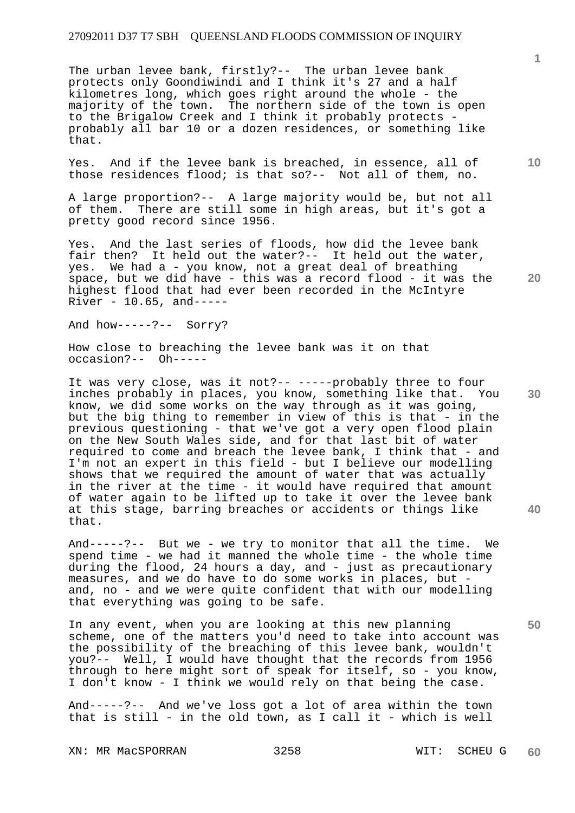The urban levee bank, firstly?-- The urban levee bank protects only Goondiwindi and I think it's 27 and a half kilometres long, which goes right around the whole - the majority of the town. The northern side of the town is open to the Brigalow Creek and I think it probably protects probably all bar 10 or a dozen residences, or something like that.

Yes. And if the levee bank is breached, in essence, all of those residences flood; is that so?-- Not all of them, no.

A large proportion?-- A large majority would be, but not all of them. There are still some in high areas, but it's got a pretty good record since 1956.

Yes. And the last series of floods, how did the levee bank fair then? It held out the water?-- It held out the water, yes. We had a - you know, not a great deal of breathing space, but we did have - this was a record flood - it was the highest flood that had ever been recorded in the McIntyre River - 10.65, and-----

And how-----?-- Sorry?

How close to breaching the levee bank was it on that occasion?-- Oh-----

It was very close, was it not?-- -----probably three to four inches probably in places, you know, something like that. You know, we did some works on the way through as it was going, but the big thing to remember in view of this is that  $-$  in the previous questioning - that we've got a very open flood plain on the New South Wales side, and for that last bit of water required to come and breach the levee bank, I think that - and I'm not an expert in this field - but I believe our modelling shows that we required the amount of water that was actually in the river at the time - it would have required that amount of water again to be lifted up to take it over the levee bank at this stage, barring breaches or accidents or things like that.

And-----?-- But we - we try to monitor that all the time. We spend time - we had it manned the whole time - the whole time during the flood, 24 hours a day, and - just as precautionary measures, and we do have to do some works in places, but and, no - and we were quite confident that with our modelling that everything was going to be safe.

In any event, when you are looking at this new planning scheme, one of the matters you'd need to take into account was the possibility of the breaching of this levee bank, wouldn't you?-- Well, I would have thought that the records from 1956 through to here might sort of speak for itself, so - you know, I don't know - I think we would rely on that being the case.

And-----?-- And we've loss got a lot of area within the town that is still - in the old town, as I call it - which is well

XN: MR MacSPORRAN 3258 WIT: SCHEU G

**1**

**10** 

**20** 

**30** 

**40**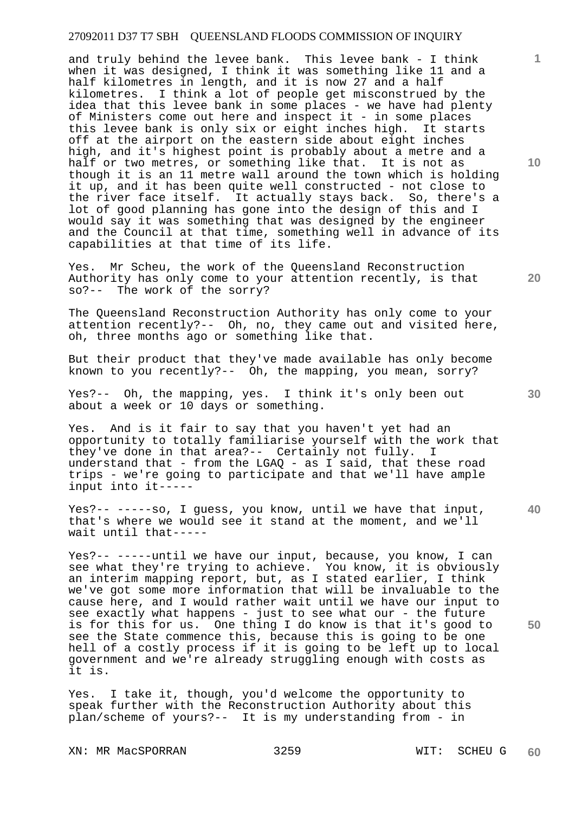and truly behind the levee bank. This levee bank - I think when it was designed, I think it was something like 11 and a half kilometres in length, and it is now 27 and a half kilometres. I think a lot of people get misconstrued by the idea that this levee bank in some places - we have had plenty of Ministers come out here and inspect it - in some places this levee bank is only six or eight inches high. It starts off at the airport on the eastern side about eight inches high, and it's highest point is probably about a metre and a half or two metres, or something like that. It is not as though it is an 11 metre wall around the town which is holding it up, and it has been quite well constructed - not close to the river face itself. It actually stays back. So, there's a lot of good planning has gone into the design of this and I would say it was something that was designed by the engineer and the Council at that time, something well in advance of its capabilities at that time of its life.

Yes. Mr Scheu, the work of the Queensland Reconstruction Authority has only come to your attention recently, is that so?-- The work of the sorry?

The Queensland Reconstruction Authority has only come to your attention recently?-- Oh, no, they came out and visited here, oh, three months ago or something like that.

But their product that they've made available has only become known to you recently?-- Oh, the mapping, you mean, sorry?

Yes?-- Oh, the mapping, yes. I think it's only been out about a week or 10 days or something.

Yes. And is it fair to say that you haven't yet had an opportunity to totally familiarise yourself with the work that they've done in that area?-- Certainly not fully. I understand that - from the LGAQ - as I said, that these road trips - we're going to participate and that we'll have ample input into it-----

Yes?-- -----so, I guess, you know, until we have that input, that's where we would see it stand at the moment, and we'll wait until that-----

Yes?-- -----until we have our input, because, you know, I can see what they're trying to achieve. You know, it is obviously an interim mapping report, but, as I stated earlier, I think we've got some more information that will be invaluable to the cause here, and I would rather wait until we have our input to see exactly what happens - just to see what our - the future is for this for us. One thing I do know is that it's good to see the State commence this, because this is going to be one hell of a costly process if it is going to be left up to local government and we're already struggling enough with costs as it is.

Yes. I take it, though, you'd welcome the opportunity to speak further with the Reconstruction Authority about this plan/scheme of yours?-- It is my understanding from - in

XN: MR MacSPORRAN 3259 WIT: SCHEU G

**10** 

**1**

**20** 

**40** 

**50**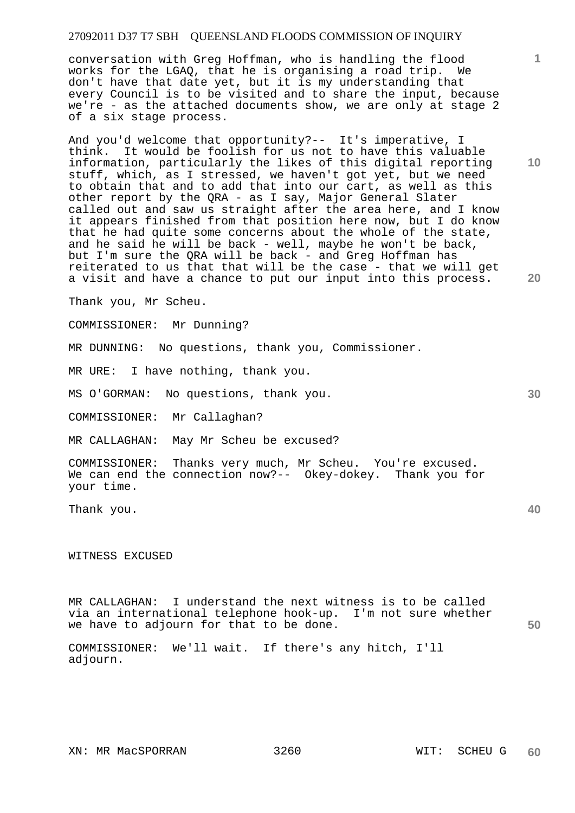conversation with Greg Hoffman, who is handling the flood works for the LGAQ, that he is organising a road trip. We don't have that date yet, but it is my understanding that every Council is to be visited and to share the input, because we're - as the attached documents show, we are only at stage 2 of a six stage process.

And you'd welcome that opportunity?-- It's imperative, I think. It would be foolish for us not to have this valuable information, particularly the likes of this digital reporting stuff, which, as I stressed, we haven't got yet, but we need to obtain that and to add that into our cart, as well as this other report by the QRA - as I say, Major General Slater called out and saw us straight after the area here, and I know it appears finished from that position here now, but I do know that he had quite some concerns about the whole of the state, and he said he will be back - well, maybe he won't be back, but I'm sure the QRA will be back - and Greg Hoffman has reiterated to us that that will be the case - that we will get a visit and have a chance to put our input into this process.

Thank you, Mr Scheu.

COMMISSIONER: Mr Dunning?

MR DUNNING: No questions, thank you, Commissioner.

MR URE: I have nothing, thank you.

MS O'GORMAN: No questions, thank you.

COMMISSIONER: Mr Callaghan?

MR CALLAGHAN: May Mr Scheu be excused?

COMMISSIONER: Thanks very much, Mr Scheu. You're excused. We can end the connection now?-- Okey-dokey. Thank you for your time.

Thank you.

WITNESS EXCUSED

**50**  MR CALLAGHAN: I understand the next witness is to be called via an international telephone hook-up. I'm not sure whether we have to adjourn for that to be done.

COMMISSIONER: We'll wait. If there's any hitch, I'll adjourn.

**10** 

**1**

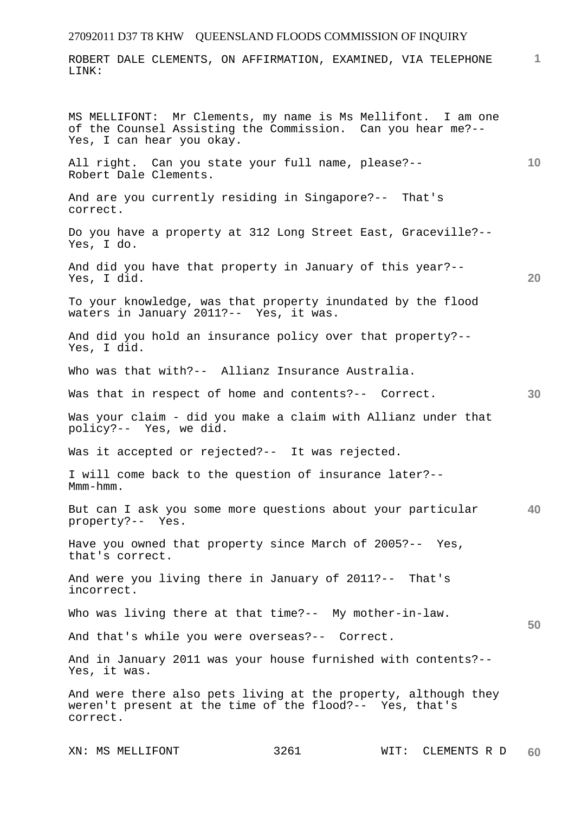ROBERT DALE CLEMENTS, ON AFFIRMATION, EXAMINED, VIA TELEPHONE LINK:

**1**

**10 20 30 40 50**  MS MELLIFONT: Mr Clements, my name is Ms Mellifont. I am one of the Counsel Assisting the Commission. Can you hear me?-- Yes, I can hear you okay. All right. Can you state your full name, please?-- Robert Dale Clements. And are you currently residing in Singapore?-- That's correct. Do you have a property at 312 Long Street East, Graceville?-- Yes, I do. And did you have that property in January of this year?-- Yes, I did. To your knowledge, was that property inundated by the flood waters in January 2011?-- Yes, it was. And did you hold an insurance policy over that property?-- Yes, I did. Who was that with?-- Allianz Insurance Australia. Was that in respect of home and contents?-- Correct. Was your claim - did you make a claim with Allianz under that policy?-- Yes, we did. Was it accepted or rejected?-- It was rejected. I will come back to the question of insurance later?-- Mmm-hmm. But can I ask you some more questions about your particular property?-- Yes. Have you owned that property since March of 2005?-- Yes, that's correct. And were you living there in January of 2011?-- That's incorrect. Who was living there at that time?-- My mother-in-law. And that's while you were overseas?-- Correct. And in January 2011 was your house furnished with contents?-- Yes, it was. And were there also pets living at the property, although they weren't present at the time of the flood?-- Yes, that's correct.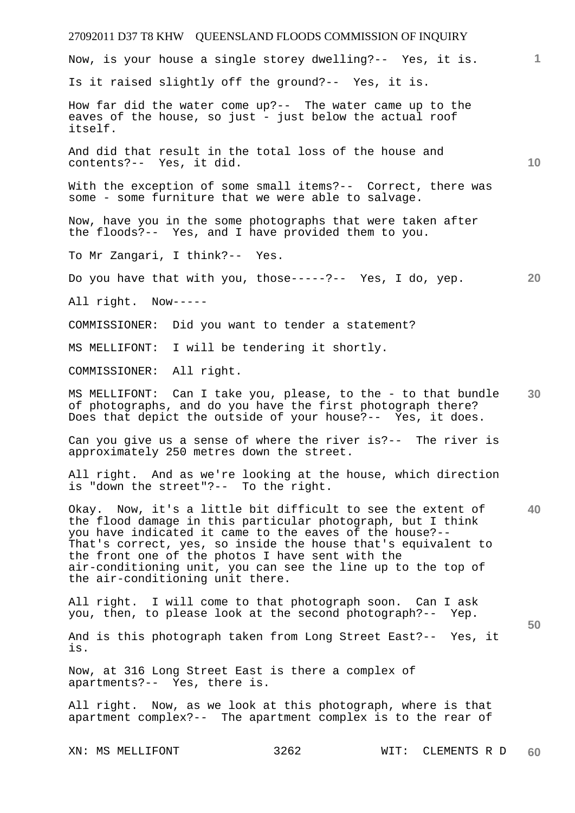# 27092011 D37 T8 KHW QUEENSLAND FLOODS COMMISSION OF INQUIRY **1 10 20 30 40 50**  Now, is your house a single storey dwelling?-- Yes, it is. Is it raised slightly off the ground?-- Yes, it is. How far did the water come up?-- The water came up to the eaves of the house, so just - just below the actual roof itself. And did that result in the total loss of the house and contents?-- Yes, it did. With the exception of some small items?-- Correct, there was some - some furniture that we were able to salvage. Now, have you in the some photographs that were taken after the floods?-- Yes, and I have provided them to you. To Mr Zangari, I think?-- Yes. Do you have that with you, those-----?-- Yes, I do, yep. All right. Now----- COMMISSIONER: Did you want to tender a statement? MS MELLIFONT: I will be tendering it shortly. COMMISSIONER: All right. MS MELLIFONT: Can I take you, please, to the - to that bundle of photographs, and do you have the first photograph there? Does that depict the outside of your house?-- Yes, it does. Can you give us a sense of where the river is?-- The river is approximately 250 metres down the street. All right. And as we're looking at the house, which direction is "down the street"?-- To the right. Okay. Now, it's a little bit difficult to see the extent of the flood damage in this particular photograph, but I think you have indicated it came to the eaves of the house?-- That's correct, yes, so inside the house that's equivalent to the front one of the photos I have sent with the air-conditioning unit, you can see the line up to the top of the air-conditioning unit there. All right. I will come to that photograph soon. Can I ask you, then, to please look at the second photograph?-- Yep. And is this photograph taken from Long Street East?-- Yes, it is. Now, at 316 Long Street East is there a complex of apartments?-- Yes, there is. All right. Now, as we look at this photograph, where is that apartment complex?-- The apartment complex is to the rear of

XN: MS MELLIFONT 3262 WIT: CLEMENTS R D **60**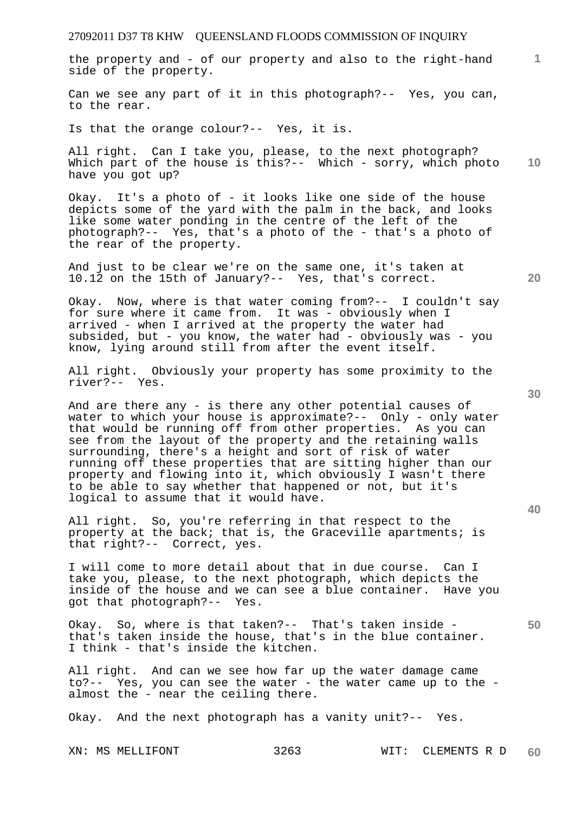the property and - of our property and also to the right-hand side of the property.

Can we see any part of it in this photograph?-- Yes, you can, to the rear.

Is that the orange colour?-- Yes, it is.

**10**  All right. Can I take you, please, to the next photograph? Which part of the house is this?-- Which - sorry, which photo have you got up?

Okay. It's a photo of - it looks like one side of the house depicts some of the yard with the palm in the back, and looks like some water ponding in the centre of the left of the photograph?-- Yes, that's a photo of the - that's a photo of the rear of the property.

And just to be clear we're on the same one, it's taken at 10.12 on the 15th of January?-- Yes, that's correct.

Okay. Now, where is that water coming from?-- I couldn't say for sure where it came from. It was - obviously when I arrived - when I arrived at the property the water had subsided, but - you know, the water had - obviously was - you know, lying around still from after the event itself.

All right. Obviously your property has some proximity to the river?-- Yes.

And are there any - is there any other potential causes of water to which your house is approximate?-- Only - only water that would be running off from other properties. As you can see from the layout of the property and the retaining walls surrounding, there's a height and sort of risk of water running off these properties that are sitting higher than our property and flowing into it, which obviously I wasn't there to be able to say whether that happened or not, but it's logical to assume that it would have.

All right. So, you're referring in that respect to the property at the back; that is, the Graceville apartments; is that right?-- Correct, yes.

I will come to more detail about that in due course. Can I take you, please, to the next photograph, which depicts the inside of the house and we can see a blue container. Have you got that photograph?-- Yes.

Okay. So, where is that taken?-- That's taken inside that's taken inside the house, that's in the blue container. I think - that's inside the kitchen.

All right. And can we see how far up the water damage came to?-- Yes, you can see the water - the water came up to the almost the - near the ceiling there.

Okay. And the next photograph has a vanity unit?-- Yes.

XN: MS MELLIFONT 3263 WIT: CLEMENTS R D **60** 

**30** 

**20** 

**50**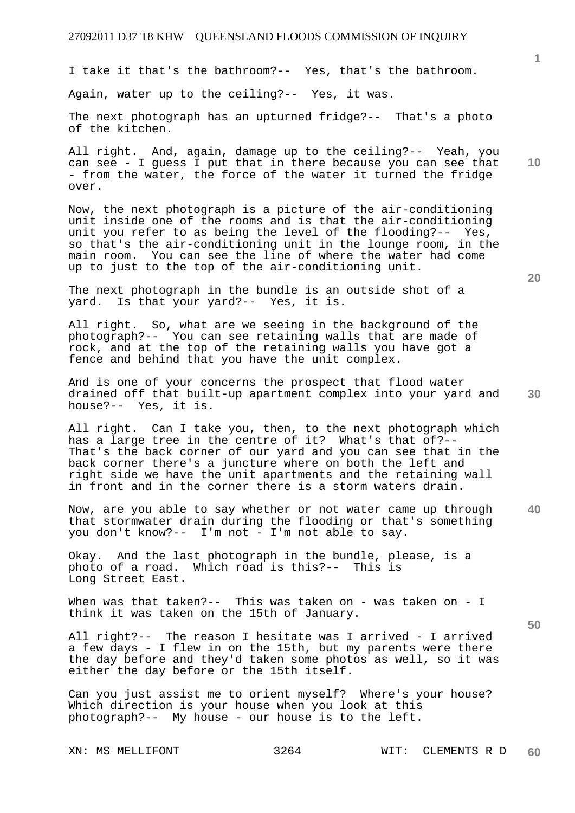I take it that's the bathroom?-- Yes, that's the bathroom.

Again, water up to the ceiling?-- Yes, it was.

The next photograph has an upturned fridge?-- That's a photo of the kitchen.

All right. And, again, damage up to the ceiling?-- Yeah, you can see - I guess I put that in there because you can see that - from the water, the force of the water it turned the fridge over.

Now, the next photograph is a picture of the air-conditioning unit inside one of the rooms and is that the air-conditioning unit you refer to as being the level of the flooding?-- Yes, so that's the air-conditioning unit in the lounge room, in the main room. You can see the line of where the water had come up to just to the top of the air-conditioning unit.

The next photograph in the bundle is an outside shot of a yard. Is that your yard?-- Yes, it is.

All right. So, what are we seeing in the background of the photograph?-- You can see retaining walls that are made of rock, and at the top of the retaining walls you have got a fence and behind that you have the unit complex.

And is one of your concerns the prospect that flood water drained off that built-up apartment complex into your yard and house?-- Yes, it is.

All right. Can I take you, then, to the next photograph which has a large tree in the centre of it? What's that of?-- That's the back corner of our yard and you can see that in the back corner there's a juncture where on both the left and right side we have the unit apartments and the retaining wall in front and in the corner there is a storm waters drain.

**40**  Now, are you able to say whether or not water came up through that stormwater drain during the flooding or that's something you don't know?-- I'm not - I'm not able to say.

Okay. And the last photograph in the bundle, please, is a photo of a road. Which road is this?-- This is Long Street East.

When was that taken?-- This was taken on - was taken on - I think it was taken on the 15th of January.

All right?-- The reason I hesitate was I arrived - I arrived a few days - I flew in on the 15th, but my parents were there the day before and they'd taken some photos as well, so it was either the day before or the 15th itself.

Can you just assist me to orient myself? Where's your house? Which direction is your house when you look at this photograph?-- My house - our house is to the left.

**20** 

**10** 

**1**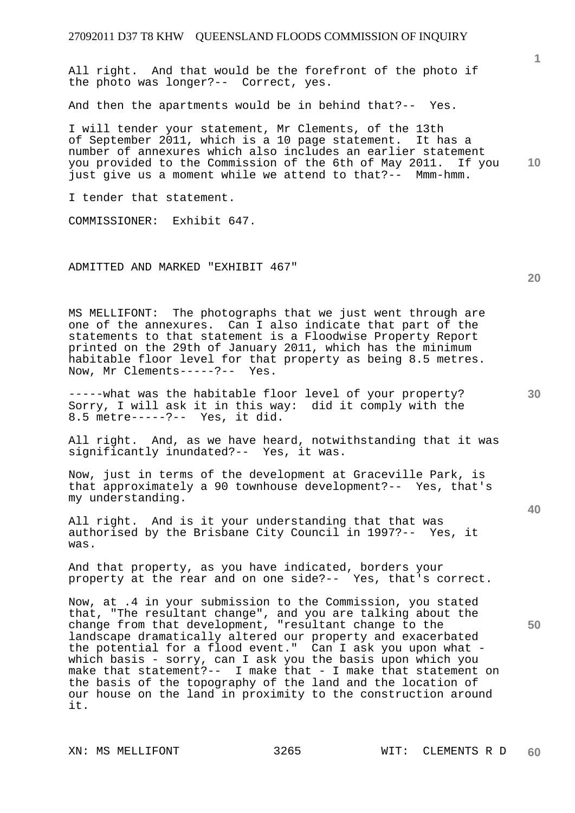All right. And that would be the forefront of the photo if the photo was longer?-- Correct, yes.

And then the apartments would be in behind that?-- Yes.

**10**  I will tender your statement, Mr Clements, of the 13th of September 2011, which is a 10 page statement. It has a number of annexures which also includes an earlier statement you provided to the Commission of the 6th of May 2011. If you just give us a moment while we attend to that?-- Mmm-hmm.

I tender that statement.

COMMISSIONER: Exhibit 647.

ADMITTED AND MARKED "EXHIBIT 467"

MS MELLIFONT: The photographs that we just went through are one of the annexures. Can I also indicate that part of the statements to that statement is a Floodwise Property Report printed on the 29th of January 2011, which has the minimum habitable floor level for that property as being 8.5 metres. Now, Mr Clements-----?-- Yes.

-----what was the habitable floor level of your property? Sorry, I will ask it in this way: did it comply with the 8.5 metre-----?-- Yes, it did.

All right. And, as we have heard, notwithstanding that it was significantly inundated?-- Yes, it was.

Now, just in terms of the development at Graceville Park, is that approximately a 90 townhouse development?-- Yes, that's my understanding.

All right. And is it your understanding that that was authorised by the Brisbane City Council in 1997?-- Yes, it was.

And that property, as you have indicated, borders your property at the rear and on one side?-- Yes, that's correct.

Now, at .4 in your submission to the Commission, you stated that, "The resultant change", and you are talking about the change from that development, "resultant change to the landscape dramatically altered our property and exacerbated the potential for a flood event." Can I ask you upon what which basis - sorry, can I ask you the basis upon which you make that statement?-- I make that - I make that statement on the basis of the topography of the land and the location of our house on the land in proximity to the construction around it.

**20** 

**40**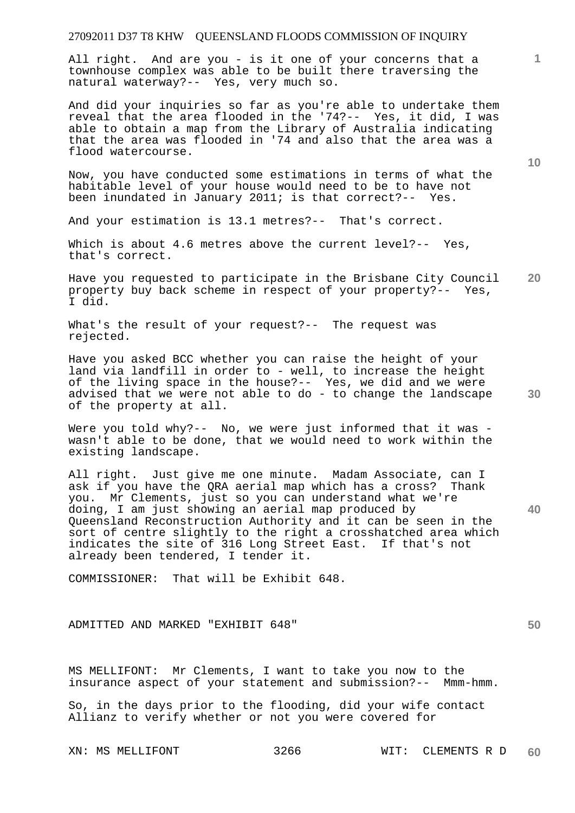All right. And are you - is it one of your concerns that a townhouse complex was able to be built there traversing the natural waterway?-- Yes, very much so.

And did your inquiries so far as you're able to undertake them reveal that the area flooded in the '74?-- Yes, it did, I was able to obtain a map from the Library of Australia indicating that the area was flooded in '74 and also that the area was a flood watercourse.

Now, you have conducted some estimations in terms of what the habitable level of your house would need to be to have not been inundated in January 2011; is that correct?-- Yes.

And your estimation is 13.1 metres?-- That's correct.

Which is about 4.6 metres above the current level?-- Yes, that's correct.

**20**  Have you requested to participate in the Brisbane City Council property buy back scheme in respect of your property?-- Yes, I did.

What's the result of your request?-- The request was rejected.

Have you asked BCC whether you can raise the height of your land via landfill in order to - well, to increase the height of the living space in the house?-- Yes, we did and we were advised that we were not able to do - to change the landscape of the property at all.

Were you told why?-- No, we were just informed that it was wasn't able to be done, that we would need to work within the existing landscape.

All right. Just give me one minute. Madam Associate, can I ask if you have the QRA aerial map which has a cross? Thank you. Mr Clements, just so you can understand what we're doing, I am just showing an aerial map produced by Queensland Reconstruction Authority and it can be seen in the sort of centre slightly to the right a crosshatched area which indicates the site of 316 Long Street East. If that's not already been tendered, I tender it.

COMMISSIONER: That will be Exhibit 648.

ADMITTED AND MARKED "EXHIBIT 648"

MS MELLIFONT: Mr Clements, I want to take you now to the insurance aspect of your statement and submission?-- Mmm-hmm.

So, in the days prior to the flooding, did your wife contact Allianz to verify whether or not you were covered for

**30** 

**40** 

**50** 

**10**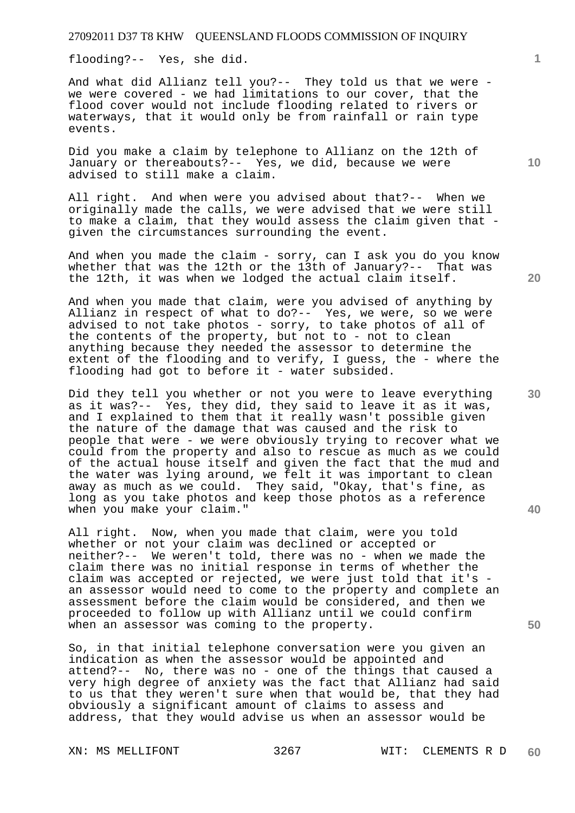flooding?-- Yes, she did.

And what did Allianz tell you?-- They told us that we were we were covered - we had limitations to our cover, that the flood cover would not include flooding related to rivers or waterways, that it would only be from rainfall or rain type events.

Did you make a claim by telephone to Allianz on the 12th of January or thereabouts?-- Yes, we did, because we were advised to still make a claim.

All right. And when were you advised about that?-- When we originally made the calls, we were advised that we were still to make a claim, that they would assess the claim given that given the circumstances surrounding the event.

And when you made the claim - sorry, can I ask you do you know whether that was the 12th or the 13th of January?-- That was the 12th, it was when we lodged the actual claim itself.

And when you made that claim, were you advised of anything by Allianz in respect of what to do?-- Yes, we were, so we were advised to not take photos - sorry, to take photos of all of the contents of the property, but not to - not to clean anything because they needed the assessor to determine the extent of the flooding and to verify, I guess, the - where the flooding had got to before it - water subsided.

Did they tell you whether or not you were to leave everything as it was?-- Yes, they did, they said to leave it as it was, and I explained to them that it really wasn't possible given the nature of the damage that was caused and the risk to people that were - we were obviously trying to recover what we could from the property and also to rescue as much as we could of the actual house itself and given the fact that the mud and the water was lying around, we felt it was important to clean away as much as we could. They said, "Okay, that's fine, as long as you take photos and keep those photos as a reference when you make your claim."

All right. Now, when you made that claim, were you told whether or not your claim was declined or accepted or neither?-- We weren't told, there was no - when we made the claim there was no initial response in terms of whether the claim was accepted or rejected, we were just told that it's an assessor would need to come to the property and complete an assessment before the claim would be considered, and then we proceeded to follow up with Allianz until we could confirm when an assessor was coming to the property.

So, in that initial telephone conversation were you given an indication as when the assessor would be appointed and attend?-- No, there was no - one of the things that caused a very high degree of anxiety was the fact that Allianz had said to us that they weren't sure when that would be, that they had obviously a significant amount of claims to assess and address, that they would advise us when an assessor would be

**10** 

**1**

**20** 

**30**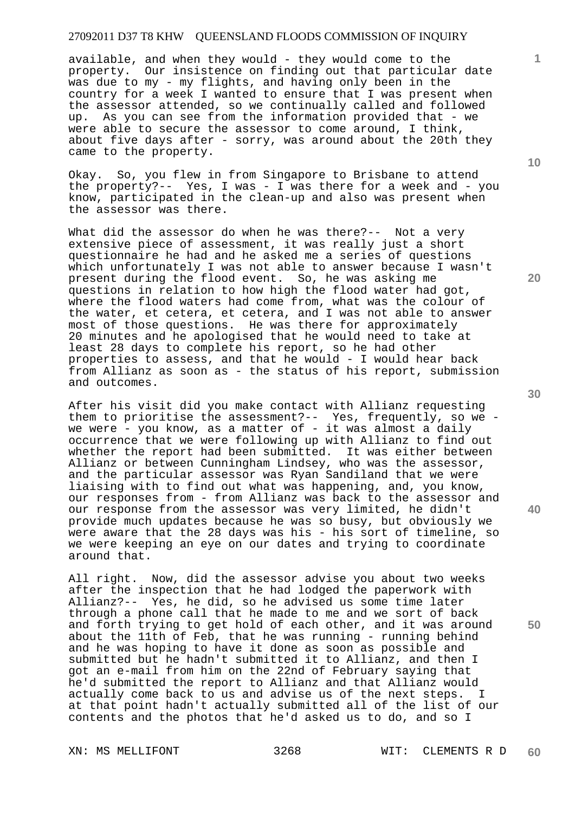available, and when they would - they would come to the property. Our insistence on finding out that particular date was due to my - my flights, and having only been in the country for a week I wanted to ensure that I was present when the assessor attended, so we continually called and followed up. As you can see from the information provided that - we were able to secure the assessor to come around, I think, about five days after - sorry, was around about the 20th they came to the property.

Okay. So, you flew in from Singapore to Brisbane to attend the property?-- Yes, I was - I was there for a week and - you know, participated in the clean-up and also was present when the assessor was there.

What did the assessor do when he was there?-- Not a very extensive piece of assessment, it was really just a short questionnaire he had and he asked me a series of questions which unfortunately I was not able to answer because I wasn't present during the flood event. So, he was asking me questions in relation to how high the flood water had got, where the flood waters had come from, what was the colour of the water, et cetera, et cetera, and I was not able to answer most of those questions. He was there for approximately 20 minutes and he apologised that he would need to take at least 28 days to complete his report, so he had other properties to assess, and that he would - I would hear back from Allianz as soon as - the status of his report, submission and outcomes.

After his visit did you make contact with Allianz requesting them to prioritise the assessment?-- Yes, frequently, so we we were - you know, as a matter of - it was almost a daily occurrence that we were following up with Allianz to find out whether the report had been submitted. It was either between Allianz or between Cunningham Lindsey, who was the assessor, and the particular assessor was Ryan Sandiland that we were liaising with to find out what was happening, and, you know, our responses from - from Allianz was back to the assessor and our response from the assessor was very limited, he didn't provide much updates because he was so busy, but obviously we were aware that the 28 days was his - his sort of timeline, so we were keeping an eye on our dates and trying to coordinate around that.

All right. Now, did the assessor advise you about two weeks after the inspection that he had lodged the paperwork with Allianz?-- Yes, he did, so he advised us some time later through a phone call that he made to me and we sort of back and forth trying to get hold of each other, and it was around about the 11th of Feb, that he was running - running behind and he was hoping to have it done as soon as possible and submitted but he hadn't submitted it to Allianz, and then I got an e-mail from him on the 22nd of February saying that he'd submitted the report to Allianz and that Allianz would actually come back to us and advise us of the next steps. I at that point hadn't actually submitted all of the list of our contents and the photos that he'd asked us to do, and so I

**20** 

**40** 

**50** 

**10**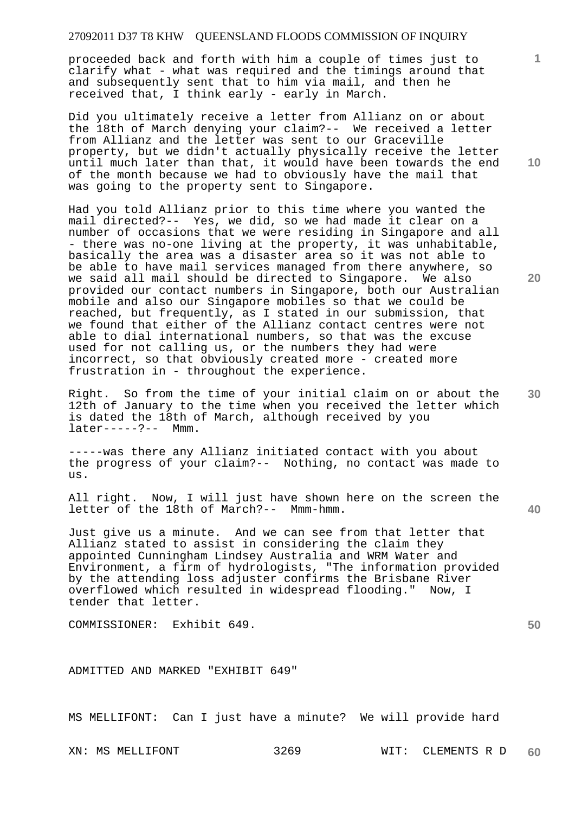proceeded back and forth with him a couple of times just to clarify what - what was required and the timings around that and subsequently sent that to him via mail, and then he received that, I think early - early in March.

Did you ultimately receive a letter from Allianz on or about the 18th of March denying your claim?-- We received a letter from Allianz and the letter was sent to our Graceville property, but we didn't actually physically receive the letter until much later than that, it would have been towards the end of the month because we had to obviously have the mail that was going to the property sent to Singapore.

Had you told Allianz prior to this time where you wanted the mail directed?-- Yes, we did, so we had made it clear on a number of occasions that we were residing in Singapore and all - there was no-one living at the property, it was unhabitable, basically the area was a disaster area so it was not able to be able to have mail services managed from there anywhere, so we said all mail should be directed to Singapore. We also provided our contact numbers in Singapore, both our Australian mobile and also our Singapore mobiles so that we could be reached, but frequently, as I stated in our submission, that we found that either of the Allianz contact centres were not able to dial international numbers, so that was the excuse used for not calling us, or the numbers they had were incorrect, so that obviously created more - created more frustration in - throughout the experience.

Right. So from the time of your initial claim on or about the 12th of January to the time when you received the letter which is dated the 18th of March, although received by you later-----?-- Mmm.

-----was there any Allianz initiated contact with you about the progress of your claim?-- Nothing, no contact was made to us.

All right. Now, I will just have shown here on the screen the letter of the 18th of March?-- Mmm-hmm.

Just give us a minute. And we can see from that letter that Allianz stated to assist in considering the claim they appointed Cunningham Lindsey Australia and WRM Water and Environment, a firm of hydrologists, "The information provided by the attending loss adjuster confirms the Brisbane River overflowed which resulted in widespread flooding." Now, I tender that letter.

COMMISSIONER: Exhibit 649.

ADMITTED AND MARKED "EXHIBIT 649"

MS MELLIFONT: Can I just have a minute? We will provide hard

**10** 

**1**

**20** 

**30** 

**50**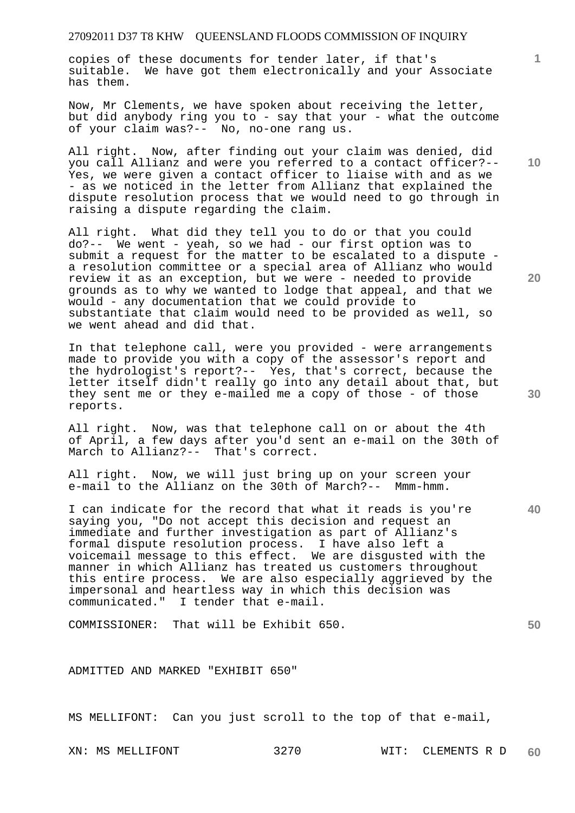copies of these documents for tender later, if that's suitable. We have got them electronically and your Associate has them.

Now, Mr Clements, we have spoken about receiving the letter, but did anybody ring you to - say that your - what the outcome of your claim was?-- No, no-one rang us.

All right. Now, after finding out your claim was denied, did you call Allianz and were you referred to a contact officer?-- Yes, we were given a contact officer to liaise with and as we - as we noticed in the letter from Allianz that explained the dispute resolution process that we would need to go through in raising a dispute regarding the claim.

All right. What did they tell you to do or that you could do?-- We went - yeah, so we had - our first option was to submit a request for the matter to be escalated to a dispute a resolution committee or a special area of Allianz who would review it as an exception, but we were - needed to provide grounds as to why we wanted to lodge that appeal, and that we would - any documentation that we could provide to substantiate that claim would need to be provided as well, so we went ahead and did that.

In that telephone call, were you provided - were arrangements made to provide you with a copy of the assessor's report and the hydrologist's report?-- Yes, that's correct, because the letter itself didn't really go into any detail about that, but they sent me or they e-mailed me a copy of those - of those reports.

All right. Now, was that telephone call on or about the 4th of April, a few days after you'd sent an e-mail on the 30th of March to Allianz?-- That's correct.

All right. Now, we will just bring up on your screen your e-mail to the Allianz on the 30th of March?-- Mmm-hmm.

I can indicate for the record that what it reads is you're saying you, "Do not accept this decision and request an immediate and further investigation as part of Allianz's formal dispute resolution process. I have also left a voicemail message to this effect. We are disgusted with the manner in which Allianz has treated us customers throughout this entire process. We are also especially aggrieved by the impersonal and heartless way in which this decision was communicated." I tender that e-mail.

COMMISSIONER: That will be Exhibit 650.

ADMITTED AND MARKED "EXHIBIT 650"

MS MELLIFONT: Can you just scroll to the top of that e-mail,

**10** 

**1**

**20** 

**30** 

**40**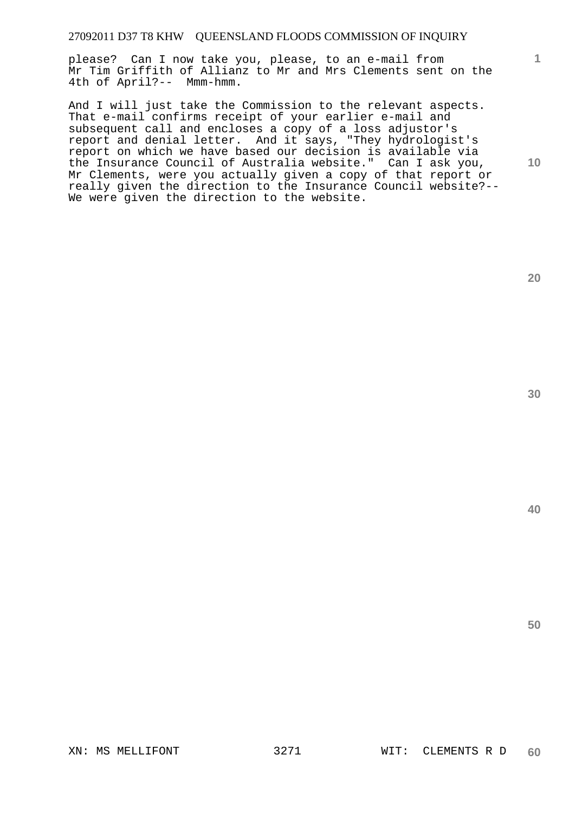please? Can I now take you, please, to an e-mail from Mr Tim Griffith of Allianz to Mr and Mrs Clements sent on the 4th of April?-- Mmm-hmm.

And I will just take the Commission to the relevant aspects. That e-mail confirms receipt of your earlier e-mail and subsequent call and encloses a copy of a loss adjustor's report and denial letter. And it says, "They hydrologist's report on which we have based our decision is available via the Insurance Council of Australia website." Can I ask you, Mr Clements, were you actually given a copy of that report or really given the direction to the Insurance Council website?-- We were given the direction to the website.

**20** 

**1**

**10** 

**40**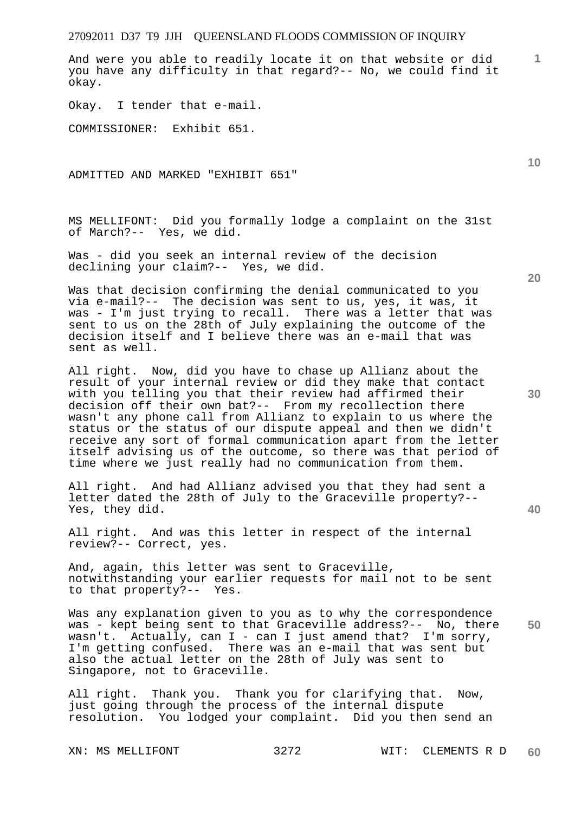And were you able to readily locate it on that website or did you have any difficulty in that regard?-- No, we could find it okay.

Okay. I tender that e-mail.

COMMISSIONER: Exhibit 651.

ADMITTED AND MARKED "EXHIBIT 651"

MS MELLIFONT: Did you formally lodge a complaint on the 31st of March?-- Yes, we did.

Was - did you seek an internal review of the decision declining your claim?-- Yes, we did.

Was that decision confirming the denial communicated to you via e-mail?-- The decision was sent to us, yes, it was, it was - I'm just trying to recall. There was a letter that was sent to us on the 28th of July explaining the outcome of the decision itself and I believe there was an e-mail that was sent as well.

All right. Now, did you have to chase up Allianz about the result of your internal review or did they make that contact with you telling you that their review had affirmed their decision off their own bat?-- From my recollection there wasn't any phone call from Allianz to explain to us where the status or the status of our dispute appeal and then we didn't receive any sort of formal communication apart from the letter itself advising us of the outcome, so there was that period of time where we just really had no communication from them.

All right. And had Allianz advised you that they had sent a letter dated the 28th of July to the Graceville property?-- Yes, they did.

All right. And was this letter in respect of the internal review?-- Correct, yes.

And, again, this letter was sent to Graceville, notwithstanding your earlier requests for mail not to be sent to that property?-- Yes.

**50**  Was any explanation given to you as to why the correspondence was - kept being sent to that Graceville address?-- No, there wasn't. Actually, can  $I - can I$  just amend that? I'm sorry, I'm getting confused. There was an e-mail that was sent but also the actual letter on the 28th of July was sent to Singapore, not to Graceville.

All right. Thank you. Thank you for clarifying that. Now, just going through the process of the internal dispute resolution. You lodged your complaint. Did you then send an

**20** 

**40** 

**10**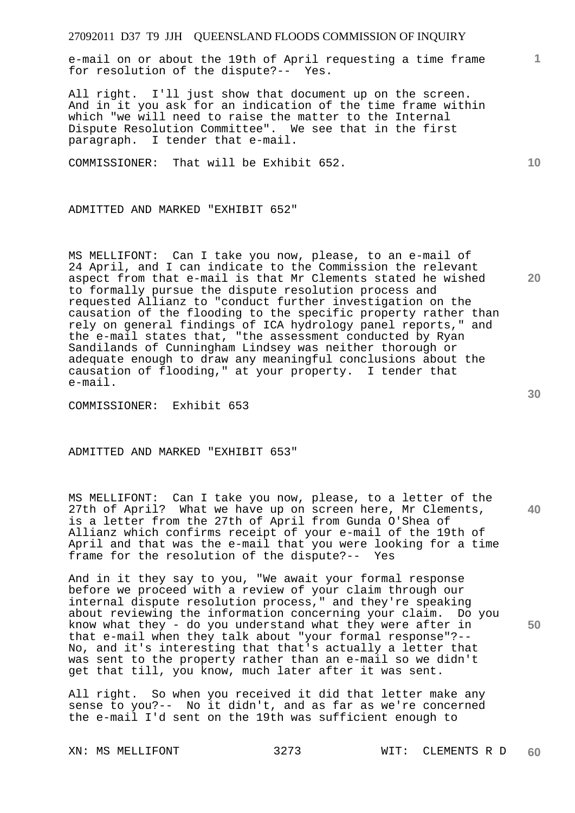e-mail on or about the 19th of April requesting a time frame for resolution of the dispute?-- Yes.

All right. I'll just show that document up on the screen. And in it you ask for an indication of the time frame within which "we will need to raise the matter to the Internal Dispute Resolution Committee". We see that in the first paragraph. I tender that e-mail.

COMMISSIONER: That will be Exhibit 652.

ADMITTED AND MARKED "EXHIBIT 652"

MS MELLIFONT: Can I take you now, please, to an e-mail of 24 April, and I can indicate to the Commission the relevant aspect from that e-mail is that Mr Clements stated he wished to formally pursue the dispute resolution process and requested Allianz to "conduct further investigation on the causation of the flooding to the specific property rather than rely on general findings of ICA hydrology panel reports," and the e-mail states that, "the assessment conducted by Ryan Sandilands of Cunningham Lindsey was neither thorough or adequate enough to draw any meaningful conclusions about the causation of flooding," at your property. I tender that e-mail.

COMMISSIONER: Exhibit 653

ADMITTED AND MARKED "EXHIBIT 653"

MS MELLIFONT: Can I take you now, please, to a letter of the 27th of April? What we have up on screen here, Mr Clements, is a letter from the 27th of April from Gunda O'Shea of Allianz which confirms receipt of your e-mail of the 19th of April and that was the e-mail that you were looking for a time frame for the resolution of the dispute?-- Yes

And in it they say to you, "We await your formal response before we proceed with a review of your claim through our internal dispute resolution process," and they're speaking about reviewing the information concerning your claim. Do you know what they - do you understand what they were after in that e-mail when they talk about "your formal response"?-- No, and it's interesting that that's actually a letter that was sent to the property rather than an e-mail so we didn't get that till, you know, much later after it was sent.

All right. So when you received it did that letter make any sense to you?-- No it didn't, and as far as we're concerned the e-mail I'd sent on the 19th was sufficient enough to

**30** 

**40** 

**50** 

**10** 

**20**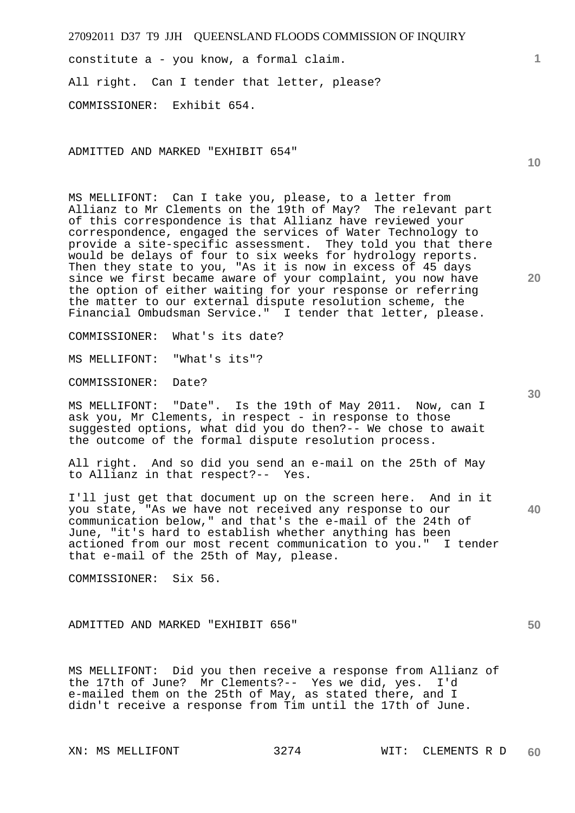constitute a - you know, a formal claim. All right. Can I tender that letter, please? COMMISSIONER: Exhibit 654.

ADMITTED AND MARKED "EXHIBIT 654"

MS MELLIFONT: Can I take you, please, to a letter from Allianz to Mr Clements on the 19th of May? The relevant part of this correspondence is that Allianz have reviewed your correspondence, engaged the services of Water Technology to provide a site-specific assessment. They told you that there would be delays of four to six weeks for hydrology reports. Then they state to you, "As it is now in excess of 45 days since we first became aware of your complaint, you now have the option of either waiting for your response or referring the matter to our external dispute resolution scheme, the Financial Ombudsman Service." I tender that letter, please.

COMMISSIONER: What's its date?

MS MELLIFONT: "What's its"?

COMMISSIONER: Date?

MS MELLIFONT: "Date". Is the 19th of May 2011. Now, can I ask you, Mr Clements, in respect - in response to those suggested options, what did you do then?-- We chose to await the outcome of the formal dispute resolution process.

All right. And so did you send an e-mail on the 25th of May to Allianz in that respect?-- Yes.

I'll just get that document up on the screen here. And in it you state, "As we have not received any response to our communication below," and that's the e-mail of the 24th of June, "it's hard to establish whether anything has been actioned from our most recent communication to you." I tender that e-mail of the 25th of May, please.

COMMISSIONER: Six 56.

ADMITTED AND MARKED "EXHIBIT 656"

MS MELLIFONT: Did you then receive a response from Allianz of the 17th of June? Mr Clements?-- Yes we did, yes. I'd e-mailed them on the 25th of May, as stated there, and I didn't receive a response from Tim until the 17th of June.

**40** 

**50** 

**20** 

**10**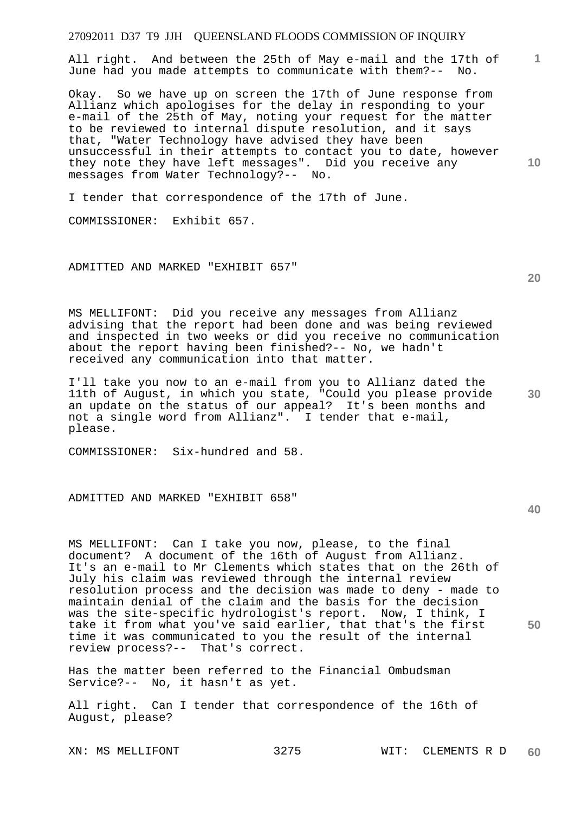**1** All right. And between the 25th of May e-mail and the 17th of June had you made attempts to communicate with them?-- No.

Okay. So we have up on screen the 17th of June response from Allianz which apologises for the delay in responding to your e-mail of the 25th of May, noting your request for the matter to be reviewed to internal dispute resolution, and it says that, "Water Technology have advised they have been unsuccessful in their attempts to contact you to date, however they note they have left messages". Did you receive any messages from Water Technology?-- No.

I tender that correspondence of the 17th of June.

COMMISSIONER: Exhibit 657.

ADMITTED AND MARKED "EXHIBIT 657"

MS MELLIFONT: Did you receive any messages from Allianz advising that the report had been done and was being reviewed and inspected in two weeks or did you receive no communication about the report having been finished?-- No, we hadn't received any communication into that matter.

I'll take you now to an e-mail from you to Allianz dated the 11th of August, in which you state, "Could you please provide an update on the status of our appeal? It's been months and not a single word from Allianz". I tender that e-mail, please.

COMMISSIONER: Six-hundred and 58.

ADMITTED AND MARKED "EXHIBIT 658"

MS MELLIFONT: Can I take you now, please, to the final document? A document of the 16th of August from Allianz. It's an e-mail to Mr Clements which states that on the 26th of July his claim was reviewed through the internal review resolution process and the decision was made to deny - made to maintain denial of the claim and the basis for the decision was the site-specific hydrologist's report. Now, I think, I take it from what you've said earlier, that that's the first time it was communicated to you the result of the internal review process?-- That's correct.

Has the matter been referred to the Financial Ombudsman Service?-- No, it hasn't as yet.

All right. Can I tender that correspondence of the 16th of August, please?

**30** 

**20** 

**10** 

**40**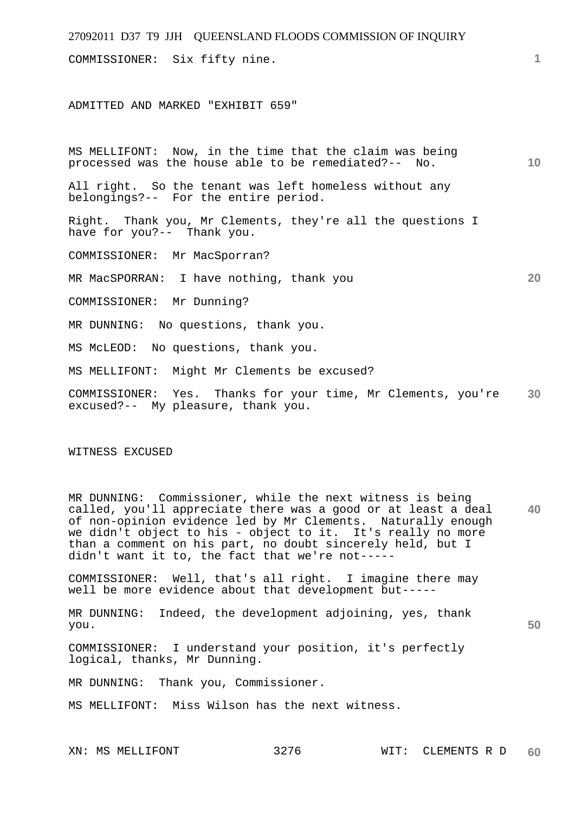| 27092011 D37 T9 JJH QUEENSLAND FLOODS COMMISSION OF INQUIRY                                                     |                 |
|-----------------------------------------------------------------------------------------------------------------|-----------------|
| COMMISSIONER: Six fifty nine.                                                                                   | 1.              |
| ADMITTED AND MARKED "EXHIBIT 659"                                                                               |                 |
| MS MELLIFONT: Now, in the time that the claim was being<br>processed was the house able to be remediated?-- No. | 10 <sup>°</sup> |
| All right. So the tenant was left homeless without any<br>belongings?-- For the entire period.                  |                 |
| Right. Thank you, Mr Clements, they're all the questions I<br>have for you?-- Thank you.                        |                 |
| COMMISSIONER:<br>Mr MacSporran?                                                                                 |                 |
| MR MacSPORRAN: I have nothing, thank you                                                                        | 20              |
| COMMISSIONER: Mr Dunning?                                                                                       |                 |
| MR DUNNING: No questions, thank you.                                                                            |                 |
| No questions, thank you.<br>MS MCLEOD:                                                                          |                 |
| Might Mr Clements be excused?<br>MS MELLIFONT:                                                                  |                 |
| COMMISSIONER: Yes. Thanks for your time, Mr Clements, you're<br>excused?-- My pleasure, thank you.              | 30              |
| WITNESS EXCUSED                                                                                                 |                 |
|                                                                                                                 |                 |

**40**  MR DUNNING: Commissioner, while the next witness is being called, you'll appreciate there was a good or at least a deal of non-opinion evidence led by Mr Clements. Naturally enough we didn't object to his - object to it. It's really no more than a comment on his part, no doubt sincerely held, but I didn't want it to, the fact that we're not-----

COMMISSIONER: Well, that's all right. I imagine there may well be more evidence about that development but-----

MR DUNNING: Indeed, the development adjoining, yes, thank you.

COMMISSIONER: I understand your position, it's perfectly logical, thanks, Mr Dunning.

MR DUNNING: Thank you, Commissioner.

MS MELLIFONT: Miss Wilson has the next witness.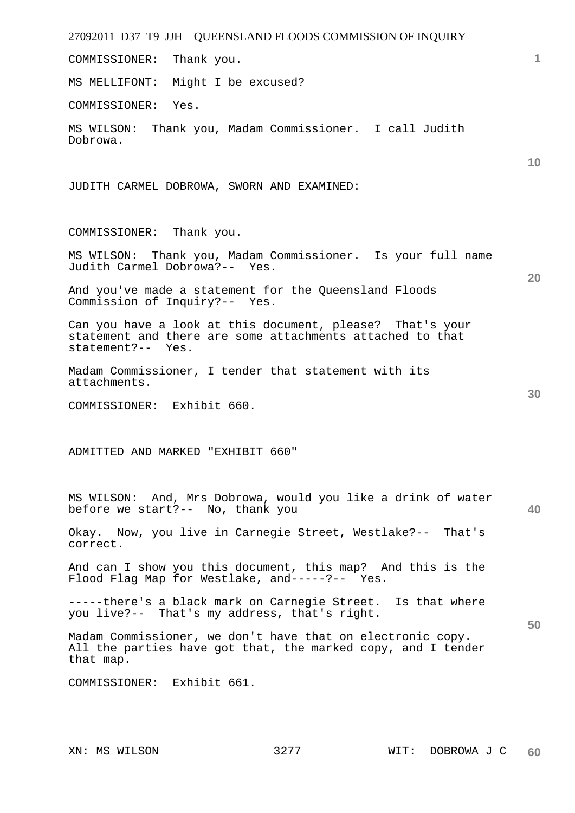27092011 D37 T9 JJH QUEENSLAND FLOODS COMMISSION OF INQUIRY **1 10 20 30 40 50**  COMMISSIONER: Thank you. MS MELLIFONT: Might I be excused? COMMISSIONER: Yes. MS WILSON: Thank you, Madam Commissioner. I call Judith Dobrowa. JUDITH CARMEL DOBROWA, SWORN AND EXAMINED: COMMISSIONER: Thank you. MS WILSON: Thank you, Madam Commissioner. Is your full name Judith Carmel Dobrowa?-- Yes. And you've made a statement for the Queensland Floods Commission of Inquiry?-- Yes. Can you have a look at this document, please? That's your statement and there are some attachments attached to that statement?-- Yes. Madam Commissioner, I tender that statement with its attachments. COMMISSIONER: Exhibit 660. ADMITTED AND MARKED "EXHIBIT 660" MS WILSON: And, Mrs Dobrowa, would you like a drink of water before we start?-- No, thank you Okay. Now, you live in Carnegie Street, Westlake?-- That's correct. And can I show you this document, this map? And this is the Flood Flag Map for Westlake, and-----?-- Yes. -----there's a black mark on Carnegie Street. Is that where you live?-- That's my address, that's right. Madam Commissioner, we don't have that on electronic copy. All the parties have got that, the marked copy, and I tender that map. COMMISSIONER: Exhibit 661.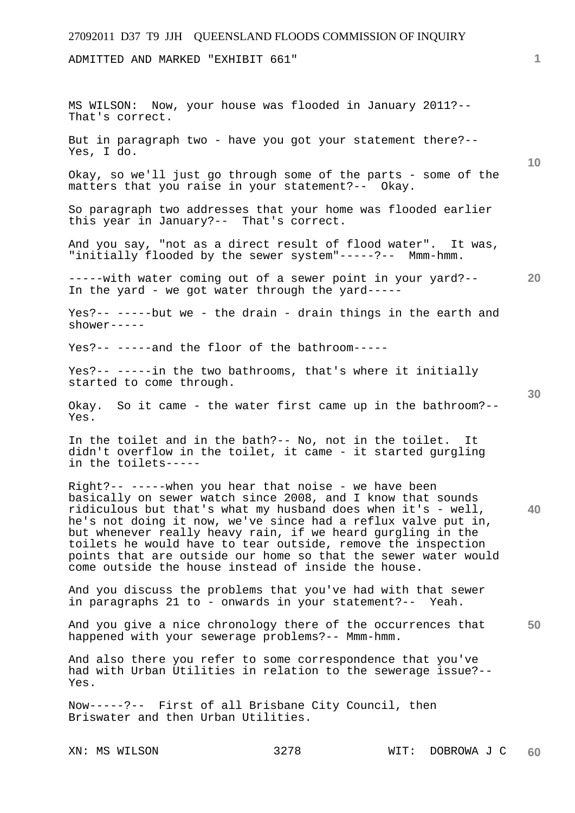ADMITTED AND MARKED "EXHIBIT 661"

**10 20 30 40 50**  MS WILSON: Now, your house was flooded in January 2011?-- That's correct. But in paragraph two - have you got your statement there?-- Yes, I do. Okay, so we'll just go through some of the parts - some of the matters that you raise in your statement?-- Okay. So paragraph two addresses that your home was flooded earlier this year in January?-- That's correct. And you say, "not as a direct result of flood water". It was, "initially flooded by the sewer system"-----?-- Mmm-hmm. -----with water coming out of a sewer point in your yard?-- In the yard - we got water through the yard----- Yes?-- -----but we - the drain - drain things in the earth and shower----- Yes?-- -----and the floor of the bathroom----- Yes?-- -----in the two bathrooms, that's where it initially started to come through. Okay. So it came - the water first came up in the bathroom?-- Yes. In the toilet and in the bath?-- No, not in the toilet. It didn't overflow in the toilet, it came - it started gurgling in the toilets----- Right?-- -----when you hear that noise - we have been basically on sewer watch since 2008, and I know that sounds ridiculous but that's what my husband does when it's - well, he's not doing it now, we've since had a reflux valve put in, but whenever really heavy rain, if we heard gurgling in the toilets he would have to tear outside, remove the inspection points that are outside our home so that the sewer water would come outside the house instead of inside the house. And you discuss the problems that you've had with that sewer in paragraphs 21 to - onwards in your statement?-- Yeah. And you give a nice chronology there of the occurrences that happened with your sewerage problems?-- Mmm-hmm. And also there you refer to some correspondence that you've had with Urban Utilities in relation to the sewerage issue?-- Yes. Now-----?-- First of all Brisbane City Council, then Briswater and then Urban Utilities.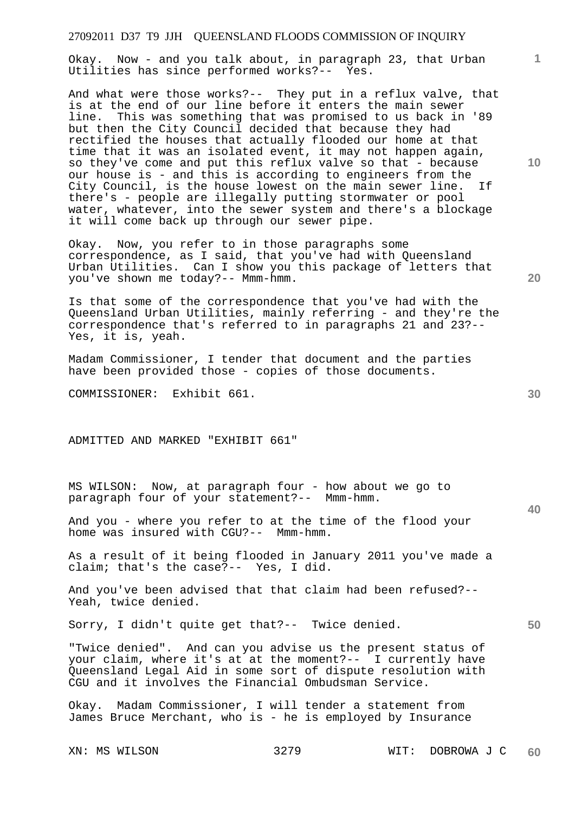| 27092011 D37 T9 JJH QUEENSLAND FLOODS COMMISSION OF INQUIRY                                                                                                                                                                                                                                                                                                                                                                                                                                                                                                                                                                                                                                                                                                           |    |
|-----------------------------------------------------------------------------------------------------------------------------------------------------------------------------------------------------------------------------------------------------------------------------------------------------------------------------------------------------------------------------------------------------------------------------------------------------------------------------------------------------------------------------------------------------------------------------------------------------------------------------------------------------------------------------------------------------------------------------------------------------------------------|----|
| Okay. Now - and you talk about, in paragraph 23, that Urban<br>Utilities has since performed works?-- Yes.                                                                                                                                                                                                                                                                                                                                                                                                                                                                                                                                                                                                                                                            | 1  |
| And what were those works?-- They put in a reflux valve, that<br>is at the end of our line before it enters the main sewer<br>This was something that was promised to us back in '89<br>line.<br>but then the City Council decided that because they had<br>rectified the houses that actually flooded our home at that<br>time that it was an isolated event, it may not happen again,<br>so they've come and put this reflux valve so that - because<br>our house is - and this is according to engineers from the<br>City Council, is the house lowest on the main sewer line.<br>If<br>there's - people are illegally putting stormwater or pool<br>water, whatever, into the sewer system and there's a blockage<br>it will come back up through our sewer pipe. | 10 |
| Okay. Now, you refer to in those paragraphs some<br>correspondence, as I said, that you've had with Queensland<br>Urban Utilities. Can I show you this package of letters that<br>you've shown me today?-- Mmm-hmm.                                                                                                                                                                                                                                                                                                                                                                                                                                                                                                                                                   | 20 |
| Is that some of the correspondence that you've had with the<br>Queensland Urban Utilities, mainly referring - and they're the<br>correspondence that's referred to in paragraphs 21 and 23?--<br>Yes, it is, yeah.                                                                                                                                                                                                                                                                                                                                                                                                                                                                                                                                                    |    |
| Madam Commissioner, I tender that document and the parties<br>have been provided those - copies of those documents.                                                                                                                                                                                                                                                                                                                                                                                                                                                                                                                                                                                                                                                   |    |
| COMMISSIONER: Exhibit 661.                                                                                                                                                                                                                                                                                                                                                                                                                                                                                                                                                                                                                                                                                                                                            | 30 |
| ADMITTED AND MARKED "EXHIBIT 661"                                                                                                                                                                                                                                                                                                                                                                                                                                                                                                                                                                                                                                                                                                                                     |    |
| MS WILSON: Now, at paragraph four - how about we go to<br>paragraph four of your statement?-- Mmm-hmm.                                                                                                                                                                                                                                                                                                                                                                                                                                                                                                                                                                                                                                                                |    |
| And you - where you refer to at the time of the flood your<br>home was insured with CGU?-- Mmm-hmm.                                                                                                                                                                                                                                                                                                                                                                                                                                                                                                                                                                                                                                                                   | 40 |
| As a result of it being flooded in January 2011 you've made a<br>claim; that's the case?-- Yes, I did.                                                                                                                                                                                                                                                                                                                                                                                                                                                                                                                                                                                                                                                                |    |
| And you've been advised that that claim had been refused?--<br>Yeah, twice denied.                                                                                                                                                                                                                                                                                                                                                                                                                                                                                                                                                                                                                                                                                    |    |
| Sorry, I didn't quite get that?-- Twice denied.                                                                                                                                                                                                                                                                                                                                                                                                                                                                                                                                                                                                                                                                                                                       | 50 |
| "Twice denied". And can you advise us the present status of<br>your claim, where it's at at the moment?-- I currently have<br>Queensland Legal Aid in some sort of dispute resolution with<br>CGU and it involves the Financial Ombudsman Service.                                                                                                                                                                                                                                                                                                                                                                                                                                                                                                                    |    |
| Okay. Madam Commissioner, I will tender a statement from<br>James Bruce Merchant, who is - he is employed by Insurance                                                                                                                                                                                                                                                                                                                                                                                                                                                                                                                                                                                                                                                |    |
|                                                                                                                                                                                                                                                                                                                                                                                                                                                                                                                                                                                                                                                                                                                                                                       |    |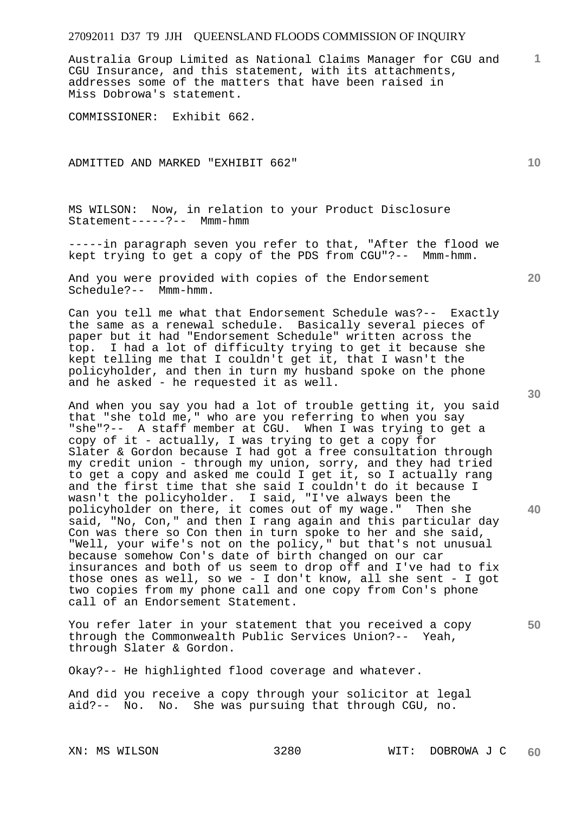Australia Group Limited as National Claims Manager for CGU and CGU Insurance, and this statement, with its attachments, addresses some of the matters that have been raised in Miss Dobrowa's statement.

COMMISSIONER: Exhibit 662.

ADMITTED AND MARKED "EXHIBIT 662"

MS WILSON: Now, in relation to your Product Disclosure Statement-----?-- Mmm-hmm

-----in paragraph seven you refer to that, "After the flood we kept trying to get a copy of the PDS from CGU"?-- Mmm-hmm.

And you were provided with copies of the Endorsement Schedule?-- Mmm-hmm.

Can you tell me what that Endorsement Schedule was?-- Exactly the same as a renewal schedule. Basically several pieces of paper but it had "Endorsement Schedule" written across the top. I had a lot of difficulty trying to get it because she kept telling me that I couldn't get it, that I wasn't the policyholder, and then in turn my husband spoke on the phone and he asked - he requested it as well.

And when you say you had a lot of trouble getting it, you said that "she told me," who are you referring to when you say "she"?-- A staff member at CGU. When I was trying to get a copy of it - actually, I was trying to get a copy for Slater & Gordon because I had got a free consultation through my credit union - through my union, sorry, and they had tried to get a copy and asked me could I get it, so I actually rang and the first time that she said I couldn't do it because I wasn't the policyholder. I said, "I've always been the policyholder on there, it comes out of my wage." Then she said, "No, Con," and then I rang again and this particular day Con was there so Con then in turn spoke to her and she said, "Well, your wife's not on the policy," but that's not unusual because somehow Con's date of birth changed on our car insurances and both of us seem to drop off and I've had to fix those ones as well, so we - I don't know, all she sent - I got two copies from my phone call and one copy from Con's phone call of an Endorsement Statement.

You refer later in your statement that you received a copy through the Commonwealth Public Services Union?-- Yeah, through Slater & Gordon.

Okay?-- He highlighted flood coverage and whatever.

And did you receive a copy through your solicitor at legal aid?-- No. No. She was pursuing that through CGU, no.

**10** 

**1**

**20** 

**30** 

**40**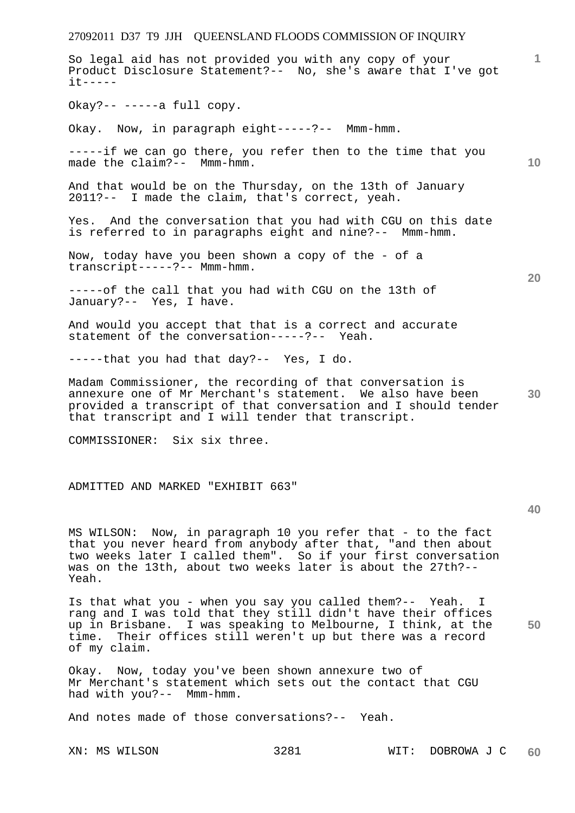27092011 D37 T9 JJH QUEENSLAND FLOODS COMMISSION OF INQUIRY **1 10 20 30 40**  So legal aid has not provided you with any copy of your Product Disclosure Statement?-- No, she's aware that I've got it----- Okay?-- -----a full copy. Okay. Now, in paragraph eight-----?-- Mmm-hmm. -----if we can go there, you refer then to the time that you made the claim?-- Mmm-hmm. And that would be on the Thursday, on the 13th of January 2011?-- I made the claim, that's correct, yeah. Yes. And the conversation that you had with CGU on this date is referred to in paragraphs eight and nine?-- Mmm-hmm. Now, today have you been shown a copy of the - of a transcript-----?-- Mmm-hmm. -----of the call that you had with CGU on the 13th of January?-- Yes, I have. And would you accept that that is a correct and accurate statement of the conversation-----?-- Yeah. -----that you had that day?-- Yes, I do. Madam Commissioner, the recording of that conversation is annexure one of Mr Merchant's statement. We also have been provided a transcript of that conversation and I should tender that transcript and I will tender that transcript. COMMISSIONER: Six six three. ADMITTED AND MARKED "EXHIBIT 663" MS WILSON: Now, in paragraph 10 you refer that - to the fact that you never heard from anybody after that, "and then about two weeks later I called them". So if your first conversation was on the 13th, about two weeks later is about the 27th?-- Yeah. Is that what you - when you say you called them?-- Yeah. I

**50**  rang and I was told that they still didn't have their offices up in Brisbane. I was speaking to Melbourne, I think, at the time. Their offices still weren't up but there was a record of my claim.

Okay. Now, today you've been shown annexure two of Mr Merchant's statement which sets out the contact that CGU had with you?-- Mmm-hmm.

And notes made of those conversations?-- Yeah.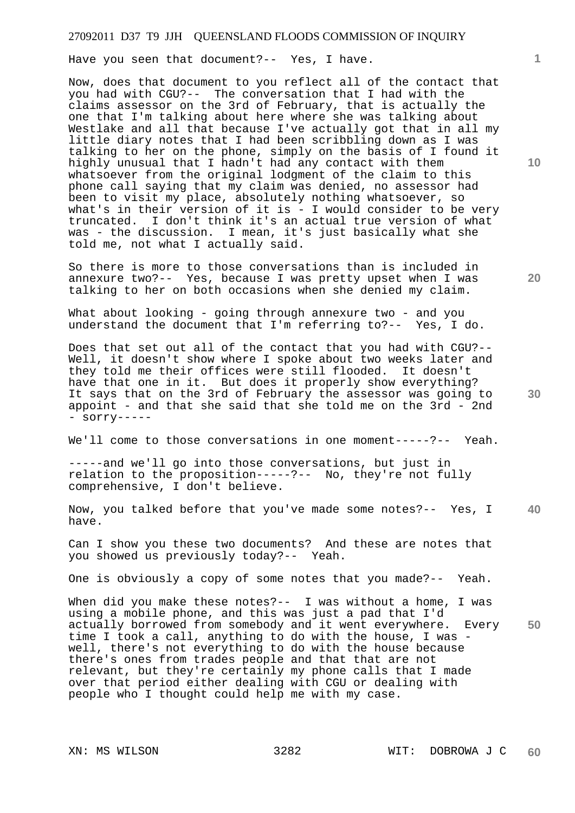Have you seen that document?-- Yes, I have.

Now, does that document to you reflect all of the contact that you had with CGU?-- The conversation that I had with the claims assessor on the 3rd of February, that is actually the one that I'm talking about here where she was talking about Westlake and all that because I've actually got that in all my little diary notes that I had been scribbling down as I was talking to her on the phone, simply on the basis of I found it highly unusual that I hadn't had any contact with them whatsoever from the original lodgment of the claim to this phone call saying that my claim was denied, no assessor had been to visit my place, absolutely nothing whatsoever, so what's in their version of it is  $-$  I would consider to be very truncated. I don't think it's an actual true version of what was - the discussion. I mean, it's just basically what she told me, not what I actually said.

So there is more to those conversations than is included in annexure two?-- Yes, because I was pretty upset when I was talking to her on both occasions when she denied my claim.

What about looking - going through annexure two - and you understand the document that I'm referring to?-- Yes, I do.

Does that set out all of the contact that you had with CGU?-- Well, it doesn't show where I spoke about two weeks later and they told me their offices were still flooded. It doesn't have that one in it. But does it properly show everything? It says that on the 3rd of February the assessor was going to appoint - and that she said that she told me on the 3rd - 2nd - sorry-----

We'll come to those conversations in one moment-----?-- Yeah.

-----and we'll go into those conversations, but just in relation to the proposition-----?-- No, they're not fully comprehensive, I don't believe.

**40**  Now, you talked before that you've made some notes?-- Yes, I have.

Can I show you these two documents? And these are notes that you showed us previously today?-- Yeah.

One is obviously a copy of some notes that you made?-- Yeah.

**50**  When did you make these notes?-- I was without a home, I was using a mobile phone, and this was just a pad that I'd actually borrowed from somebody and it went everywhere. Every time I took a call, anything to do with the house, I was well, there's not everything to do with the house because there's ones from trades people and that that are not relevant, but they're certainly my phone calls that I made over that period either dealing with CGU or dealing with people who I thought could help me with my case.

**10** 

**1**

**20**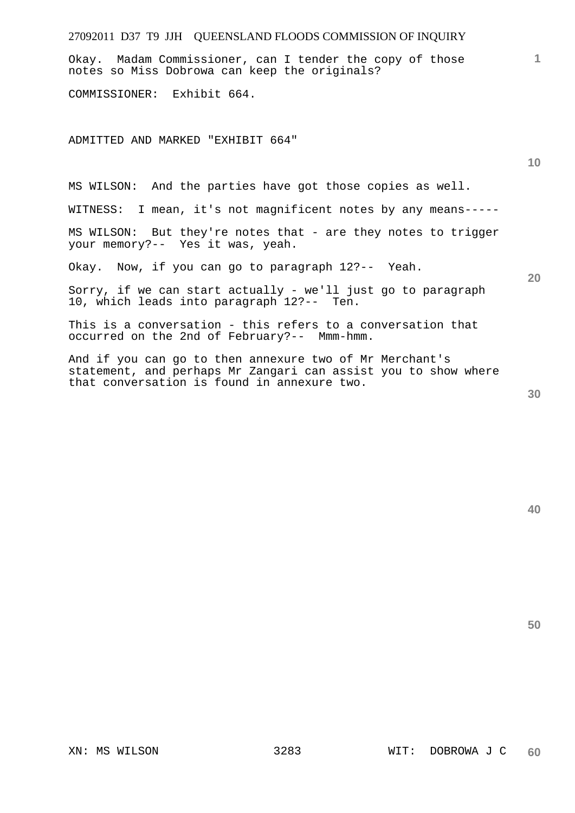# **1 10 20**  Okay. Madam Commissioner, can I tender the copy of those notes so Miss Dobrowa can keep the originals? COMMISSIONER: Exhibit 664. ADMITTED AND MARKED "EXHIBIT 664" MS WILSON: And the parties have got those copies as well. WITNESS: I mean, it's not magnificent notes by any means----- MS WILSON: But they're notes that - are they notes to trigger your memory?-- Yes it was, yeah. Okay. Now, if you can go to paragraph 12?-- Yeah. Sorry, if we can start actually - we'll just go to paragraph 10, which leads into paragraph 12?-- Ten. This is a conversation - this refers to a conversation that occurred on the 2nd of February?-- Mmm-hmm. And if you can go to then annexure two of Mr Merchant's statement, and perhaps Mr Zangari can assist you to show where that conversation is found in annexure two.

27092011 D37 T9 JJH QUEENSLAND FLOODS COMMISSION OF INQUIRY

**40**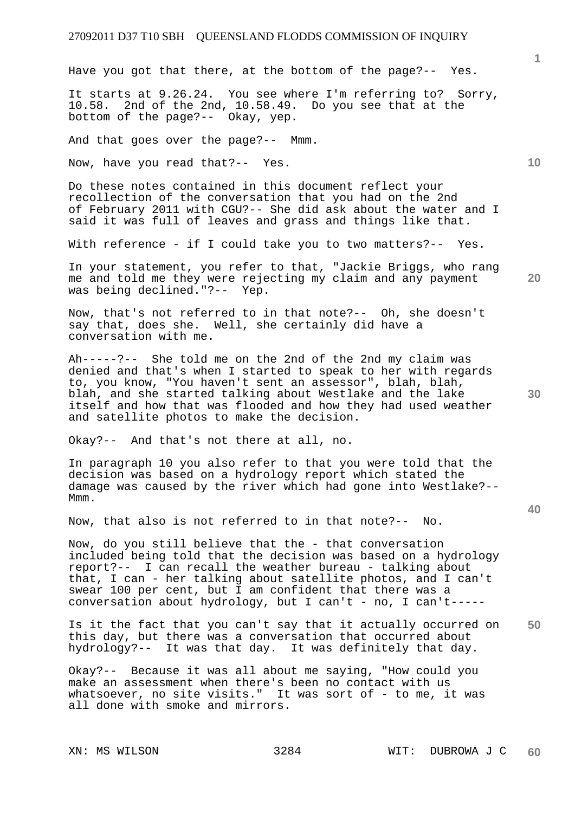Have you got that there, at the bottom of the page?-- Yes.

It starts at 9.26.24. You see where I'm referring to? Sorry, 10.58. 2nd of the 2nd, 10.58.49. Do you see that at the bottom of the page?-- Okay, yep.

And that goes over the page?-- Mmm.

Now, have you read that?-- Yes.

Do these notes contained in this document reflect your recollection of the conversation that you had on the 2nd of February 2011 with CGU?-- She did ask about the water and I said it was full of leaves and grass and things like that.

With reference - if I could take you to two matters?-- Yes.

In your statement, you refer to that, "Jackie Briggs, who rang me and told me they were rejecting my claim and any payment was being declined."?-- Yep.

Now, that's not referred to in that note?-- Oh, she doesn't say that, does she. Well, she certainly did have a conversation with me.

Ah-----?-- She told me on the 2nd of the 2nd my claim was denied and that's when I started to speak to her with regards to, you know, "You haven't sent an assessor", blah, blah, blah, and she started talking about Westlake and the lake itself and how that was flooded and how they had used weather and satellite photos to make the decision.

Okay?-- And that's not there at all, no.

In paragraph 10 you also refer to that you were told that the decision was based on a hydrology report which stated the damage was caused by the river which had gone into Westlake?-- Mmm.

Now, that also is not referred to in that note?-- No.

Now, do you still believe that the - that conversation included being told that the decision was based on a hydrology report?-- I can recall the weather bureau - talking about that, I can - her talking about satellite photos, and I can't swear 100 per cent, but I am confident that there was a conversation about hydrology, but I can't - no, I can't-----

**50**  Is it the fact that you can't say that it actually occurred on this day, but there was a conversation that occurred about hydrology?-- It was that day. It was definitely that day.

Okay?-- Because it was all about me saying, "How could you make an assessment when there's been no contact with us whatsoever, no site visits." It was sort of - to me, it was all done with smoke and mirrors.

**1**

**10** 

**20** 

**30**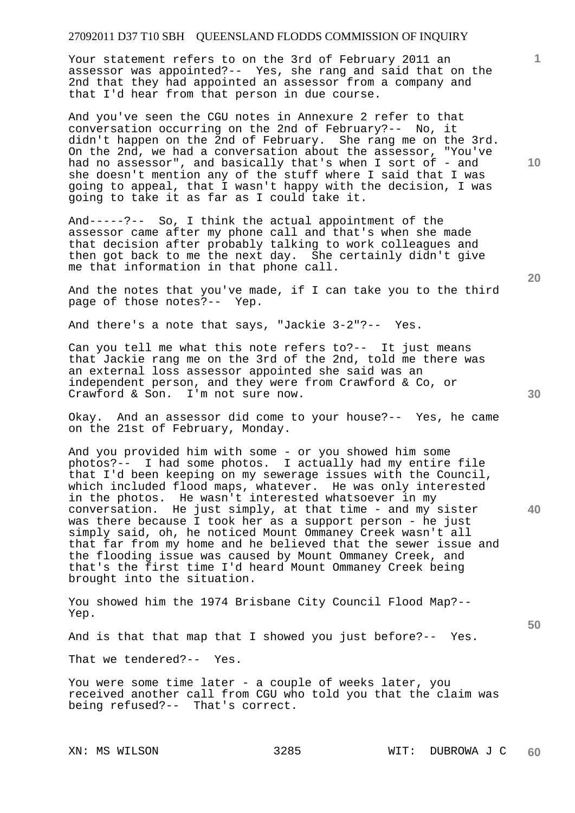Your statement refers to on the 3rd of February 2011 an assessor was appointed?-- Yes, she rang and said that on the 2nd that they had appointed an assessor from a company and that I'd hear from that person in due course.

And you've seen the CGU notes in Annexure 2 refer to that conversation occurring on the 2nd of February?-- No, it didn't happen on the 2nd of February. She rang me on the 3rd. On the 2nd, we had a conversation about the assessor, "You've had no assessor", and basically that's when I sort of - and she doesn't mention any of the stuff where I said that I was going to appeal, that I wasn't happy with the decision, I was going to take it as far as I could take it.

And-----?-- So, I think the actual appointment of the assessor came after my phone call and that's when she made that decision after probably talking to work colleagues and then got back to me the next day. She certainly didn't give me that information in that phone call.

And the notes that you've made, if I can take you to the third page of those notes?-- Yep.

And there's a note that says, "Jackie 3-2"?-- Yes.

Can you tell me what this note refers to?-- It just means that Jackie rang me on the 3rd of the 2nd, told me there was an external loss assessor appointed she said was an independent person, and they were from Crawford & Co, or Crawford & Son. I'm not sure now.

Okay. And an assessor did come to your house?-- Yes, he came on the 21st of February, Monday.

And you provided him with some - or you showed him some photos?-- I had some photos. I actually had my entire file that I'd been keeping on my sewerage issues with the Council, which included flood maps, whatever. He was only interested in the photos. He wasn't interested whatsoever in my conversation. He just simply, at that time - and my sister was there because I took her as a support person - he just simply said, oh, he noticed Mount Ommaney Creek wasn't all that far from my home and he believed that the sewer issue and the flooding issue was caused by Mount Ommaney Creek, and that's the first time I'd heard Mount Ommaney Creek being brought into the situation.

You showed him the 1974 Brisbane City Council Flood Map?-- Yep.

And is that that map that I showed you just before?-- Yes.

That we tendered?-- Yes.

You were some time later - a couple of weeks later, you received another call from CGU who told you that the claim was being refused?-- That's correct.

**10** 

**1**

**20** 

**40**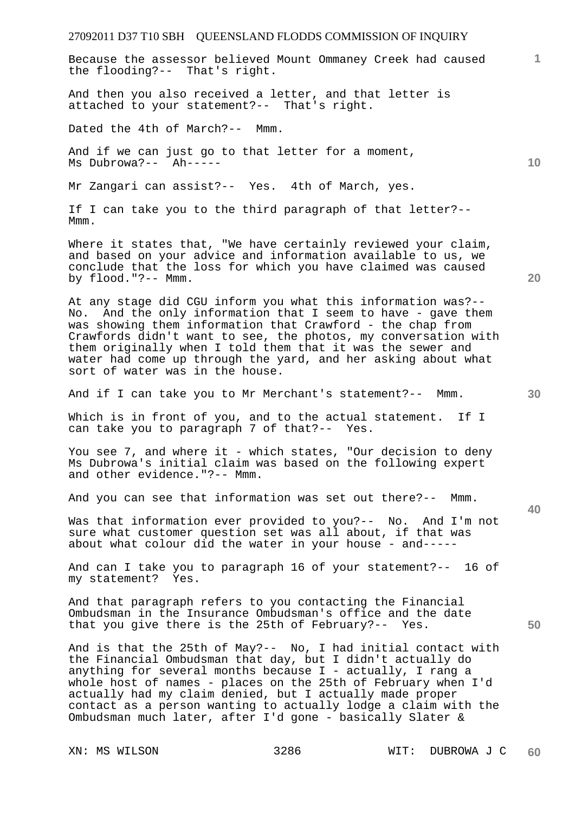Because the assessor believed Mount Ommaney Creek had caused the flooding?-- That's right.

And then you also received a letter, and that letter is attached to your statement?-- That's right.

Dated the 4th of March?-- Mmm.

And if we can just go to that letter for a moment, Ms Dubrowa?-- Ah-----

Mr Zangari can assist?-- Yes. 4th of March, yes.

If I can take you to the third paragraph of that letter?-- Mmm.

Where it states that, "We have certainly reviewed your claim, and based on your advice and information available to us, we conclude that the loss for which you have claimed was caused by flood."?-- Mmm.

At any stage did CGU inform you what this information was?-- No. And the only information that I seem to have - gave them was showing them information that Crawford - the chap from Crawfords didn't want to see, the photos, my conversation with them originally when I told them that it was the sewer and water had come up through the yard, and her asking about what sort of water was in the house.

And if I can take you to Mr Merchant's statement?-- Mmm.

Which is in front of you, and to the actual statement. If I can take you to paragraph 7 of that?-- Yes.

You see 7, and where it - which states, "Our decision to deny Ms Dubrowa's initial claim was based on the following expert and other evidence."?-- Mmm.

And you can see that information was set out there?-- Mmm.

Was that information ever provided to you?-- No. And I'm not sure what customer question set was all about, if that was about what colour did the water in your house - and-----

And can I take you to paragraph 16 of your statement?-- 16 of my statement? Yes.

And that paragraph refers to you contacting the Financial Ombudsman in the Insurance Ombudsman's office and the date that you give there is the 25th of February?-- Yes.

And is that the 25th of May?-- No, I had initial contact with the Financial Ombudsman that day, but I didn't actually do anything for several months because  $I$  - actually, I rang a whole host of names - places on the 25th of February when I'd actually had my claim denied, but I actually made proper contact as a person wanting to actually lodge a claim with the Ombudsman much later, after I'd gone - basically Slater &

**20** 

**40** 

**50** 

**10**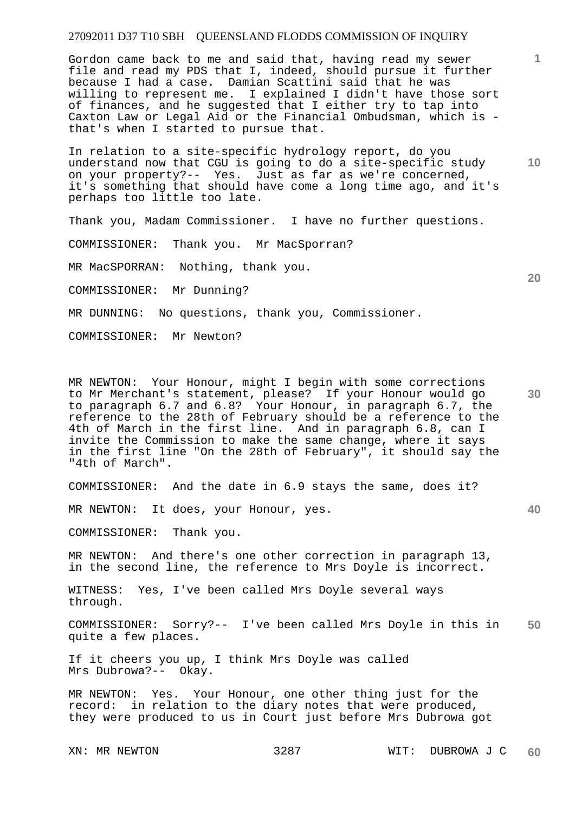Gordon came back to me and said that, having read my sewer file and read my PDS that I, indeed, should pursue it further because I had a case. Damian Scattini said that he was willing to represent me. I explained I didn't have those sort of finances, and he suggested that I either try to tap into Caxton Law or Legal Aid or the Financial Ombudsman, which is that's when I started to pursue that.

In relation to a site-specific hydrology report, do you understand now that CGU is going to do a site-specific study on your property?-- Yes. Just as far as we're concerned, it's something that should have come a long time ago, and it's perhaps too little too late.

Thank you, Madam Commissioner. I have no further questions.

COMMISSIONER: Thank you. Mr MacSporran?

MR MacSPORRAN: Nothing, thank you.

COMMISSIONER: Mr Dunning?

MR DUNNING: No questions, thank you, Commissioner.

COMMISSIONER: Mr Newton?

**30**  MR NEWTON: Your Honour, might I begin with some corrections to Mr Merchant's statement, please? If your Honour would go to paragraph 6.7 and 6.8? Your Honour, in paragraph 6.7, the reference to the 28th of February should be a reference to the 4th of March in the first line. And in paragraph 6.8, can I invite the Commission to make the same change, where it says in the first line "On the 28th of February", it should say the "4th of March".

COMMISSIONER: And the date in 6.9 stays the same, does it?

MR NEWTON: It does, your Honour, yes.

COMMISSIONER: Thank you.

MR NEWTON: And there's one other correction in paragraph 13, in the second line, the reference to Mrs Doyle is incorrect.

WITNESS: Yes, I've been called Mrs Doyle several ways through.

**50**  COMMISSIONER: Sorry?-- I've been called Mrs Doyle in this in quite a few places.

If it cheers you up, I think Mrs Doyle was called Mrs Dubrowa?-- Okay.

MR NEWTON: Yes. Your Honour, one other thing just for the record: in relation to the diary notes that were produced, they were produced to us in Court just before Mrs Dubrowa got

**10** 

**1**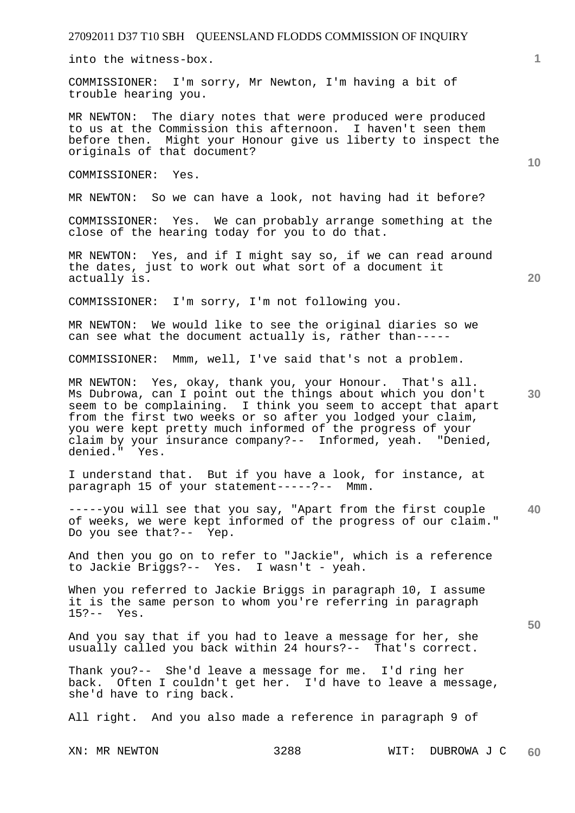into the witness-box.

COMMISSIONER: I'm sorry, Mr Newton, I'm having a bit of trouble hearing you.

MR NEWTON: The diary notes that were produced were produced to us at the Commission this afternoon. I haven't seen them before then. Might your Honour give us liberty to inspect the originals of that document?

COMMISSIONER: Yes.

MR NEWTON: So we can have a look, not having had it before?

COMMISSIONER: Yes. We can probably arrange something at the close of the hearing today for you to do that.

MR NEWTON: Yes, and if I might say so, if we can read around the dates, just to work out what sort of a document it actually is.

COMMISSIONER: I'm sorry, I'm not following you.

MR NEWTON: We would like to see the original diaries so we can see what the document actually is, rather than-----

COMMISSIONER: Mmm, well, I've said that's not a problem.

MR NEWTON: Yes, okay, thank you, your Honour. That's all. Ms Dubrowa, can I point out the things about which you don't seem to be complaining. I think you seem to accept that apart from the first two weeks or so after you lodged your claim, you were kept pretty much informed of the progress of your claim by your insurance company?-- Informed, yeah. "Denied, denied." Yes.

I understand that. But if you have a look, for instance, at paragraph 15 of your statement-----?-- Mmm.

**40**  -----you will see that you say, "Apart from the first couple of weeks, we were kept informed of the progress of our claim." Do you see that?-- Yep.

And then you go on to refer to "Jackie", which is a reference to Jackie Briggs?-- Yes. I wasn't - yeah.

When you referred to Jackie Briggs in paragraph 10, I assume it is the same person to whom you're referring in paragraph 15?-- Yes.

And you say that if you had to leave a message for her, she usually called you back within 24 hours?-- That's correct.

Thank you?-- She'd leave a message for me. I'd ring her back. Often I couldn't get her. I'd have to leave a message, she'd have to ring back.

All right. And you also made a reference in paragraph 9 of

**10** 

**20** 

**1**

**30**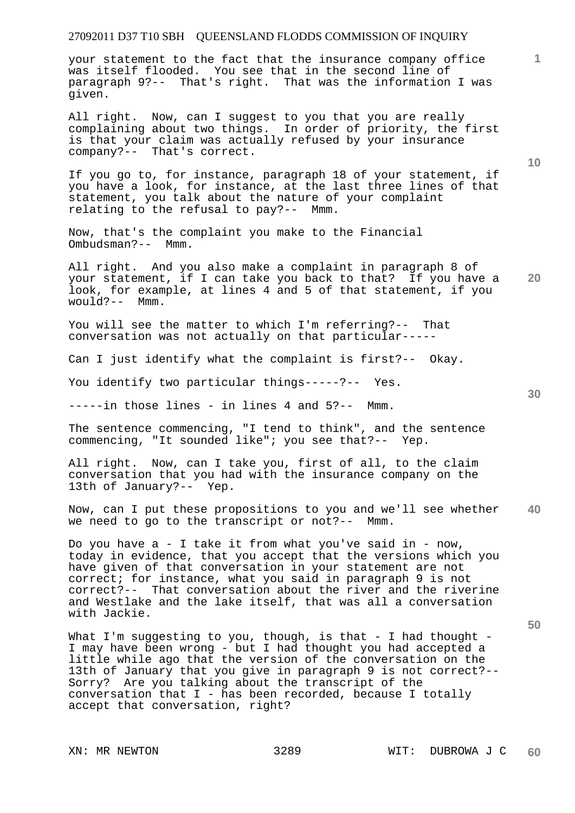your statement to the fact that the insurance company office was itself flooded. You see that in the second line of paragraph 9?-- That's right. That was the information I was given.

All right. Now, can I suggest to you that you are really complaining about two things. In order of priority, the first is that your claim was actually refused by your insurance company?-- That's correct.

If you go to, for instance, paragraph 18 of your statement, if you have a look, for instance, at the last three lines of that statement, you talk about the nature of your complaint relating to the refusal to pay?-- Mmm.

Now, that's the complaint you make to the Financial Ombudsman?-- Mmm.

**20**  All right. And you also make a complaint in paragraph 8 of your statement, if I can take you back to that? If you have a look, for example, at lines 4 and 5 of that statement, if you would?-- Mmm.

You will see the matter to which I'm referring?-- That conversation was not actually on that particular-----

Can I just identify what the complaint is first?-- Okay.

You identify two particular things-----?-- Yes.

-----in those lines - in lines 4 and 5?-- Mmm.

The sentence commencing, "I tend to think", and the sentence commencing, "It sounded like"; you see that?-- Yep.

All right. Now, can I take you, first of all, to the claim conversation that you had with the insurance company on the 13th of January?-- Yep.

**40**  Now, can I put these propositions to you and we'll see whether we need to go to the transcript or not?-- Mmm.

Do you have  $a - I$  take it from what you've said in - now, today in evidence, that you accept that the versions which you have given of that conversation in your statement are not correct; for instance, what you said in paragraph 9 is not correct?-- That conversation about the river and the riverine and Westlake and the lake itself, that was all a conversation with Jackie.

What I'm suggesting to you, though, is that - I had thought -I may have been wrong - but I had thought you had accepted a little while ago that the version of the conversation on the 13th of January that you give in paragraph 9 is not correct?-- Sorry? Are you talking about the transcript of the conversation that I - has been recorded, because I totally accept that conversation, right?

**10** 

**1**

**30**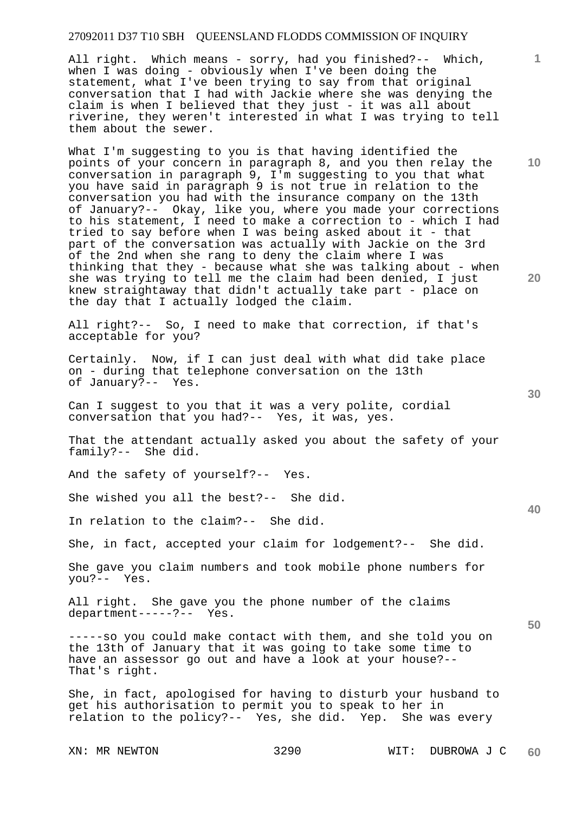All right. Which means - sorry, had you finished?-- Which, when I was doing - obviously when I've been doing the statement, what I've been trying to say from that original conversation that I had with Jackie where she was denying the claim is when I believed that they just - it was all about riverine, they weren't interested in what I was trying to tell them about the sewer.

What I'm suggesting to you is that having identified the points of your concern in paragraph 8, and you then relay the conversation in paragraph 9, I'm suggesting to you that what you have said in paragraph 9 is not true in relation to the conversation you had with the insurance company on the 13th of January?-- Okay, like you, where you made your corrections to his statement, I need to make a correction to - which I had tried to say before when I was being asked about it - that part of the conversation was actually with Jackie on the 3rd of the 2nd when she rang to deny the claim where I was thinking that they - because what she was talking about - when she was trying to tell me the claim had been denied, I just knew straightaway that didn't actually take part - place on the day that I actually lodged the claim.

All right?-- So, I need to make that correction, if that's acceptable for you?

Certainly. Now, if I can just deal with what did take place on - during that telephone conversation on the 13th of January?-- Yes.

Can I suggest to you that it was a very polite, cordial conversation that you had?-- Yes, it was, yes.

That the attendant actually asked you about the safety of your family?-- She did.

And the safety of yourself?-- Yes.

She wished you all the best?-- She did.

In relation to the claim?-- She did.

She, in fact, accepted your claim for lodgement?-- She did.

She gave you claim numbers and took mobile phone numbers for you?-- Yes.

All right. She gave you the phone number of the claims department-----?-- Yes.

-----so you could make contact with them, and she told you on the 13th of January that it was going to take some time to have an assessor go out and have a look at your house?-- That's right.

She, in fact, apologised for having to disturb your husband to get his authorisation to permit you to speak to her in relation to the policy?-- Yes, she did. Yep. She was every

**20** 

**10** 

**1**

**30** 

**40**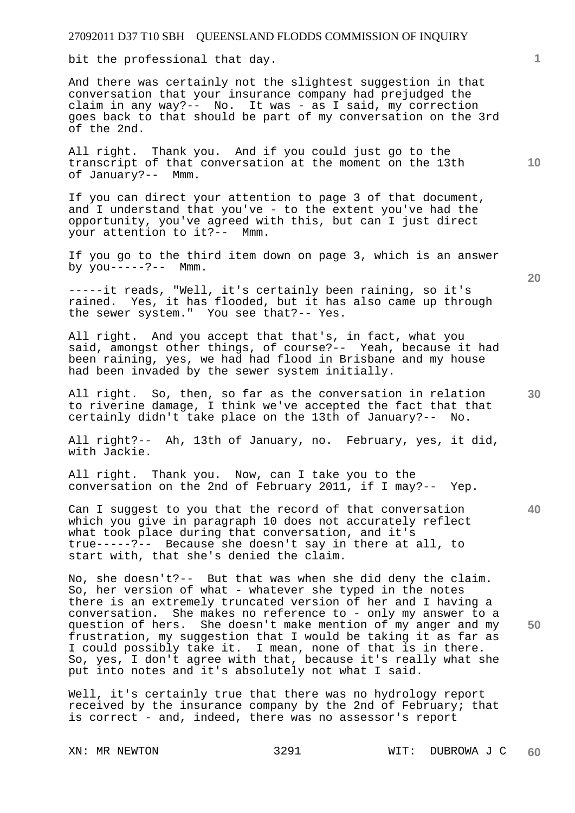bit the professional that day.

And there was certainly not the slightest suggestion in that conversation that your insurance company had prejudged the claim in any way?-- No. It was - as I said, my correction goes back to that should be part of my conversation on the 3rd of the 2nd.

All right. Thank you. And if you could just go to the transcript of that conversation at the moment on the 13th of January?-- Mmm.

If you can direct your attention to page 3 of that document, and I understand that you've - to the extent you've had the opportunity, you've agreed with this, but can I just direct your attention to it?-- Mmm.

If you go to the third item down on page 3, which is an answer by  $you---?---$  Mmm.

-----it reads, "Well, it's certainly been raining, so it's rained. Yes, it has flooded, but it has also came up through the sewer system." You see that?-- Yes.

All right. And you accept that that's, in fact, what you said, amongst other things, of course?-- Yeah, because it had been raining, yes, we had had flood in Brisbane and my house had been invaded by the sewer system initially.

All right. So, then, so far as the conversation in relation to riverine damage, I think we've accepted the fact that that certainly didn't take place on the 13th of January?-- No.

All right?-- Ah, 13th of January, no. February, yes, it did, with Jackie.

All right. Thank you. Now, can I take you to the conversation on the 2nd of February 2011, if I may?-- Yep.

Can I suggest to you that the record of that conversation which you give in paragraph 10 does not accurately reflect what took place during that conversation, and it's true-----?-- Because she doesn't say in there at all, to start with, that she's denied the claim.

No, she doesn't?-- But that was when she did deny the claim. So, her version of what - whatever she typed in the notes there is an extremely truncated version of her and I having a conversation. She makes no reference to - only my answer to a question of hers. She doesn't make mention of my anger and my frustration, my suggestion that I would be taking it as far as I could possibly take it. I mean, none of that is in there. So, yes, I don't agree with that, because it's really what she put into notes and it's absolutely not what I said.

Well, it's certainly true that there was no hydrology report received by the insurance company by the 2nd of February; that is correct - and, indeed, there was no assessor's report

**20** 

**50** 

**30** 

**10**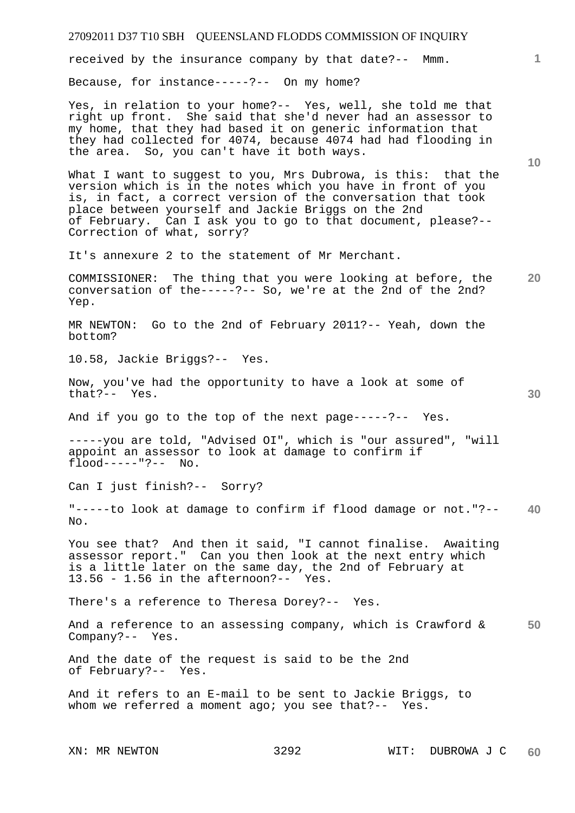received by the insurance company by that date?-- Mmm.

Because, for instance-----?-- On my home?

Yes, in relation to your home?-- Yes, well, she told me that right up front. She said that she'd never had an assessor to my home, that they had based it on generic information that they had collected for 4074, because 4074 had had flooding in the area. So, you can't have it both ways.

What I want to suggest to you, Mrs Dubrowa, is this: that the version which is in the notes which you have in front of you is, in fact, a correct version of the conversation that took place between yourself and Jackie Briggs on the 2nd of February. Can I ask you to go to that document, please?-- Correction of what, sorry?

It's annexure 2 to the statement of Mr Merchant.

**20**  COMMISSIONER: The thing that you were looking at before, the conversation of the-----?-- So, we're at the 2nd of the 2nd? Yep.

MR NEWTON: Go to the 2nd of February 2011?-- Yeah, down the bottom?

10.58, Jackie Briggs?-- Yes.

Now, you've had the opportunity to have a look at some of that?-- Yes.

And if you go to the top of the next page-----?-- Yes.

-----you are told, "Advised OI", which is "our assured", "will appoint an assessor to look at damage to confirm if flood-----"?-- No.

Can I just finish?-- Sorry?

**40**  "-----to look at damage to confirm if flood damage or not."?--  $N<sub>O</sub>$ .

You see that? And then it said, "I cannot finalise. Awaiting assessor report." Can you then look at the next entry which is a little later on the same day, the 2nd of February at 13.56 - 1.56 in the afternoon?-- Yes.

There's a reference to Theresa Dorey?-- Yes.

**50**  And a reference to an assessing company, which is Crawford & Company?-- Yes.

And the date of the request is said to be the 2nd of February?-- Yes.

And it refers to an E-mail to be sent to Jackie Briggs, to whom we referred a moment ago; you see that?-- Yes.

**1**

**10**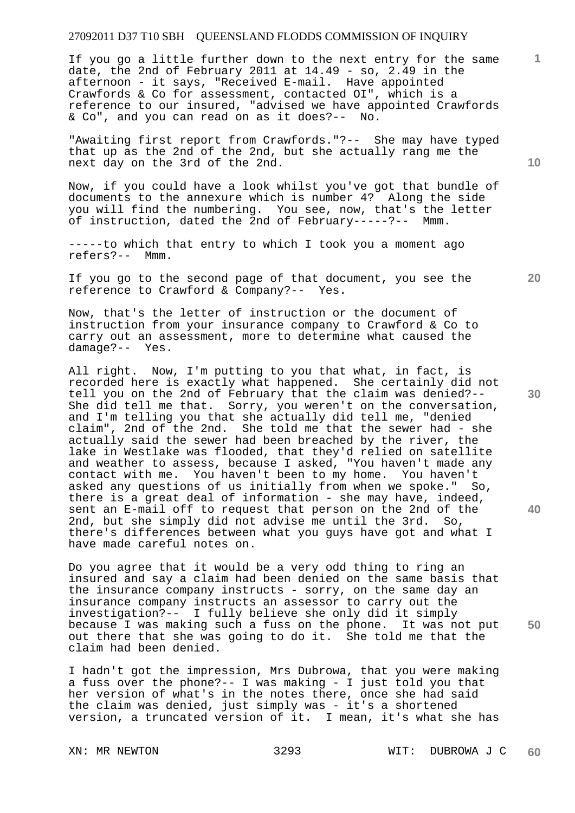If you go a little further down to the next entry for the same date, the 2nd of February 2011 at 14.49 - so, 2.49 in the afternoon - it says, "Received E-mail. Have appointed Crawfords & Co for assessment, contacted OI", which is a reference to our insured, "advised we have appointed Crawfords & Co", and you can read on as it does?-- No.

"Awaiting first report from Crawfords."?-- She may have typed that up as the 2nd of the 2nd, but she actually rang me the next day on the 3rd of the 2nd.

Now, if you could have a look whilst you've got that bundle of documents to the annexure which is number 4? Along the side you will find the numbering. You see, now, that's the letter of instruction, dated the 2nd of February-----?-- Mmm.

-----to which that entry to which I took you a moment ago refers?-- Mmm.

If you go to the second page of that document, you see the reference to Crawford & Company?-- Yes.

Now, that's the letter of instruction or the document of instruction from your insurance company to Crawford & Co to carry out an assessment, more to determine what caused the damage?-- Yes.

All right. Now, I'm putting to you that what, in fact, is recorded here is exactly what happened. She certainly did not tell you on the 2nd of February that the claim was denied?-- She did tell me that. Sorry, you weren't on the conversation, and I'm telling you that she actually did tell me, "denied claim", 2nd of the 2nd. She told me that the sewer had - she actually said the sewer had been breached by the river, the lake in Westlake was flooded, that they'd relied on satellite and weather to assess, because I asked, "You haven't made any contact with me. You haven't been to my home. You haven't asked any questions of us initially from when we spoke." So, there is a great deal of information - she may have, indeed, sent an E-mail off to request that person on the 2nd of the 2nd, but she simply did not advise me until the 3rd. So, there's differences between what you guys have got and what I have made careful notes on.

Do you agree that it would be a very odd thing to ring an insured and say a claim had been denied on the same basis that the insurance company instructs - sorry, on the same day an insurance company instructs an assessor to carry out the investigation?-- I fully believe she only did it simply because I was making such a fuss on the phone. It was not put out there that she was going to do it. She told me that the claim had been denied.

I hadn't got the impression, Mrs Dubrowa, that you were making a fuss over the phone?-- I was making - I just told you that her version of what's in the notes there, once she had said the claim was denied, just simply was - it's a shortened version, a truncated version of it. I mean, it's what she has

**10** 

**1**

**30** 

**20**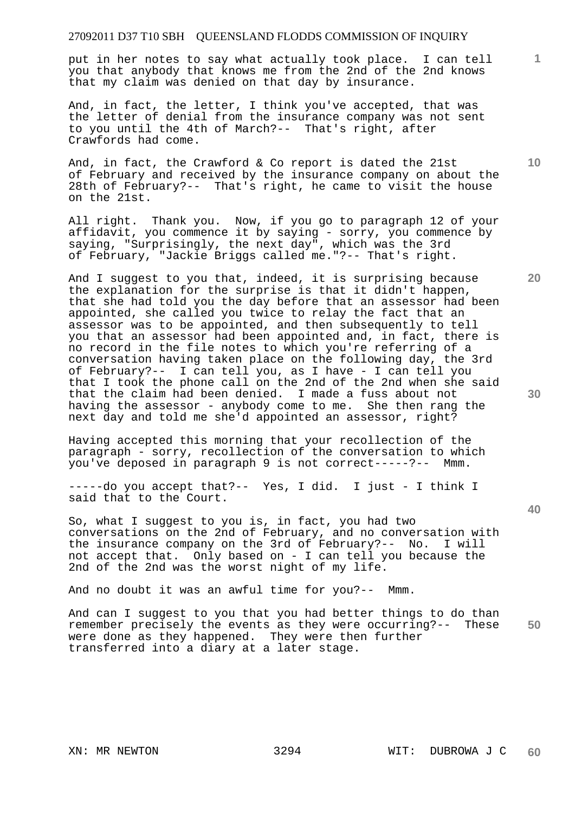put in her notes to say what actually took place. I can tell you that anybody that knows me from the 2nd of the 2nd knows that my claim was denied on that day by insurance.

And, in fact, the letter, I think you've accepted, that was the letter of denial from the insurance company was not sent to you until the 4th of March?-- That's right, after Crawfords had come.

And, in fact, the Crawford & Co report is dated the 21st of February and received by the insurance company on about the 28th of February?-- That's right, he came to visit the house on the 21st.

All right. Thank you. Now, if you go to paragraph 12 of your affidavit, you commence it by saying - sorry, you commence by saying, "Surprisingly, the next day", which was the 3rd of February, "Jackie Briggs called me."?-- That's right.

And I suggest to you that, indeed, it is surprising because the explanation for the surprise is that it didn't happen, that she had told you the day before that an assessor had been appointed, she called you twice to relay the fact that an assessor was to be appointed, and then subsequently to tell you that an assessor had been appointed and, in fact, there is no record in the file notes to which you're referring of a conversation having taken place on the following day, the 3rd of February?-- I can tell you, as I have - I can tell you that I took the phone call on the 2nd of the 2nd when she said that the claim had been denied. I made a fuss about not having the assessor - anybody come to me. She then rang the next day and told me she'd appointed an assessor, right?

Having accepted this morning that your recollection of the paragraph - sorry, recollection of the conversation to which you've deposed in paragraph 9 is not correct-----?-- Mmm.

-----do you accept that?-- Yes, I did. I just - I think I said that to the Court.

So, what I suggest to you is, in fact, you had two conversations on the 2nd of February, and no conversation with the insurance company on the 3rd of February?-- No. I will not accept that. Only based on - I can tell you because the 2nd of the 2nd was the worst night of my life.

And no doubt it was an awful time for you?-- Mmm.

**50**  And can I suggest to you that you had better things to do than remember precisely the events as they were occurring?-- These were done as they happened. They were then further transferred into a diary at a later stage.

**10** 

**20** 

**1**

**40**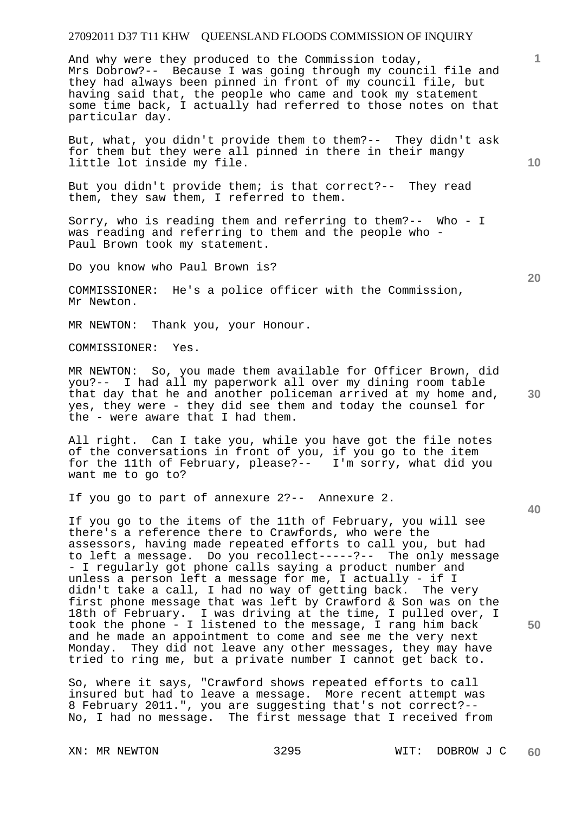And why were they produced to the Commission today, Mrs Dobrow?-- Because I was going through my council file and they had always been pinned in front of my council file, but having said that, the people who came and took my statement some time back, I actually had referred to those notes on that particular day.

But, what, you didn't provide them to them?-- They didn't ask for them but they were all pinned in there in their mangy little lot inside my file.

But you didn't provide them; is that correct?-- They read them, they saw them, I referred to them.

Sorry, who is reading them and referring to them?-- Who - I was reading and referring to them and the people who - Paul Brown took my statement.

Do you know who Paul Brown is?

COMMISSIONER: He's a police officer with the Commission, Mr Newton.

MR NEWTON: Thank you, your Honour.

COMMISSIONER: Yes.

MR NEWTON: So, you made them available for Officer Brown, did you?-- I had all my paperwork all over my dining room table that day that he and another policeman arrived at my home and, yes, they were - they did see them and today the counsel for the - were aware that I had them.

All right. Can I take you, while you have got the file notes of the conversations in front of you, if you go to the item for the 11th of February, please?-- I'm sorry, what did you want me to go to?

If you go to part of annexure 2?-- Annexure 2.

If you go to the items of the 11th of February, you will see there's a reference there to Crawfords, who were the assessors, having made repeated efforts to call you, but had to left a message. Do you recollect-----?-- The only message - I regularly got phone calls saying a product number and unless a person left a message for me, I actually - if I didn't take a call, I had no way of getting back. The very first phone message that was left by Crawford & Son was on the 18th of February. I was driving at the time, I pulled over, I took the phone - I listened to the message, I rang him back and he made an appointment to come and see me the very next Monday. They did not leave any other messages, they may have tried to ring me, but a private number I cannot get back to.

So, where it says, "Crawford shows repeated efforts to call insured but had to leave a message. More recent attempt was 8 February 2011.", you are suggesting that's not correct?-- No, I had no message. The first message that I received from

**10** 

**1**

**20** 

**30** 

**40**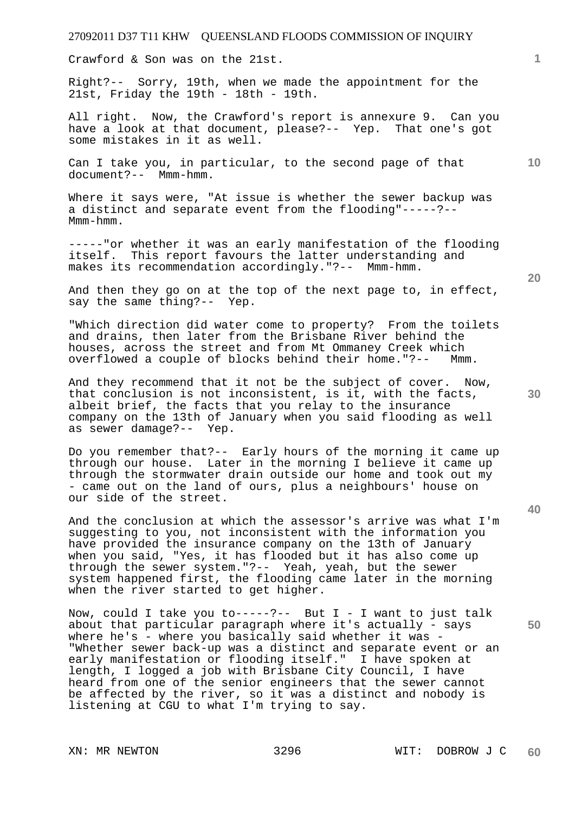Crawford & Son was on the 21st.

Right?-- Sorry, 19th, when we made the appointment for the 21st, Friday the 19th - 18th - 19th.

All right. Now, the Crawford's report is annexure 9. Can you have a look at that document, please?-- Yep. That one's got some mistakes in it as well.

Can I take you, in particular, to the second page of that document?-- Mmm-hmm.

Where it says were, "At issue is whether the sewer backup was a distinct and separate event from the flooding"-----?-- Mmm-hmm.

-----"or whether it was an early manifestation of the flooding itself. This report favours the latter understanding and makes its recommendation accordingly."?-- Mmm-hmm.

And then they go on at the top of the next page to, in effect, say the same thing?-- Yep.

"Which direction did water come to property? From the toilets and drains, then later from the Brisbane River behind the houses, across the street and from Mt Ommaney Creek which overflowed a couple of blocks behind their home."?-- Mmm.

And they recommend that it not be the subject of cover. Now, that conclusion is not inconsistent, is it, with the facts, albeit brief, the facts that you relay to the insurance company on the 13th of January when you said flooding as well as sewer damage?-- Yep.

Do you remember that?-- Early hours of the morning it came up through our house. Later in the morning I believe it came up through the stormwater drain outside our home and took out my - came out on the land of ours, plus a neighbours' house on our side of the street.

And the conclusion at which the assessor's arrive was what I'm suggesting to you, not inconsistent with the information you have provided the insurance company on the 13th of January when you said, "Yes, it has flooded but it has also come up through the sewer system."?-- Yeah, yeah, but the sewer system happened first, the flooding came later in the morning when the river started to get higher.

Now, could I take you to-----?-- But I - I want to just talk about that particular paragraph where it's actually - says where he's - where you basically said whether it was -"Whether sewer back-up was a distinct and separate event or an early manifestation or flooding itself." I have spoken at length, I logged a job with Brisbane City Council, I have heard from one of the senior engineers that the sewer cannot be affected by the river, so it was a distinct and nobody is listening at CGU to what I'm trying to say.

**30** 

**20** 

**50** 

**1**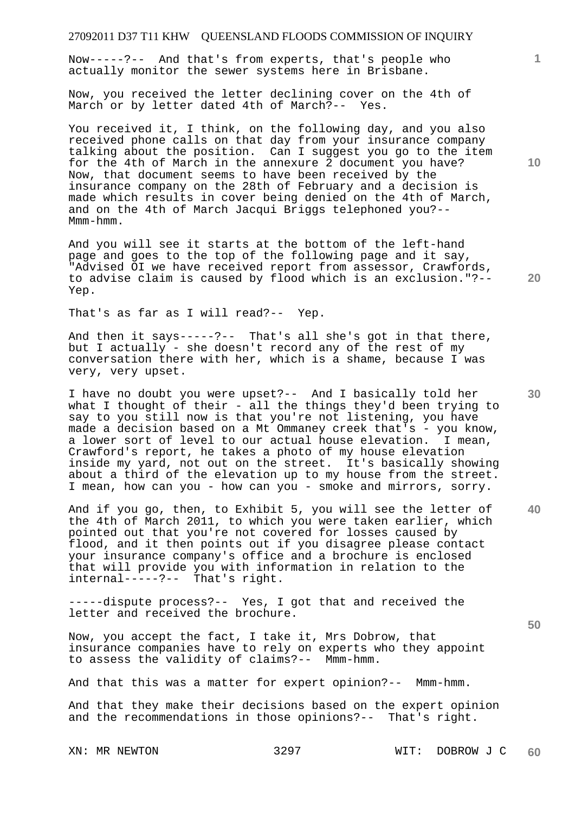Now-----?-- And that's from experts, that's people who actually monitor the sewer systems here in Brisbane.

Now, you received the letter declining cover on the 4th of March or by letter dated 4th of March?-- Yes.

You received it, I think, on the following day, and you also received phone calls on that day from your insurance company talking about the position. Can I suggest you go to the item for the 4th of March in the annexure 2 document you have? Now, that document seems to have been received by the insurance company on the 28th of February and a decision is made which results in cover being denied on the 4th of March, and on the 4th of March Jacqui Briggs telephoned you?-- Mmm-hmm.

And you will see it starts at the bottom of the left-hand page and goes to the top of the following page and it say, "Advised OI we have received report from assessor, Crawfords, to advise claim is caused by flood which is an exclusion."?-- Yep.

That's as far as I will read?-- Yep.

And then it says-----?-- That's all she's got in that there, but I actually - she doesn't record any of the rest of my conversation there with her, which is a shame, because I was very, very upset.

I have no doubt you were upset?-- And I basically told her what I thought of their - all the things they'd been trying to say to you still now is that you're not listening, you have made a decision based on a Mt Ommaney creek that's - you know, a lower sort of level to our actual house elevation. I mean, Crawford's report, he takes a photo of my house elevation inside my yard, not out on the street. It's basically showing about a third of the elevation up to my house from the street. I mean, how can you - how can you - smoke and mirrors, sorry.

And if you go, then, to Exhibit 5, you will see the letter of the 4th of March 2011, to which you were taken earlier, which pointed out that you're not covered for losses caused by flood, and it then points out if you disagree please contact your insurance company's office and a brochure is enclosed that will provide you with information in relation to the internal-----?-- That's right.

-----dispute process?-- Yes, I got that and received the letter and received the brochure.

Now, you accept the fact, I take it, Mrs Dobrow, that insurance companies have to rely on experts who they appoint to assess the validity of claims?-- Mmm-hmm.

And that this was a matter for expert opinion?-- Mmm-hmm.

And that they make their decisions based on the expert opinion and the recommendations in those opinions?-- That's right.

**10** 

**1**

**30** 

**20** 

**40**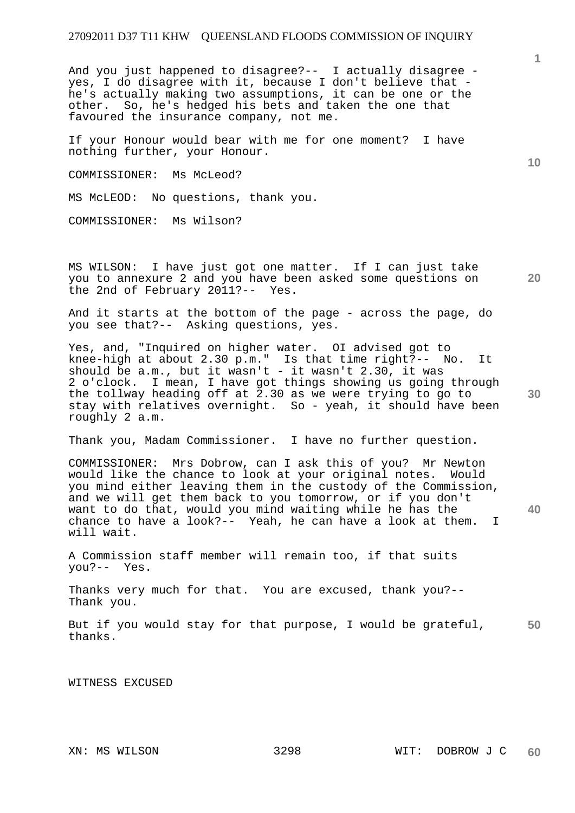And you just happened to disagree?-- I actually disagree yes, I do disagree with it, because I don't believe that he's actually making two assumptions, it can be one or the other. So, he's hedged his bets and taken the one that favoured the insurance company, not me.

If your Honour would bear with me for one moment? I have nothing further, your Honour.

COMMISSIONER: Ms McLeod?

MS McLEOD: No questions, thank you.

COMMISSIONER: Ms Wilson?

MS WILSON: I have just got one matter. If I can just take you to annexure 2 and you have been asked some questions on the 2nd of February  $2011? --$ 

And it starts at the bottom of the page - across the page, do you see that?-- Asking questions, yes.

Yes, and, "Inquired on higher water. OI advised got to knee-high at about 2.30 p.m." Is that time right?-- No. It should be  $a.m.$ , but it wasn't - it wasn't 2.30, it was 2 o'clock. I mean, I have got things showing us going through the tollway heading off at 2.30 as we were trying to go to stay with relatives overnight. So - yeah, it should have been roughly 2 a.m.

Thank you, Madam Commissioner. I have no further question.

COMMISSIONER: Mrs Dobrow, can I ask this of you? Mr Newton would like the chance to look at your original notes. Would you mind either leaving them in the custody of the Commission, and we will get them back to you tomorrow, or if you don't want to do that, would you mind waiting while he has the chance to have a look?-- Yeah, he can have a look at them. I will wait.

A Commission staff member will remain too, if that suits you?-- Yes.

Thanks very much for that. You are excused, thank you?-- Thank you.

**50**  But if you would stay for that purpose, I would be grateful, thanks.

WITNESS EXCUSED

**10** 

**20** 

**30**